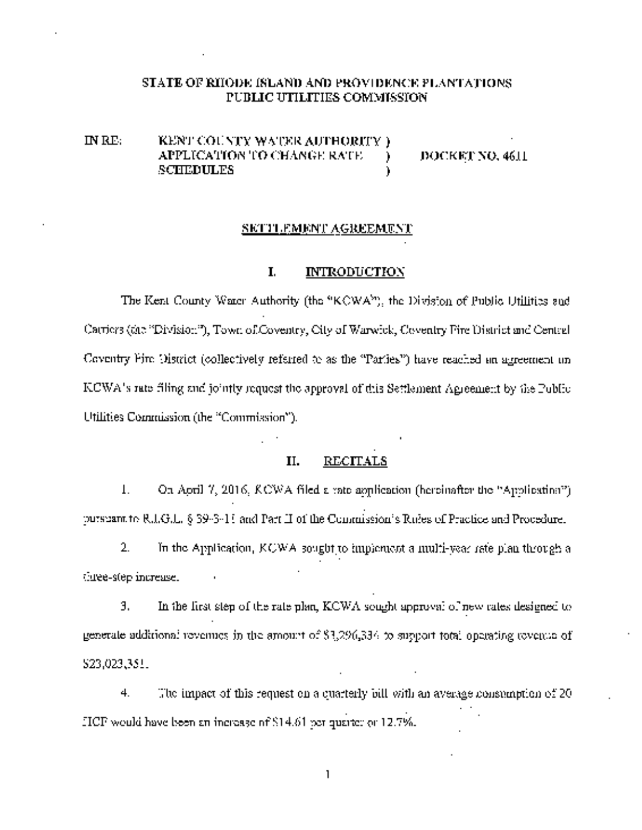### STATE OF RIlODE ISLAND AND PROVIDENCE PLANTATIONS PUBLIC UTILITIES COMMISSION

IN RE: KENT COUNTY WATER AUTHORITY) APPLICATION TO CHANGE RATE ) DOCKET NO. 4611 SCHEDULES (CHEDULES )

### SETTLEMENT AGREEMENT

### I. INTRODUCTION

The Kent County Water Authority (the "KCWA"), the Division of Public Utilities and Carriers (the "Division"), Town otCoventry, City of Warwick, Coventry Fire District and Central Coventry Fire District (collectively referred to as the "Parties") have reached an agreement on KCWA's rate filing and jointly request the approval of this Settlement Agreement by the Public Utilities Commission (the "Commission").

### II. RECITALS

1. On April 7, 2016, KCWA filed <sup>a</sup> rate application (hereinafter the "Application") pursuant to R.I.G.L. § 39-3-11 and Part II of the Commission's Rules of Practice and Procedure.

2. In the Application, KCWA sought to implement a multi-year rate plan through a three-step increase.

3. In the first step of the rate plan, KCWA sought approval of new rates designed to generate additional revenues in the amount of \$3,296,334 to support total operating revenue of \$23,023,351. .

 $4.$  The impact of this request on a quarterly bill with an average consumption of 20 HCF would have been an increase of\$14.6i per quarter or 12.7%.

1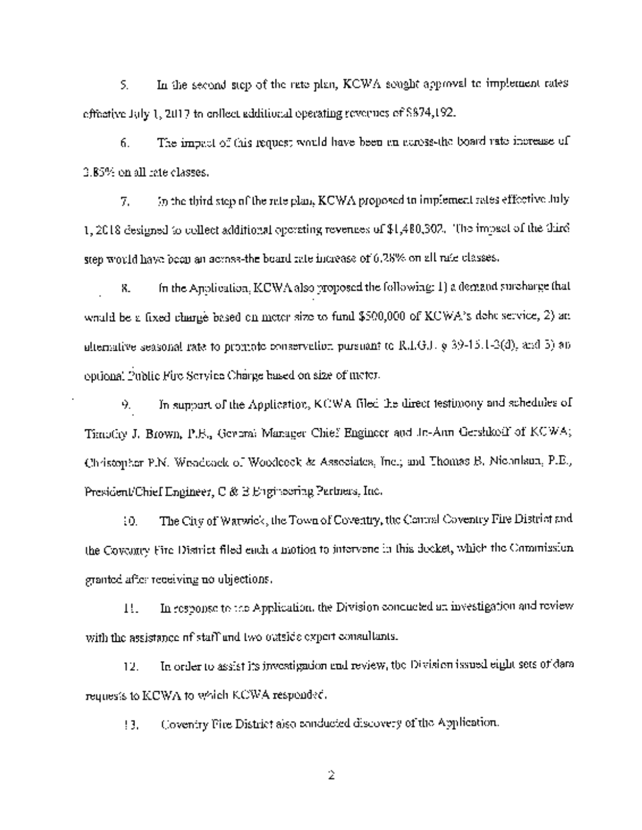5. In the second step of the rate plan, KCWA sought approval to implement rates effective July 1,2017 to collect additional operating revenues of \$874,192.

6. The impact of this request would have been an acrossthe board rate increase of 3.85% on all rate classes.

7. In the third step of the rate plan, KCWA proposed to implement rates effective July 1, 2018 designed to collect additional operating revenues of \$1,480,302. The impact of the third step would have been an acrossthe board rate increase of 6.28% on all rate classes.

8. In the Application, KCWA also proposed the following: 1) a demand surcharge that would be a fixed charge based on meter size to fund \$500,000 of KCWA's debt service, 2) an alternative seasonal rate to promote conservation pursuant to R.I.G.L  $\phi$  39-15.1-3(d), and 5) an optional Public Fire Service Charge based on size of meter.

9. In support of the Application, KCWA filed the direct testimony and schedules of Timothy J. Brown, P.E., General Manager Chief Engineer and Jo-Ann Gershkoff of KCWA; Christopher P.N. Woodcock of Woodcock & Associates, Inc.; and Thomas B. Nicholson, P.E., President/Chief Engineer, C & E Engineering Partners, Inc.

10. The City of Warwick, the Town of Coventry, the Central Coventry Fire District and the Coventry Fire District filed each <sup>a</sup> motion to intervene in this docket, which the Commission granted afier receiving no objections.

11. In response to the Application, the Division conducted an investigation and review with the assistance of staff and two outside expert consultants.

12. In order to assist its investigation and review, the Division issued eight sets of data requests to KCWA to which KCWA responded.

13. Coventry Fire District also conducted discovery of the Application.

2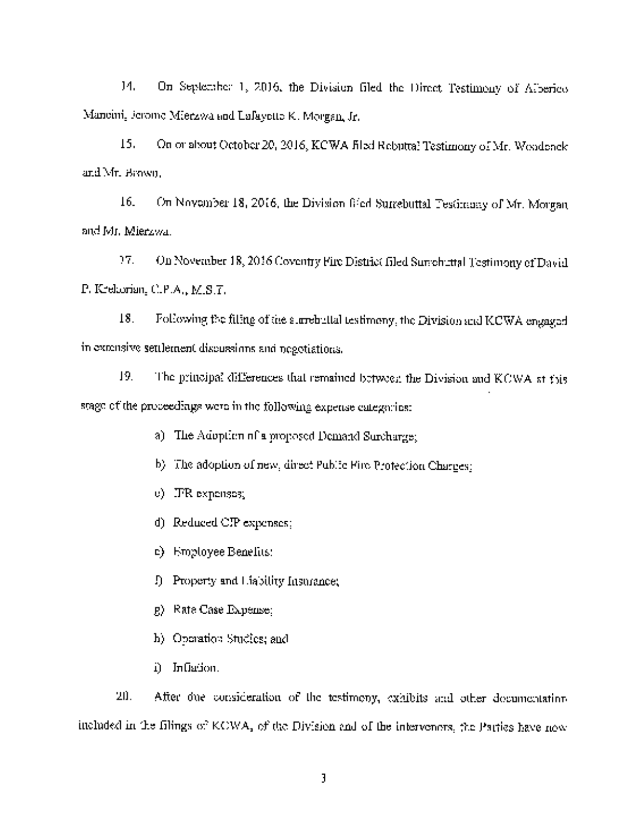14. On September 1, 2016, the Division filed the Direct Testimony of Alberico Mancini, Jerome Mierzwa and Lafayette K. Morgan, Jr.

15. On or about October 20, 2016, KCWA filed Rebuttal Testimony of Mr. Woodcock and Mr. Brown.

16. On November 18, 2016, the Division filed Surrebuttal Testimony of Mr. Morgan and Mr. Mierzwa,

17. On November 18, 2016 Coventry Fire District filed Surrebuttal Testimony of David P. Krekorian, C.P.A., M.S.T.

18. Following the filing of the surrebuttal testimony, the Division and KCWA engaged in extensive settlement discussions and negotiations.

19. The principal differences that remained between the Division and KCWA at this stage of the proceedings were in the following expense categories:

- a) The Adoption of <sup>a</sup> proposed Demand Surcharge;
- b) The adoption of new, direct Public Fire Protection Charges;
- c) IFR expenses;
- d) Reduced CIP expenses;
- e) Employee Benefits;
- ~ Property and Liability Insurance;
- g) Rate Case Expense;
- h) Operation Studies; and
- i) Inflation.

20. After due consideration of the testimony, exhibits and other documentation included in the filings of KCWA, of the Division and of the intervenors, the Parties have now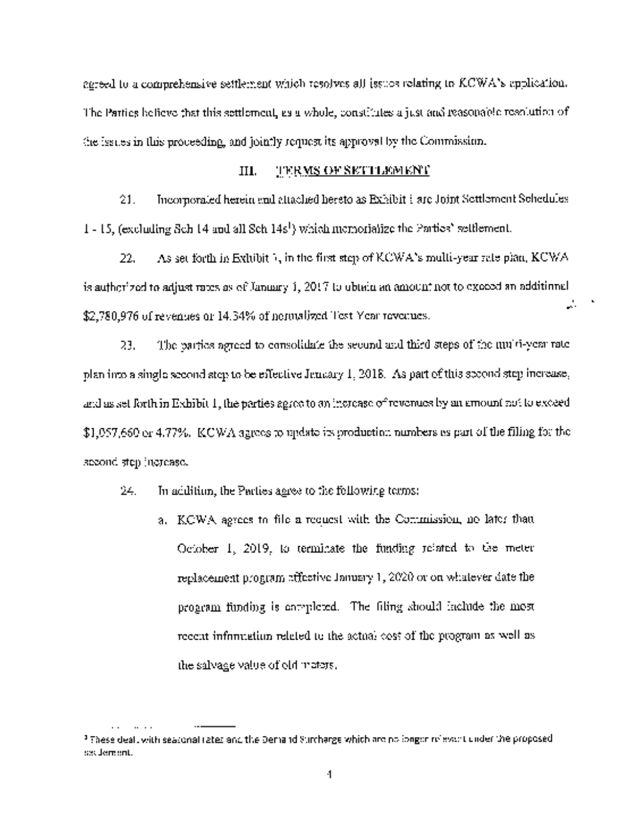agreed to a comprehensive settlement which resolves all issues relating to  $\text{LCWA's replication.}$ The Parties believe that this settlement, as <sup>a</sup> whole, constitutes <sup>a</sup> just and reasonable resolution of the issues in this proceeding, and jointly request its approval by the Commission.

### III. TER<u>MS OF SETTLEMENT</u>

21. Incorporated herein and attached hereto as Exhibit 1 are Joint Settlement Schedules.  $1 - 15$ , (excluding Sch 14 and all Sch 14s<sup>1</sup>) which memorialize the Parties' settlement.

22. As set forth in Exhibit  $\lambda$ , in the first step of KCWA's multi-year rate plan, KCWA is authorized to adjust rates as of January 1,  $2017$  to obtain an amount not to exceed an additional  $\mathcal{L}_{\mathcal{A}}$ \$2,780,976 of revenues or 14.34% of normalized Test Year revenues.

 $\blacksquare$ 

23. The parties agreed to consolidate the second and third steps of the multiyear rate plan into <sup>a</sup> single second step to be effective January 1,2018. As part of this second step increase, and as set forth in Exhibit 1, the parties agree to an increase ofrevenues by an amount not to exceed  $$1,057,660$  or  $4.77\%$ . KCWA agrees to update its production numbers as part of the filing for the second step increase.

24. In addition, the Parties agree to the following terms:

a. KCWA agrees to file <sup>a</sup> request with the Commission, no later than October 1, 2019, to terminate the funding related to the meter replacement program effective January 1, 2020 or on whatever date the program funding is completed. The filing should include the most recent information related to the actual cost of the program as well as the salvage value of old meters.

 $^3$  These dealt with seasonal rates and the Demand Surcharge which are no longer relevant under the proposed. settlement.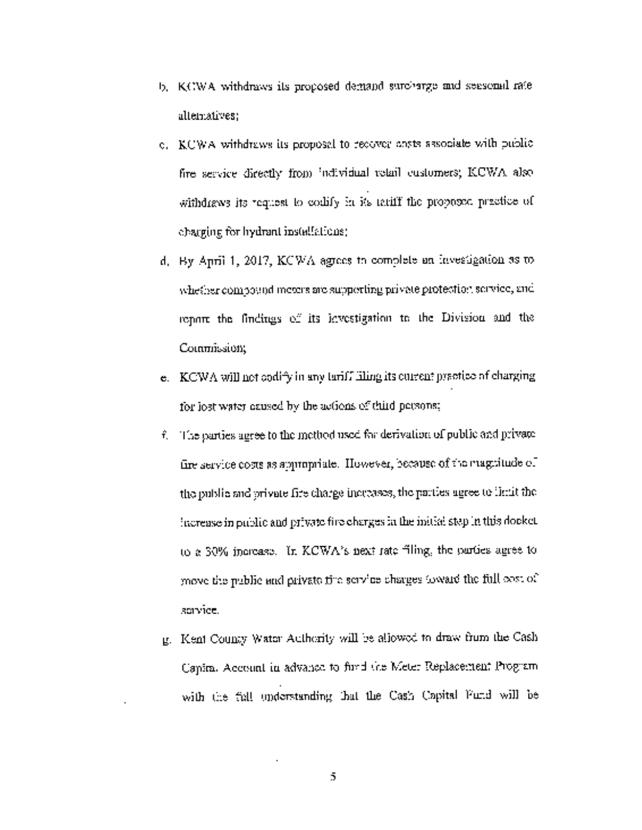- b. KCWA withdraws its proposed demand surcharge and seasonal rate alternatives;
- c. KCWA withdraws its proposal to recover costs associate with public fire service directly from individual retail customers; KCWA also withdraws its request to codify in its tariff the proposed practice of charging for hydrant installations;
- d. By April 1, 2017, KCWA agrees to complete an investigation as to whether compound meters are supporting private protection service, and report the findings of its investigation to the Division and the Commission;
- e. KCWA will not codify in any tariff filing its current practice of charging for lost water caused by the actions of third persons;
- $\hat{\tau}$ . The parties agree to the method used for derivation of public and private fire service costs as appropriate. However, because of the magnitude of the public and private fire charge increases, the parties agree to limit the increase in public and private fire charges in the initial step in this docket to a 30% increase. In KCWA's next rate filing, the parties agree to move the public and private fire service charges toward the full cost of service.
- g. Kent County Water Authority will be allowed to draw from the Cash Capital Account in advance to find the Meter Replacement Program with the full understanding that the Cash Capital Fund will be

5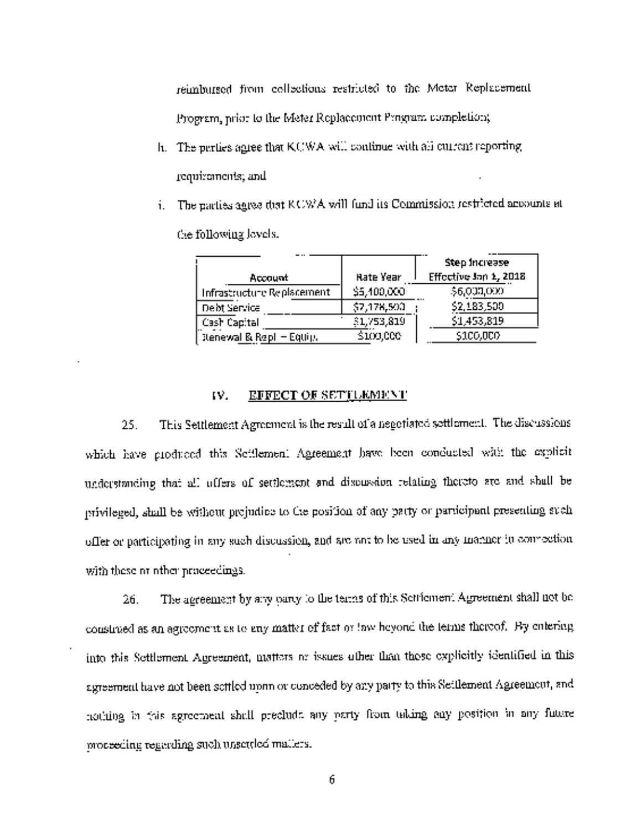reimbursed from collections restricted to the Meter Replacement Program, prior to the Meter Replacement Program completion;

- h. The parties agree that KCWA will continue with all current reporting requirements; and
- i. The parties agree that KCWA will fund its Commission restricted accounts at the following levels.

|                                     |                  | Step Increase         |
|-------------------------------------|------------------|-----------------------|
| Account                             | <b>Hate Year</b> | Effective Jan 1, 2018 |
| Infrastructure Replacement          | \$5,400,000      | \$6,000,000           |
| Debt Service                        | \$7,178,500      | \$2,183,500           |
| Cash Capital                        | \$1,753,819      | \$1,453,819           |
| <b>Itenewal &amp; Repl - Equip.</b> | \$100,000        | \$100,000             |

# IV. EFFECT OF SETTLEMENT

25. This Settlement Agreement is the result of <sup>a</sup> negotiated settlement. The discussions which have produced this Settlement Agreement have been conducted with the explicit understanding that all offers of settlement and discussion relating thereto are and shall be privileged, shall be without prejudice to the position of any party or participant presenting such offer or participating in any such discussion, and are not to be used in any manner in connection with these or other proceedings.

26. The agreement by any party to the terms of this Settlement Agreement shall not be construed as an agreement as to any matter of fact or law beyond the terms thereof. By entering into this Settlement Agreement, matters or issues other than those explicitly identified in this agreement have not been settled upon or conceded by any party to this Settlement Agreement, and nothing in this agreement shall preclude any party from taking any position in any future proceeding regarding such unsettled matters.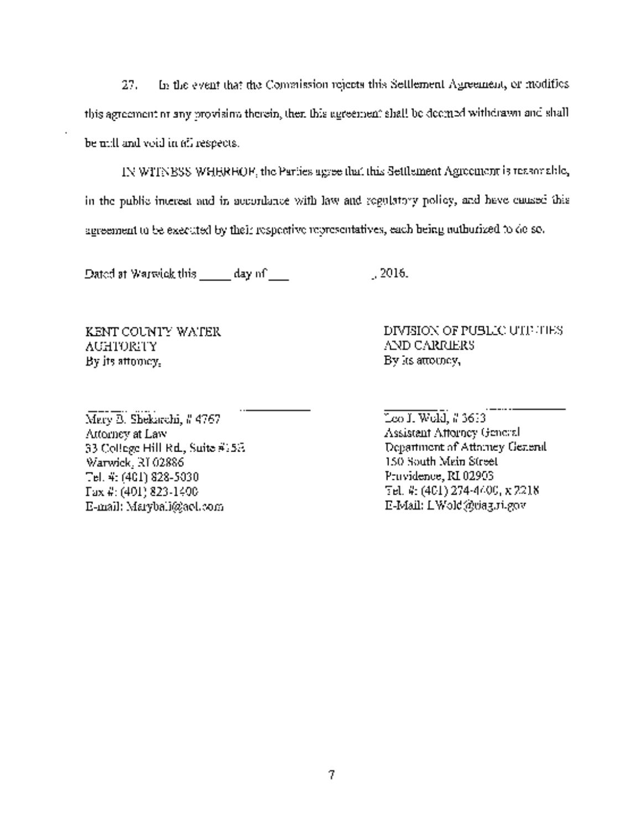27. In the event that the Commission rejects this Settlement Agreement, or modifies this agreement or any provision therein, then this agreement shall be deemed withdrawn and shall be null and void in all respects.

IN WITNESS WHEREOF, the Parties agree that this Settlement Agreement is reasonable, in the public interest and in accordance with law and regulatory policy, and have caused this agreement to be executed by their respective representatives, each being authorized to do so.

Dated at Warwick this  $\frac{1}{2016}$  day of  $\frac{1}{2016}$ .

KENT COUNTY WATER AUHTORITY By its attorney,

Mary B. Shekarchi, # 4767 Attorney at Law 33 College Hill Rd., Suite #l5E Warwick, RI 02886 Tel. #: (401) 8285030 Fax (401) 8231400 E-mail: Marybali@aol.comDIVISION OF PUBLIC UTILTIES AND CARRIERS By its attorney,

Leo J. Wold, #3613 Assistant Attorney General Department of Attorney General 150 South Main Street Providence, RI 02903 Tel. #: (401) 2744400, x 2218 EMail: LWold~riag.ri.gov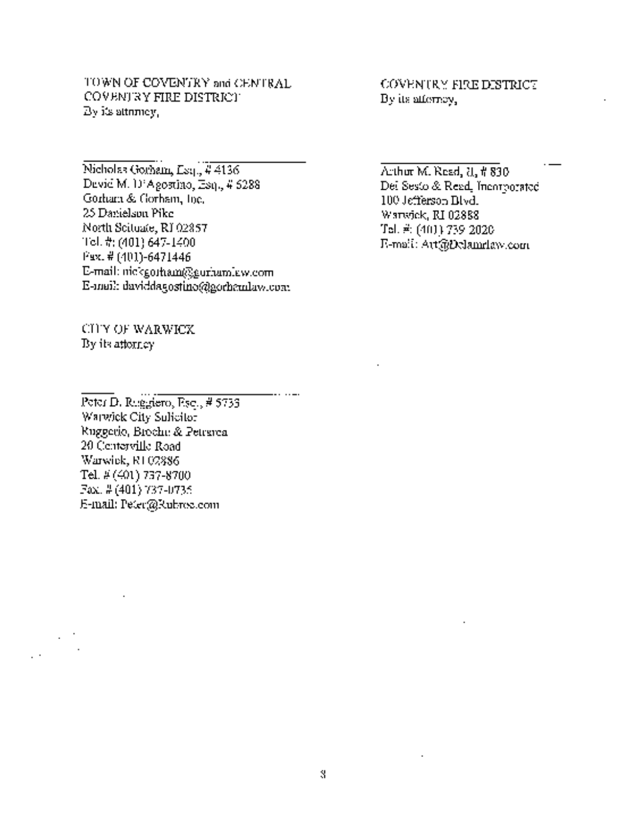TOWN OF COVENTRY and CENTRAL COVENTRY FIRE DISTRICT By its attorney,

Nicholas Gorham, Esq., #4136 David M. D'Agostino, Esq., # 6288 Gorham & Gorham, Inc. 25 Danielson Pike North Scituate, RI 02857 Tel. It: (401) 6471400 Fax. # (401)6471446 E-mail: nickgorham@eurhamlaw.com E-mail: daviddagostino@gorhamlaw.com

CITY OF WARWICK By its attorney

COVENTRY FIRE DISTRICT By its attorney,

Arthur M. Read, *II*, *it* 830 Del Sesto & Read, Incorporated 100 Jefferson Blvd. Warwick, RI 02888 Tel. #: (401) 739~2020 Email: Art@Delamrlaw.com

Peter D. Ruggiero, Esq., # 5733 Warwick City Solicitor Ruggerio, Brochu & Petrarca 20 Centerville Road Warwick, RI 02886 Tel. # (401) 737-8700 Fax. # (401) 737-0735 Email: Peter@Rubroc.com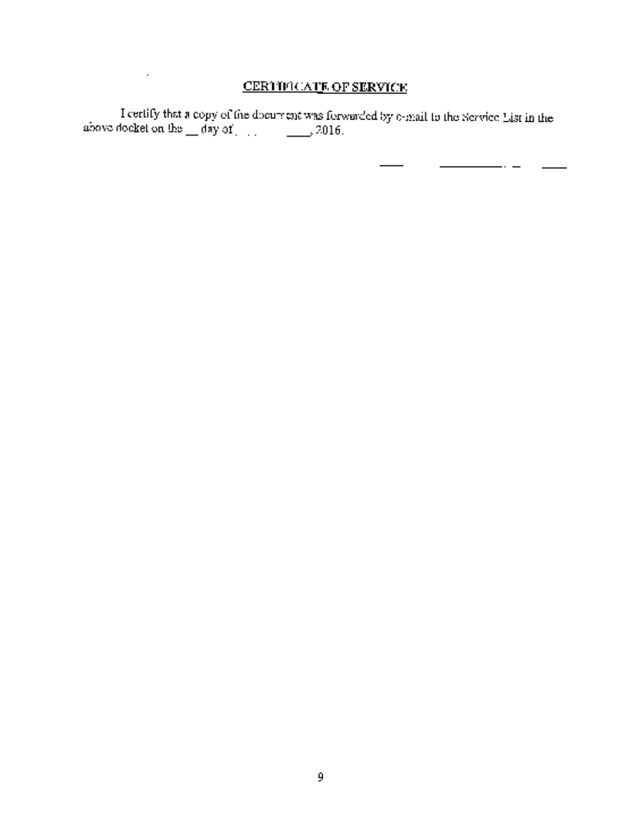# CERTIFICATE OF SERVICE

 $\sim$ 

 ${\rm I}$  certify that a copy of the document was forwarded by email to the Service List in the above docket on the  $\sim$  day of ,2016.

 $\frac{1}{2}$  and  $\frac{1}{2}$  and  $\frac{1}{2}$  and  $\frac{1}{2}$  and  $\frac{1}{2}$  and  $\frac{1}{2}$  and  $\frac{1}{2}$  and  $\frac{1}{2}$ 

 $\sim$ 

 $\overline{\phantom{a}}$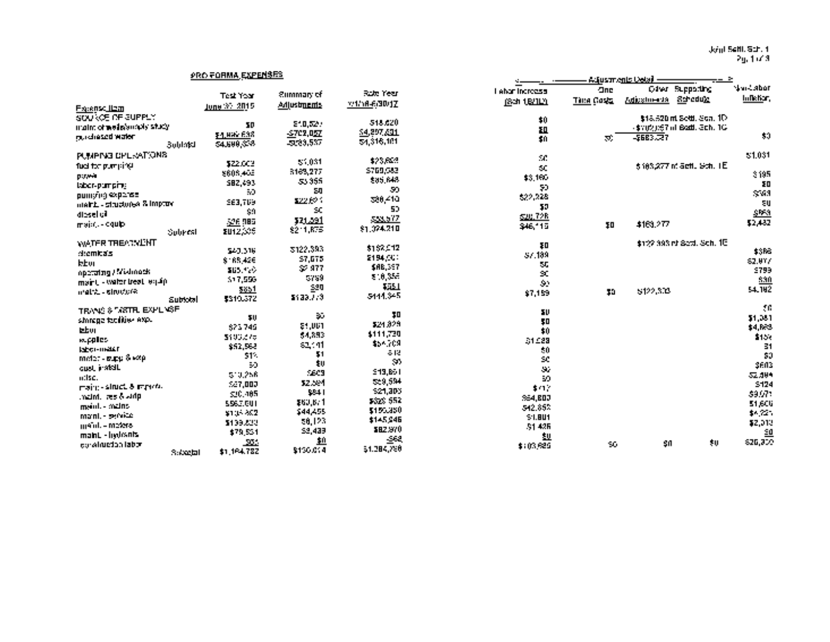Joint Seth. Sch. <sup>1</sup> Pg. <sup>1</sup> of3

# PRO FORMA EXPENSES \_\_\_\_\_\_\_\_\_\_\_\_\_ Adjustments Detail

|                                 |                  | <b>Summary of</b>       | Rott Year     | <b>Labor Increase</b>       | One               | Oiler i              | <b>Supporting</b>               | Nail Abor   |
|---------------------------------|------------------|-------------------------|---------------|-----------------------------|-------------------|----------------------|---------------------------------|-------------|
|                                 | <b>Test Year</b> |                         | v:1/16-630/1Z | (Sch 18/11)                 | <b>Then Gosts</b> | Adjustments Schoduke |                                 | lullehar,   |
| Figures <u>Hem</u>              | June 37, 2015.   | Adjustments             |               |                             |                   |                      |                                 |             |
| SOURCE OF SUPPLY                |                  |                         |               | \$0                         |                   |                      | \$18,520 nt Sold, Sca. 1D       |             |
| triatm of wederstroply situally | TD.              | 210,527                 | 518,620       | EQ.                         |                   |                      | 4102057 of Battl. 3ch. 1G       |             |
| rau chesco water                | \$4,892,638      | $-5702,052$             | 54,297,631    | 40                          | 70.               | 5683.27              |                                 | 30          |
| <b>Bublaki</b>                  | \$4,500,358      | -5123,537               | 54,316,181    |                             |                   |                      |                                 |             |
| PUMPING CPL-SATIONS             |                  |                         |               | $\mathcal{F}(\mathcal{C})$  |                   |                      |                                 | \$1,031     |
| fuel for pumping.               | \$22.003         | 55,031                  | \$25,642      |                             |                   |                      | <i>s163,277 m actL Go</i> t. TE |             |
| payer                           | \$608,405        | 3163,277                | \$769,583     | $\infty$                    |                   |                      |                                 | 3195        |
| labor-pumping                   | 582,493          | 55 355                  | \$85,648      | \$3,160                     |                   |                      |                                 | ŦD          |
|                                 | 50.              | 80                      | -99           | 50                          |                   |                      |                                 | \$61        |
| pumping expense.                | 963,769          | 822.CP 1                | 528,410       | \$22,228                    |                   |                      |                                 | EU.         |
| maint. - structures & improv-   | 59               | SC.                     | 50            | 50                          |                   |                      |                                 |             |
| idesel vil                      | 526.985          | <u>121.391</u>          | 533,577       | 520,728                     |                   |                      |                                 | \$953       |
| majat - cquip                   |                  | 8211, RFS               | \$1,024.210   | \$46,115                    | ŦD                | \$169,277            |                                 | 52,432      |
| Sobrest                         | EU12,005         |                         |               |                             |                   |                      |                                 |             |
| WATER TREADVENT                 |                  |                         | \$1,52,912    | ŦΠ                          |                   |                      | \$122,393 nt Sect. Sch. 1E.     |             |
| diemkas                         | 540.316          | 3122.393                | 2194,000      | 57.189                      |                   |                      |                                 | \$.86       |
| kbu                             | \$165,426        | 57,075                  | \$AB,397      | IJ.                         |                   |                      |                                 | 62.017      |
| operating / Miklimeds           | \$15.420         | SP 977                  |               | S.                          |                   |                      |                                 | <b>ST99</b> |
| maint - water treat legality    | 517,556          | 5759                    | 8.0,356       | $\mathcal{L}_{\mathcal{L}}$ |                   |                      |                                 | 530         |
| mattic sirudore.                | <u> 5851</u>     | $\mathbf{\mathbf{220}}$ | <b>TEL</b>    | \$7,159                     | \$0               | \$122,308            |                                 | 54.792      |
| Subtotal                        | \$310,372        | 3133.773                | 5444.345      |                             |                   |                      |                                 |             |
| TRANG & TARTIFL EXPLINGE        |                  |                         |               | 5U                          |                   |                      |                                 | УG,         |
| sinnaga taoditiw exp.           | 50               | $\sim$                  | 30            | \$D                         |                   |                      |                                 | \$1,081     |
| izbur.                          | 573749           | \$1,001                 | \$24,829      | 40                          |                   |                      |                                 | \$4,683     |
| w.pples-                        | 5100275          | 54,893                  | 4111,730      |                             |                   |                      |                                 | \$156       |
| <b>ISECT-THREE</b>              | \$52,568         | s2,411                  | \$54,709      | 51 C 23                     |                   |                      |                                 | 31          |
| $match: E_F\otimes k\otimes p$  | 51%              | Ţ1                      | $-12$         | $\boldsymbol{z}$ 0          |                   |                      |                                 | 30          |
|                                 | 50               | ŧŲ                      | $\mathcal{M}$ | SC.                         |                   |                      |                                 | 3603        |
| quel, install.                  | 510,256          | 5,609                   | \$19,851      | $\mathcal{G}_\alpha$        |                   |                      |                                 | 52.494      |
| n:Isc.                          | 547,000          | 52.594                  | 529,594       | 59.                         |                   |                      |                                 | 5124        |
| maint-situated reports.         | 510, 185         | \$841                   | \$21,306      | 4.07                        |                   |                      |                                 | \$9.971     |
| maint, resió vidp               | 5563,001         | \$60,671                | \$526, 552    | <b>SE4, BDJ</b>             |                   |                      |                                 | 51,606      |
| ment - mains                    | \$105.802        | \$44,455                | \$150,350     | 542.852                     |                   |                      |                                 | \$4,725     |
| mani, - pervice                 |                  | 58,123                  | \$145,946     | 51.801                      |                   |                      |                                 |             |
| mant. - meters                  | \$199,822        | 53,439                  | \$82,970      | 51426                       |                   |                      |                                 | \$2,013     |
| maint - hydranis                | \$79,554         |                         | -568          | 型                           |                   |                      |                                 | <u>90</u>   |
| pgrainteton labor               | <u>_554</u>      | <u>10</u>               | \$1,284,290   | \$103,625                   | 50.               | -50                  | 大山                              | 626,300     |
| 3.69251                         | \$1,184,782      | \$150.014               |               |                             |                   |                      |                                 |             |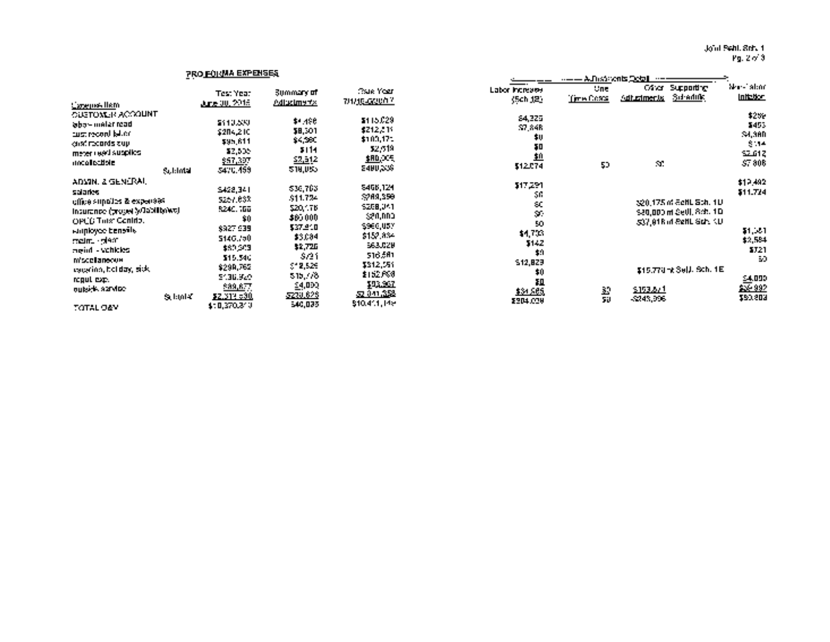Joint Settl. Sch. <sup>1</sup> Pg. 2 of 3

#### PRO FORMA EXPENSES \_\_\_\_\_\_\_\_\_\_\_\_\_\_ Adjustments Detail Test Year Summary of Rate Year Labor Increase One Other Other Supporting Non-Labor Increase One Other Supporting Non-Labor Increase Cone Other Supporting Initiation  ${\rm E}$ pense Item June 30,2015 Adjustments 711/1662130111 (Schedule Inflation Inflation Inflation Inflation Inflation Inflation Inflation Inflation Inflation Inflation Inflation Inflation Inflation Inflation Inflation Infl CUSTOMER ACCOUNT \$259 labormeterread \$110,533 \$4,533 \$4,533 \$4,533 \$4,533 \$269 \$269 \$269 \$269 \$4,533 \$4,533 \$269 \$269 \$269 \$269 \$269 oust record labor \$204,210 \$8,301 \$212,511 \$7,848 \$453 oust records sup \$95,811 \$4,360 \$100,171 so \$4,360 meter read supplies \$2,505 \$114 \$2,619 \$0 \$114 uncellectible \$57,397 ~z&i.a \$6~QQR  $\mathbf{M}$ \$7,806 المواطنية المستقلة المستقلة المستقلة المستقلة المستقلة المستقلة المستقلة المستقلة المستقلة المستقلة المستقلة ا<br>والتقارب المستقلة المستقلة المستقلة المستقلة المستقلة المستقلة المستقلة المستقلة المستقلة المستقلة المستقلة ال ADMIN. & GENERAL \$12,492 salaries 5428,341 \$36,783 \$468,341 \$36,783 \$17,784 \$46,833 \$17,784 \$17,783 \$17,784 \$17,783 \$17,784 \$17,784 \$1 office supplies & expenses \$257,632 \$11,724 \$269,356 \$0 \$11,724 insurance (propertylliability) \$249,166 \$20,175 \$269,341 \$269,341 \$269,341 \$27,000 mil. Sch. 10 \$20,000 mil.<br>تاريخ طور الأوروباريو (Settl. Sch. 10 \$20,000 \$20,000 \$20,000 \$20,000 \$20,000 \$20,000 \$20,000 \$20,000 \$20,000 OPEB Trust Contrib. \$0 \$80,000 \$80,000 \$60,000 \$80,000 \$0 \$0 \$0,000 \$0,000 \$0,000 \$0 \$0,000 \$80,000 \$0 \$0,000<br>\$20,000 nt Settl. Sch. 1 Settl. Sch. 1 Dec. 1 Dec. 1 Dec. 1 Dec. 1 Dec. 1 Dec. 1 Dec. 1 Dec. 2 (1990 \$1,000 \$ employee benefits \$927,939 \$37,939 \$37,918 \$965,000 \$47,000 \$47,000 \$96.718 \$0.000 \$17,000 \$17,000 \$17,000 \$17  $51,331$ maintplant 5146.750 \$6,084 \$1,584 \$1,584 \$1,584 \$1,584 \$1,584 \$1,584 \$1,584 \$1,584 \$1,584 \$1,584 \$1,584 \$1,584 majnt. vehicles \$60,303 \$3,726 \$2,726 \$2,726 \$2,726 \$142 \$2,884 \$2,884 \$12 \$12 \$12 \$12 \$12 \$12 \$12 \$12 \$12 \$2, miscellaneous \$15,340 \$221 \$221 \$721 \$16,561 \$16,561 \$16,561 \$16,561 \$16,561 \$16,561 \$16,561 \$16,561 \$1721 \$17 vacatione over the material and material structure of the structure of the structure of the structure of the s<br>holiday, sick \$299,762 \$12,591 \$12,591 \$12,591 \$10 \$10,829 \$15,770 mX Sell, Sch. 1E<br>https://www.com/structure.c regul.exp. \$136,920 \$15,778 \$15,778 \$15,778 \$0 \$15,778 \$0 \$15,778 \$15.78 \$15.78 \$15.78 \$15.78 \$15.78 \$15.78 \$1 25 992 outside service  $\frac{\text{S89, B7}}{2}$   $\frac{1}{2}$   $\frac{1}{2}$   $\frac{1}{2}$   $\frac{1}{2}$   $\frac{1}{2}$   $\frac{1}{2}$   $\frac{1}{2}$   $\frac{1}{2}$   $\frac{1}{2}$   $\frac{1}{2}$   $\frac{1}{2}$   $\frac{1}{2}$   $\frac{1}{2}$   $\frac{1}{2}$   $\frac{1}{2}$   $\frac{1}{2}$   $\frac{1}{2}$   $\frac{1}{2}$   $\frac{1}{2$  $S_{\rm{LDM}}$   $S_{\rm{2.512,530}}$   $S_{\rm{2.848,528}}$   $S_{\rm{2.841,528}}$   $S_{\rm{3.849,539}}$   $S_{\rm{3.849,539}}$   $S_{\rm{2.843,539}}$   $S_{\rm{2.843,539}}$   $S_{\rm{2.843,539}}$  $T_{\rm{OTAL-26N}}$   $\rm{410.370.313}$   $\rm{440.102}$   $\rm{449.02}$   $\rm{210.411}$   $\rm{211.22}$   $\rm{211.22}$   $\rm{211.22}$   $\rm{211.22}$   $\rm{211.22}$   $\rm{211.22}$   $\rm{211.22}$   $\rm{211.22}$   $\rm{211.22}$   $\rm{211.22}$   $\rm{211.22}$   $\rm{$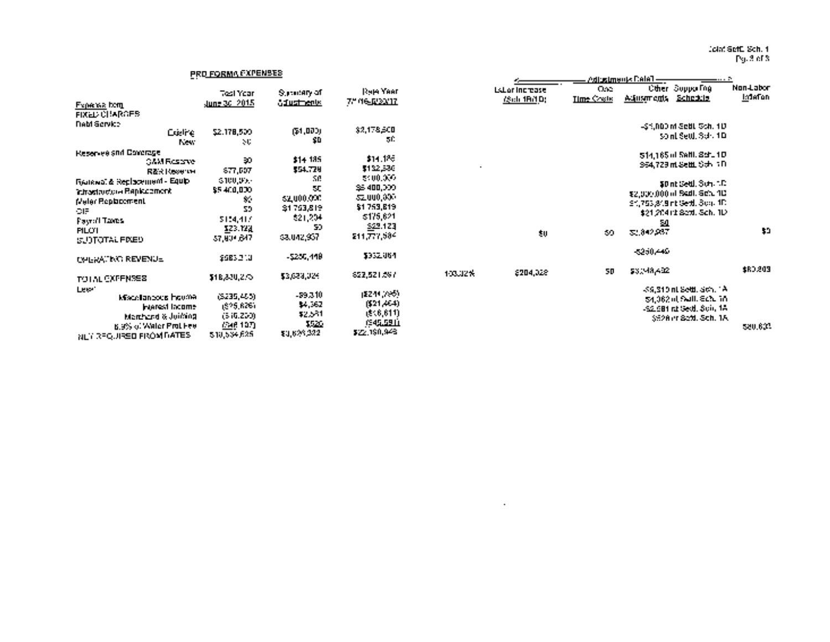Joint SeW. Sch. I Pg. 3 of 3

### PRO FORMA EXPENSES

| Froecas form                      | <b>Tosi Year</b><br>June 36, 2015 | Superiory of<br><b>diustrents</b> | <b>Raja Year</b><br>7." 46 <u>. provin</u> |           | <b>EsLor Increase</b><br><i><b>iSch 18/10:</b></i> | -Cap<br><b>Time Costs</b> | Adjustments <u>Schedule</u> | <b>Ciper Supportug</b>         | <u>MON-LODOT</u><br><b>Interior</b> |
|-----------------------------------|-----------------------------------|-----------------------------------|--------------------------------------------|-----------|----------------------------------------------------|---------------------------|-----------------------------|--------------------------------|-------------------------------------|
| <b>FIXED CHARGES</b>              |                                   |                                   |                                            |           |                                                    |                           |                             |                                |                                     |
| <b><i><u>Dabi Service</u></i></b> |                                   |                                   | 32,178,500                                 |           |                                                    |                           |                             | -\$1,000 m Settl Sch. 1D       |                                     |
| <b>Cudine</b>                     | \$2.178,500                       | <b>GM,000)</b>                    | 50                                         |           |                                                    |                           |                             | sont Seut, Sch. 1D.            |                                     |
| <b>New</b>                        | $\sim 1$                          | φD                                |                                            |           |                                                    |                           |                             |                                |                                     |
| Reservee and Dororage.            |                                   |                                   |                                            |           |                                                    |                           |                             | \$14,165 of Selfi, Schult D.   |                                     |
| <b>GAM Reserve</b>                | 50                                | \$14,135                          | \$14,1%                                    | $\bullet$ |                                                    |                           |                             | 954,729 m.SettL Sch. 1D.       |                                     |
| RZR Recente                       | 677,007                           | \$54.724                          | \$182,586                                  |           |                                                    |                           |                             |                                |                                     |
| Полема: & Replacement - Еquip     | <b>STUUDY</b>                     | 50.                               | 5400.000                                   |           |                                                    |                           |                             | \$0 nt Settl, Sch. 1.D.        |                                     |
| <b>Introdited the Bapkermont</b>  | \$5,400,000                       | SC.                               | \$400,000                                  |           |                                                    |                           |                             | \$2,009,000 of Sadt, Setu 1D   |                                     |
| <b>Meler Replacement</b>          | $\mathcal{H}_{\mathcal{A}}$       | \$2,000,000                       | 52,000,000                                 |           |                                                    |                           |                             | 31,753,819 nt Gettl, Sco., 1D. |                                     |
| CIF.                              | 59                                | \$1753,819                        | \$1,759,819                                |           |                                                    |                           |                             | \$21,204 (t Sex), Sch. 1D      |                                     |
| Payrol Taxes                      | 5154,417                          | \$21,204                          | \$175,621                                  |           |                                                    |                           |                             |                                |                                     |
| <b>PILOT</b>                      | 323.YZA                           | 50                                | \$25,123                                   |           |                                                    |                           | -54                         |                                | $\ddot{\phantom{1}}$                |
| SUITOTAL FIXED                    | 37,804,647                        | sa.un2,957.                       | 211,777,584                                |           | $\pmb{\epsilon}$                                   | 59                        | 32,842,937                  |                                |                                     |
|                                   |                                   |                                   |                                            |           |                                                    |                           |                             |                                |                                     |
| <b>CHERATION REVENUE</b>          | \$983.2M                          | $-5250,449$                       | \$352.064                                  |           |                                                    |                           | -5250,449                   |                                |                                     |
|                                   |                                   |                                   |                                            |           |                                                    |                           |                             |                                |                                     |
|                                   | \$18,330,2.0                      | \$3,639,024                       | 822,521,597                                | 103.32%   | \$204,028                                          | 50                        | \$3,98,402                  |                                | \$RJ.209                            |
| TO I AL CXPENSES.                 |                                   |                                   |                                            |           |                                                    |                           |                             |                                |                                     |
| Letter.                           | (5235, 455)                       | $-59.310$                         | (5244,295)                                 |           |                                                    |                           |                             | -39,310 nt Settl. Sch. 1A.     |                                     |
| Miscellaneous hourrel             | 1825,6261.                        | \$4,362                           | (521, 464)                                 |           |                                                    |                           |                             | 54,062 of Sulf. Sch. 16.       |                                     |
| <b>Francol lacome</b>             |                                   | \$2,531                           | (5.6, 611)                                 |           |                                                    |                           |                             | -52.5B1 rd Sedi, Sch. 1A       |                                     |
| Robbind & Juicepa                 | (546.200).                        | 1520                              | <b>IC45,5911</b>                           |           |                                                    |                           |                             | \$528 m Sett, Sch. 1A          |                                     |
| <b>B.9% of Water ProLinee</b>     | Web 107)                          | \$1,608,322                       | \$22,190,948                               |           |                                                    |                           |                             |                                | 520,603                             |
| NET REQUIRED FROM DATES.          | \$10,534,625                      |                                   |                                            |           |                                                    |                           |                             |                                |                                     |

|                               | <u>PRO FORMAL ALENSES</u>         |                                   |                                               |         |                                      |                           | Adiustments Catal - | - - - -                             |                                  |
|-------------------------------|-----------------------------------|-----------------------------------|-----------------------------------------------|---------|--------------------------------------|---------------------------|---------------------|-------------------------------------|----------------------------------|
| Free was born.                | <b>Tosi Yoar</b><br>June 30, 2015 | Superiory of<br><b>diustrents</b> | <b>Raje Year</b><br>7." 46 <u>. [233.17</u> ] |         | <b>EsLor Increase</b><br>79ch 18/10; | One.<br><b>Time Costs</b> | A40am cms           | Other Supporting<br><b>Schedule</b> | <b>Non-Labor</b><br><b>Infan</b> |
| PIXED CHARGES.                |                                   |                                   |                                               |         |                                      |                           |                     |                                     |                                  |
| 1AM SCIVICE<br><b>Cudre</b>   | \$2.178,500                       | (51, 000)                         | \$2,178,500                                   |         |                                      |                           |                     | -\$1,000 m Settl Sch. 1D            |                                  |
| <b>New</b>                    | $\sim 10$                         | SD.                               | БĖ.                                           |         |                                      |                           |                     | \$0 nl Settl, Sch. 1D               |                                  |
| teservee and Concrage.        |                                   |                                   |                                               |         |                                      |                           |                     | IS14,165 of Selfil, Schult D        |                                  |
| <b>GAM Reserve</b>            | 50                                | \$14,135                          | \$14,125                                      |         |                                      |                           |                     | 354,729 m Settl Sch. 1D.            |                                  |
| RZR Recente                   | 677,607                           | \$54,729                          | \$182,586                                     |         |                                      |                           |                     |                                     |                                  |
| īsukvaī & Replacement - Еquip | <b>STOUTH:</b>                    | -50                               | 5100,000                                      |         |                                      |                           |                     | \$0 nt Settl, Sch. 1.D.             |                                  |
| rtrastaveto e Bapiscomenti    | \$5,400,000                       | 50                                | \$6400,000                                    |         |                                      |                           |                     | \$2,009,000 of Sadt, Set, 101       |                                  |
| Veler Replacement :           | $\mathcal{H}_\mathrm{c}$          | \$2,000,000                       | 32.000,000                                    |         |                                      |                           |                     | 31,753,849 nt Gettl, Sco., 1D.      |                                  |
| 21F                           | 59                                | \$1763,819                        | \$1759,819                                    |         |                                      |                           |                     |                                     |                                  |
| Payroll Taxtes                | 5124,417                          | \$21,204                          | 5175.621                                      |         |                                      |                           |                     | \$21,204 (t Sex), Sch. 1D           |                                  |
| <b>PILOT</b>                  | 323.YZJ                           | 50                                | \$25.123                                      |         |                                      |                           | 54                  |                                     | \$0.                             |
| SUOTOTAL FIXED.               | 37,804,647                        | 63.042,957                        | 211,777,584                                   |         | -50                                  | -99                       | 32,842,937          |                                     |                                  |
| <b>CHERATING REVENUE</b>      | \$9832.U                          | -5250,448.                        | \$352,064                                     |         |                                      |                           | -5250,449           |                                     |                                  |
| PO LAL CXPENSES.              | \$18,320,2.00                     | \$3,633,024                       | 622,521,597                                   | 103.32% | \$204,028                            | 50                        | \$3,98,432          |                                     | \$RJ.209                         |
| Letori                        |                                   |                                   |                                               |         |                                      |                           |                     | -39,310 nt Settl. Sch. 1A           |                                  |
| Miscellaneous houses          | (6235,465)                        | -59.310.                          | (2244, 285)                                   |         |                                      |                           |                     | 54,062 of Sulf. Sch. 16.            |                                  |
| <b>Francol lacome</b>         | (625,626)                         | \$4,362                           | (521, 464)                                    |         |                                      |                           |                     | -32.981 nt Sevil, Suit, 18          |                                  |
| Marchard & Juilding           | (510.250)                         | \$2,541                           | (5.6, 611)<br>(945.591)                       |         |                                      |                           |                     | \$928 m Settl, Sch. 1A              |                                  |
|                               | 20 20 30 M                        | <b>REAL</b>                       |                                               |         |                                      |                           |                     |                                     |                                  |

 $\sim 10^{-11}$ 

S20.60L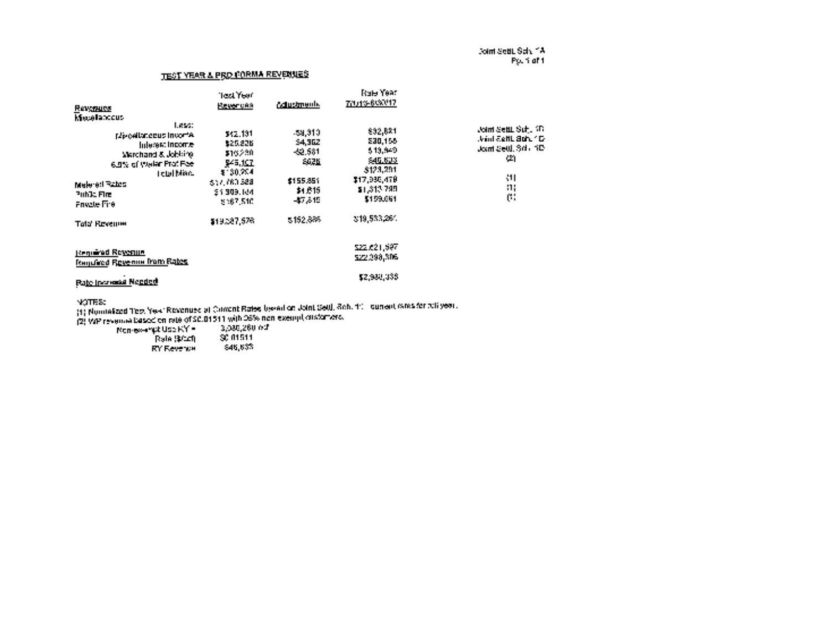Joint SeW. Sch. IA Pg. <sup>1</sup> of I

### TEST YEAR & PRO FORMA REVENUES

| <b>Revenues</b>                                                                                                                                                                                       | <b>Tect Year</b><br><b>Revences</b>                                                                         | <b>Adustments.</b>                                                                            | <b>Rale Year</b><br>70.43-663247                                                                                   |                                                                                                                                     |
|-------------------------------------------------------------------------------------------------------------------------------------------------------------------------------------------------------|-------------------------------------------------------------------------------------------------------------|-----------------------------------------------------------------------------------------------|--------------------------------------------------------------------------------------------------------------------|-------------------------------------------------------------------------------------------------------------------------------------|
| <b>Messlandeus</b><br>Less:<br><b>No cellanceus invorte.</b><br>Interest Income-<br>Marchand & Jobbine<br>6.8% of Waler Prof.Fee<br>Tetal More<br>Malered Rates<br>Public Fire<br><b>Frivate Fire</b> | 542.131<br>\$25,226<br>\$16230<br>-945, J <u>CT</u><br>\$ 30.754<br>307.760.528<br>\$1,309,164<br>\$567,510 | -59.310.<br><b>54,302</b><br>-52.581<br>56711<br>\$155,851<br>\$1,615<br>-87.849<br>\$152,685 | 892,681<br>E30,158<br>513,349<br>\$45,602<br>\$123,201<br>\$17,995,478<br>21.313.795<br>\$159,661<br>3:19.533,264. | <b>Joint SettL Suft 10</b><br>thank a shine and a fact that<br>Joint Seul, Side, ND<br>42)<br>411<br>$\mathbf{a}$<br>$\mathfrak{g}$ |
| <b>Tala Revenue</b><br>Regulated Ro <u>verne</u><br>Transfered Revenue from Rates<br><b>Pate Increase Negged</b>                                                                                      | \$19,287,576                                                                                                |                                                                                               | 522.621.697<br>\$22,098,806<br>\$2,980,038                                                                         |                                                                                                                                     |

NOTES:

(1) Normalized Test Year Revenues at Current Rates based on Joint SetH. Sch. 11 current rates for full year.

(2) WP revenue based on rate of \$0.0151 <sup>1</sup> with 95% nonexempt customers. Nonexempt Use RY = 3,086.260 ccf

| Rale (\$010).     | SC 01511 |
|-------------------|----------|
| <b>RY Revenue</b> | 846,633. |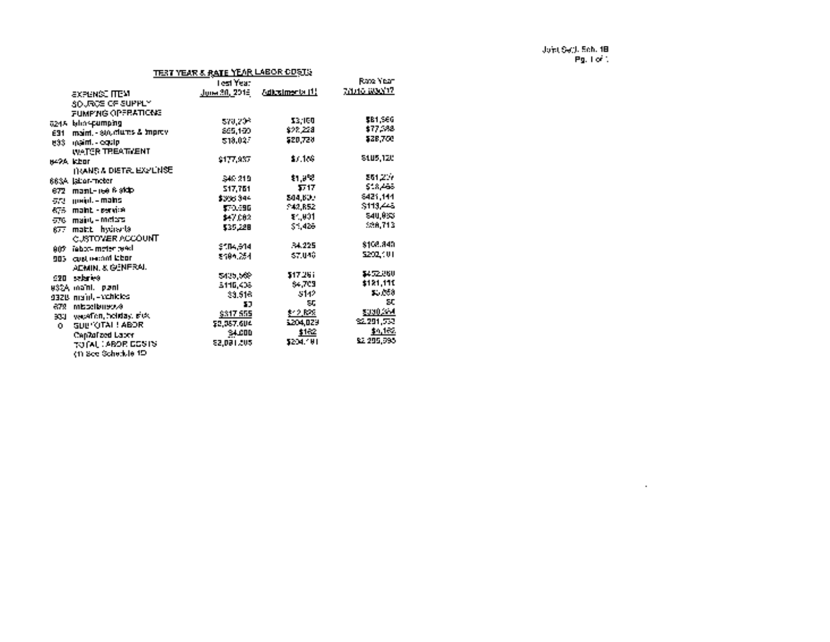$\mathcal{L}^{\mathcal{L}}(\mathcal{L}^{\mathcal{L}})$  and  $\mathcal{L}^{\mathcal{L}}(\mathcal{L}^{\mathcal{L}})$ 

|           |                                 | TEST YEAR & R <u>ATE YEAR LABOR ODSTS</u> |               |                     |
|-----------|---------------------------------|-------------------------------------------|---------------|---------------------|
|           |                                 | Test Year                                 |               | Rate Year           |
|           | ахэьмээ гтом                    |                                           |               | <u> 78046 WAND?</u> |
|           | <b>SOURCE OF SUPPLY</b>         |                                           |               |                     |
|           | <b>FUMPING OPERATIONS</b>       |                                           |               |                     |
|           | 624.4 lalin <b>-pumping</b>     | 570.20%                                   | 33.100        | \$61,566            |
| E31       | maint, - stoletures & imprev    | 865,150                                   | \$28,228      | \$77,588            |
|           | 833 maint - equip-              | 518.02.7                                  | 520,728       | \$28,760            |
|           | WATER TREATMENT                 |                                           |               |                     |
| ne?A ktor |                                 | 9177.957                                  | \$7.186       | 5105,120            |
|           | <b>ITIANS A DIETAL EXPLINSE</b> |                                           |               |                     |
|           | 663A (abor-meter                | 340-219                                   | \$1,9%?       | 261,217             |
|           | 672 mant-ree 6 stdp             | 517.761                                   | 517           | 518,468             |
|           | द्धारा - mains - mains          | \$336,944                                 | \$44.600      | 6421,144            |
|           | 675 maint - pervise             | 570.696                                   | 943.R52       | S113.445            |
|           | 576 majul - meters              | \$47,082                                  | 11,801        | \$40,933            |
|           | 677 mai:L hydraria              | 535,228                                   | \$1,426       | 538.713             |
|           | CUSTOMER ACCOUNT                |                                           |               |                     |
|           | 907 Tebot- moter tead           | 9504.914                                  | 34.225        | \$108.840           |
|           | 905 cost record labor.          | 8496.254                                  | <b>AT 140</b> | 5202.101            |
|           | ADMIN. & GENERAL                |                                           |               |                     |
|           | 920 sebres                      | 5405.562                                  | \$17.261      | \$452,060           |
|           | u32A maîni, p⊘ni                | 5116,408                                  | 54,705        | \$121,110           |
|           | 932B mainh-ychicles             | 33,516                                    | -5142         | A. Cod              |
|           | ervensitions 878                | 57                                        | 50            | SC.                 |
|           | soul weather, holiday, pick     | \$317,555                                 | 31.2 Kes      | \$000,004           |
| О.        | <b>SUPROTAL LABOR</b>           | E2.357.604                                | 5204.029      | 22.291.753          |
|           | Cap7olized Labor                | 34.000                                    | \$152         | dia ferre           |
|           | TO GALL ARO PLC 5 YO            | 52.091.505                                | 5204.101      | \$2,295,595         |
|           | ≀m See Scherkle 1D              |                                           |               |                     |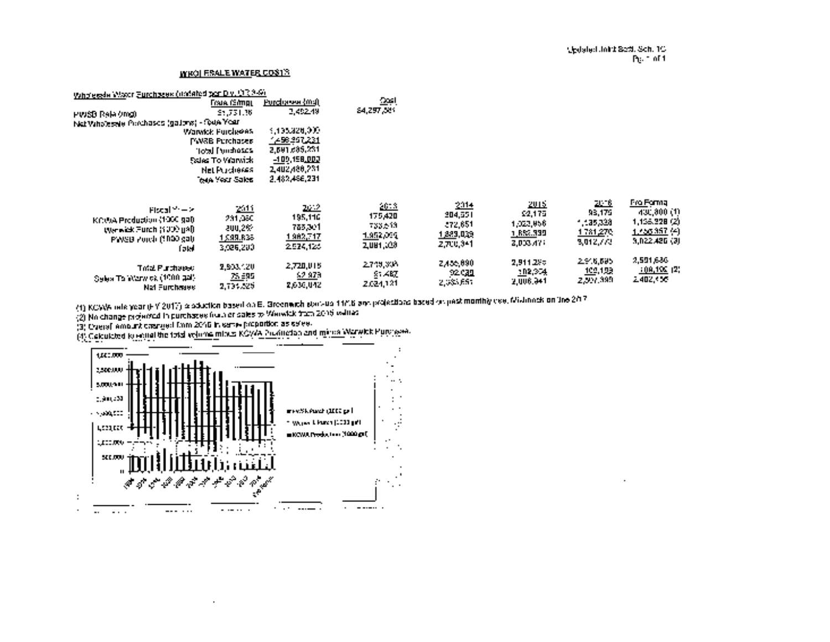### WHOLESALE WATER COSTS

| Wholesale Watch Eurohages (underloding Div. U.S.3-9).                                                               |                                                                                                   |                                                                                           |                                                                |                                                        |                                                                  |                                                                  |                                                                                 |
|---------------------------------------------------------------------------------------------------------------------|---------------------------------------------------------------------------------------------------|-------------------------------------------------------------------------------------------|----------------------------------------------------------------|--------------------------------------------------------|------------------------------------------------------------------|------------------------------------------------------------------|---------------------------------------------------------------------------------|
|                                                                                                                     | Frank (Simp),                                                                                     | <u>Purchasee (ma)</u>                                                                     | امت                                                            |                                                        |                                                                  |                                                                  |                                                                                 |
| PWSB Releating)                                                                                                     | 21.731.36                                                                                         | 2,452.49                                                                                  | \$4,297,589                                                    |                                                        |                                                                  |                                                                  |                                                                                 |
| Net Vahalessie Porchases (galons) - Gua Year                                                                        | Warwick Furcheess                                                                                 | 4,435,320,000                                                                             |                                                                |                                                        |                                                                  |                                                                  |                                                                                 |
|                                                                                                                     | PW3B Purchases<br>aasdenuf letoi"<br>Sales To Warwick.<br><b>Net Purchases</b><br>iote Year Sales | 7498.357 <u>,221</u><br>2,691,685,231<br>$-100,158,002$<br>2,402,486,231<br>2.482,496,231 |                                                                |                                                        |                                                                  |                                                                  |                                                                                 |
| Piscal from St<br>KCCRA Production (1000 gal)<br><b>Werwick Furch (1000 gal)</b><br>PWSB Porch (1890 gal)<br>f at d | <u>2014</u><br>231,060<br>200,2%<br>1,099.R36<br>3,026,200.                                       | <u>2. 2</u><br>195,116<br>783,301<br>1982,717<br>2524,126                                 | 2 <u>613</u><br>175,420<br>733,513.<br>1,952,095.<br>2,084,008 | 2014<br>204,551<br>-572,651<br>1,883,039,<br>2,700,941 | <u> 2015.</u><br>\$2,175<br>1,023,856<br>1, RSG.999<br>2,003.474 | <u> 21 - 6</u><br>93,175<br>- 135,328<br>1781,270,<br>3,012,772. | Fro Formal<br>(430, 300, 11)<br>1,155,228 (2)<br>1.256 357 (4)<br>9,022,426 (3) |
| Trid Purchased I<br>Selex To Warw ok (1000 gal)<br>Nat Furchmave.                                                   | 2,803.120<br>25.695<br>2,734,525                                                                  | 2,720,015<br>52 979<br>2,636,042                                                          | 2.749,308<br>81.AM<br>2.024,121                                | 2,456,090<br>92 CAL<br>2,035,661                       | 2,911.2%%<br>102,974<br>2,006.941                                | 2.916,695<br><u>109,199</u><br>2,997,399                         | 2,591,686<br>$\frac{100,100}{2}$ (2)<br>2,402,405                               |

(1) KCWA rate year (FY 2017) production based onE. Greenwich startup 11/16 and projections based on past monthly use, Mishnock online 2117

(2) No change projected in purchases from or sales to Warwick from 2015 values

(4) Calculated to equal the total volume into a located production and injural Marwick Hatvitses<br>{3} Overall amount castaled from 2016 in same broborood as sales.

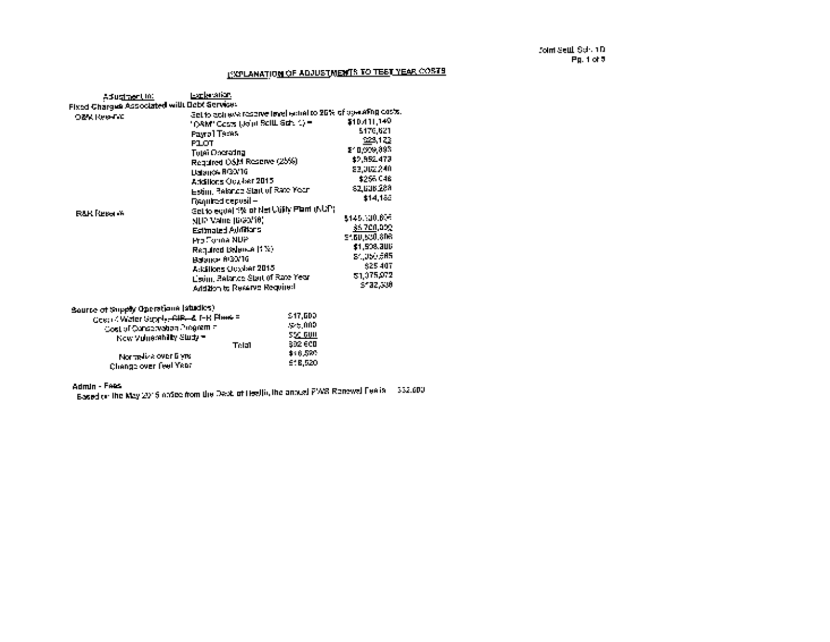# **EXPLANATION OF ADJUSTMENTS TO TEST YEAR COSTS**

| AduginerUni                                                           | <b>Latisfation</b>                                            |               |
|-----------------------------------------------------------------------|---------------------------------------------------------------|---------------|
| Fixed Charges Associated will Debt Service:                           |                                                               |               |
| <b>OZKINGHAL</b>                                                      | Set to eclips a reserve line! which to 20% of uswaring casts. |               |
|                                                                       | " DAM" Costs (John Soll), Sdr. 1) =                           | \$10.411,140  |
|                                                                       | Payrol Teces                                                  | 5470.621      |
|                                                                       | <b>PLOT</b>                                                   | 223,122       |
|                                                                       |                                                               | \$10,009,893  |
|                                                                       | <b>Tutei Oncrading</b>                                        | \$2,952,473   |
|                                                                       | Required OSM Reserve (25%)                                    |               |
|                                                                       | Dataros RGO/16                                                | 23,002,240    |
|                                                                       | Additions Ocasier 2015                                        | \$256,048     |
|                                                                       | Esting Reformed Start of Rate Your                            | \$2,636.289   |
|                                                                       | Figguired depubli -                                           | \$14,188      |
|                                                                       | Get to equal 3% of Net Willy Plant (NUP)                      |               |
| <b>BAR Reserve</b>                                                    |                                                               | \$145,500,606 |
|                                                                       | <b>MUP VAND BREV10)</b>                                       |               |
|                                                                       | Estimated Additions                                           | 35.700,000    |
|                                                                       | <b>Pro Forma NUP</b>                                          | 5460,630,808  |
|                                                                       | Required Dalamet (129)                                        | \$1,508,300   |
|                                                                       | Вааки 6/33/10                                                 | \$4,050,005   |
|                                                                       |                                                               | \$25,407      |
|                                                                       | A: Elitons October 2015                                       | 51.075.072    |
|                                                                       | Listing Belance Start of Rate Year                            |               |
|                                                                       | Addition to Reserve Required                                  | \$132,300     |
| Source of Supply Operations (studies)                                 |                                                               |               |
|                                                                       | 547.600                                                       |               |
| Gesti 4 Water Supply-BIR- & T-R Plane =<br>a i a franceschen Johann – | 30 h 000                                                      |               |

| -Cost of Conservation Program = I<br>New Voluershilly Study = | Trini | -55C GUN<br>1302 GCD   |
|---------------------------------------------------------------|-------|------------------------|
| Normalize over time<br>Change over feel Year                  |       | \$16,570.<br>191 B.520 |

Admin - Fees

 $\frac{1}{2}$  Based on the May 2015 notice from the Dept. of Health, the annual PWS Renewal Fee is  $\frac{1}{2}$  332,500.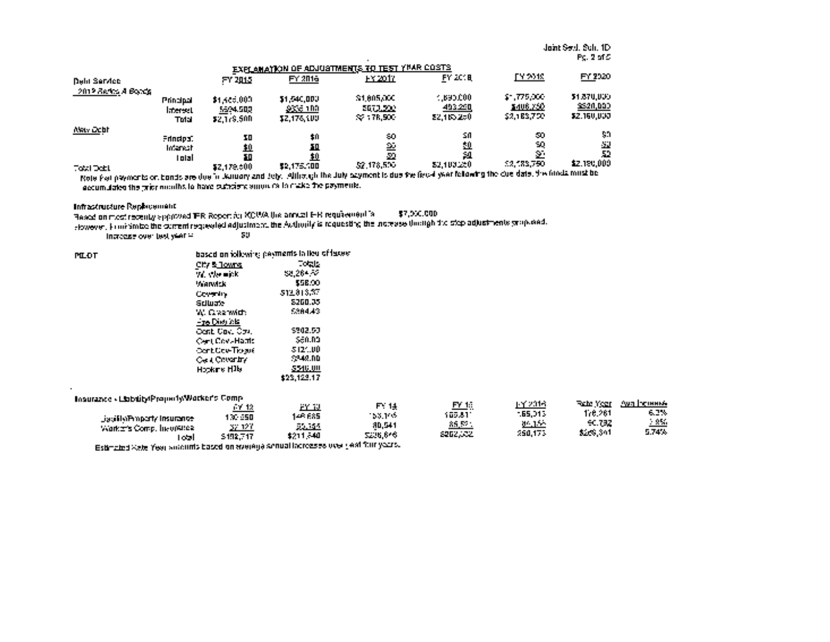Joint Seth. Sch. ID Pg.2of5

|                     |                                       |                                        | EXPLAINATION OF ADJUSTMENTS TO TEST YVAR COSTS. |                                                          |                                        |                                        |                                              |
|---------------------|---------------------------------------|----------------------------------------|-------------------------------------------------|----------------------------------------------------------|----------------------------------------|----------------------------------------|----------------------------------------------|
| Delii Service       |                                       | FY 2015                                | FY 2016                                         | <u>EY 2017.</u>                                          | <b>FY 2018</b>                         | FY 2019.                               | FY 2020                                      |
| 2012 Series A Boads | Principal<br><b>Interest</b><br>Tulal | \$1,486,000<br>5694,500<br>\$2.179.500 | \$1,540,000.<br>-9336 1 M<br><b>SZ.176.100</b>  | \$1,005,000<br>5673.2021<br>$\approx$ 178,500 $^{\circ}$ | 4.69000<br><u>493290</u><br>22.165.250 | 57.775,000<br>\$406,750<br>\$2,188,750 | 51.870.000<br>3320,000<br><b>\$2.160.000</b> |
| Akty Ocht           | Frindos:<br><b>Internal</b><br>Total  | 30<br><u>40</u><br>łО<br>\$2,179,000   | \$0<br>30.<br>\$0<br>\$2,175.100                | 50<br>巠<br>-20<br>52,178,500                             | S0<br><u>50</u><br>51<br>23.100.250    | 50<br>50,<br>S.<br>12,183,750          | 80<br>51<br>52<br>\$2,190,000                |
| <b>Total Debt</b>   |                                       |                                        |                                                 |                                                          |                                        |                                        |                                              |

Note that payments on bonds are due in January and July. Although the July payment is due the fiscal year following the due date, the funds must be accumulated the prior months to have sufficient amounts to make the payments.

Infrastructure Replacement

 $\ddot{\phantom{1}}$ 

Based on most recently approved IFR Report for KCWA the annual IFR requirement is \$7,000,000

However, to minimize the current requested adjustment, the Authority is requesting the increase through the step adjustments proposed.

Increase over test year  $\Xi$  .

| <b>MLDT</b>                                  | based on idlewing payments to the offereign |             |  |  |  |
|----------------------------------------------|---------------------------------------------|-------------|--|--|--|
|                                              | <u>Chris Towns</u>                          | Totals      |  |  |  |
|                                              | W. Obelink                                  | 58,264,52   |  |  |  |
|                                              | <b>Warwick</b>                              | \$58.00     |  |  |  |
|                                              | Covering                                    | 512,813,37  |  |  |  |
|                                              | <b>Sciluate</b>                             | 8260.35     |  |  |  |
|                                              | W. Grazmith                                 | 5384.43     |  |  |  |
|                                              | <b>Fre Division</b>                         |             |  |  |  |
|                                              | Cent Cay, Cou,                              | 5902.53     |  |  |  |
|                                              | Cent CoveHattle                             | -560.DD     |  |  |  |
|                                              | <b>Cont Cov-Trogue</b>                      | -3121.00    |  |  |  |
|                                              | Cell Covering                               | 5248.DD     |  |  |  |
|                                              | Hopkins H <sup>i</sup> lb                   | 5546.00     |  |  |  |
|                                              |                                             | \$23,122.17 |  |  |  |
|                                              |                                             |             |  |  |  |
| Insurazice - LiabilityPropertyWorker's Comp. |                                             |             |  |  |  |

|                            | r 12      | لتنتق          | F 14     | FY 1.:            | 1 Y 2016 | Tale Year | луа Генина |
|----------------------------|-----------|----------------|----------|-------------------|----------|-----------|------------|
|                            | I 70-950. | IAP 685        | 153.165  | _____<br>105.VT   | -65.313  | 176,261   | 6.2%       |
| Jacilla Property Insurance | -37.127   | <u> 22.154</u> | 80.SA1   | 85.52             | 05.155   | 50.732    | - 950      |
| Warker's Comp. Involving   | 5492.747  | \$211.540      | 5206,646 | <u> 2002. – 2</u> | 250,173  | \$258,301 | 5.74%      |
| ozl                        |           |                |          |                   |          |           |            |

Estimated Rate Year amounts based on average annual increases over past four years.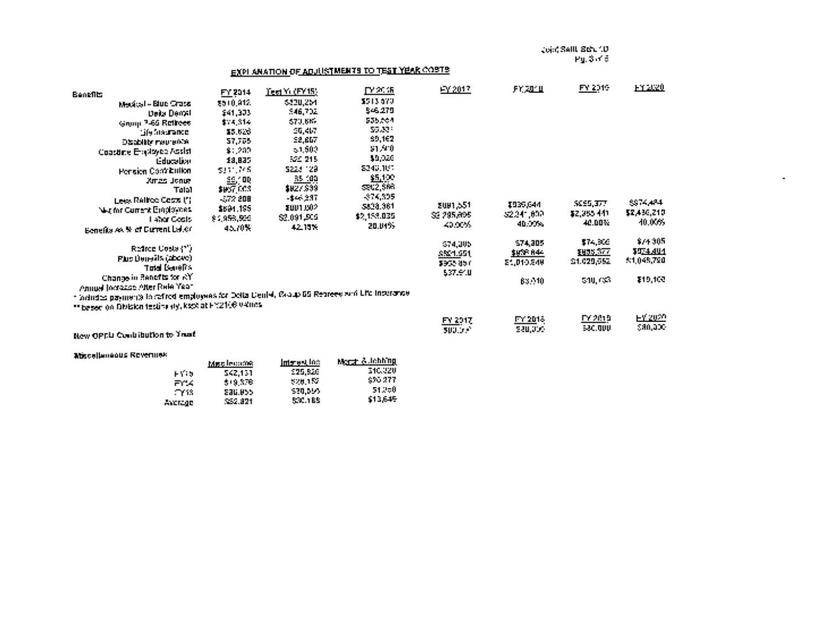Joint Settl. Sch. ID Pg. 3 of 5

 $\sim$ 

### EXPLANATION OF ADJUSTMENTS TO TEST YEAR COSTS

| <b>Benefits</b>                                                                               | FY 2014                                  | Tea Yu (FY15).  | гү жив      | FY 2017         | .FY. 2011     | FY 2019          | <b>FILER</b> |
|-----------------------------------------------------------------------------------------------|------------------------------------------|-----------------|-------------|-----------------|---------------|------------------|--------------|
| Medical - Blue Crassi                                                                         | 2510,812                                 | 6830,264        | 5513570     |                 |               |                  |              |
| Data Denal                                                                                    | <b>\$41,333</b>                          | 546,702         | \$46.279    |                 |               |                  |              |
| Grupp 7-65 Retirees                                                                           | \$15,314                                 | <b>S70.6K-</b>  | 535,564     |                 |               |                  |              |
| ція біясталов.                                                                                | \$5,626                                  | 25.4b7          | 55.30%      |                 |               |                  |              |
| <b>Disability methods</b>                                                                     | 57,705                                   | 52,667          | \$9,162     |                 |               |                  |              |
| Coastine Englayee Assist                                                                      | \$:202                                   | $-1.500$        | \$1,910     |                 |               |                  |              |
| <b>Education</b>                                                                              | 18,835                                   | 52C 215         | 49,926      |                 |               |                  |              |
|                                                                                               | 5311.768                                 | 2224 129        | 8240.167    |                 |               |                  |              |
| Pension Contribution<br><b>Artis Jonet</b>                                                    |                                          | 35.100          | \$5,100     |                 |               |                  |              |
| Talal                                                                                         | $\overline{\mathbb{R}}$ and<br>\$957,003 | \$827,999       | \$202,666   |                 |               |                  |              |
|                                                                                               | $-572.208$                               | -\$44,237       | -374,305    |                 |               |                  |              |
| Lees Railroc Costs (")                                                                        | \$691.195                                | <b>EUU1.002</b> | 5828,361    | <b>EUN1.551</b> | 1935,644      | <b>SCES, 377</b> | 8874844      |
| Net for Current Einglowes.                                                                    | \$1,953,500                              | 52,091,505      | \$2,153,035 | \$2,295,895     | 32.241.002    | \$2,965,441      | 52,430,210   |
| Lahar Costs.                                                                                  | 45.70%.                                  | 42.15%          | 20.04%      | 40,00%          | 40.00%        | 42.DD%           | 40.00%       |
| Benefits so. Wet Durrent Labor                                                                |                                          |                 |             |                 |               |                  |              |
|                                                                                               |                                          |                 |             | 674,005         | 574, 305      | \$74,905         | \$74,305     |
| Refined Costa (**)                                                                            |                                          |                 |             | \$524.651       | \$638.844     | \$155,377        | 1974.401     |
| Phis Denesils (above)                                                                         |                                          |                 |             | 1955-857        | 21,010,540    | 21.029.552       | 3:1,048,720  |
| <b>Tald Develos</b>                                                                           |                                          |                 |             | 537.640         |               |                  |              |
| Change in Benefits for AY                                                                     |                                          |                 |             |                 | <b>BS 210</b> | 540, CSB         | \$19,100     |
| Annual Increase After Rele Year                                                               |                                          |                 |             |                 |               |                  |              |
| 1 inductos payments la ceñed employees for Delta Deniel, Reaup 65 Representati Life Insurance |                                          |                 |             |                 |               |                  |              |
| ** based on Division testing (ty, kept at FY2106 040es)                                       |                                          |                 |             |                 |               |                  |              |
|                                                                                               |                                          |                 |             | FY 2017         | FY 2018       | FY 2019.         | EY 2020      |
|                                                                                               |                                          |                 |             | <b>SUULD *</b>  | 520,000       | 580.000          | 580,000      |
| New OPEN Conditionto to Year!                                                                 |                                          |                 |             |                 |               |                  |              |

Miscellaneous Revenues

| 542.151<br>819.376. | 1995.820<br>320.152 | Merch & lehhing<br>516,220<br>SPO 277 |
|---------------------|---------------------|---------------------------------------|
| <b>SAU.U55</b>      | 530.595<br>527.188  | 51250<br>\$13.645                     |
|                     | 322.821             | <u>Interval I</u> nc.<br>Miscleonie:  |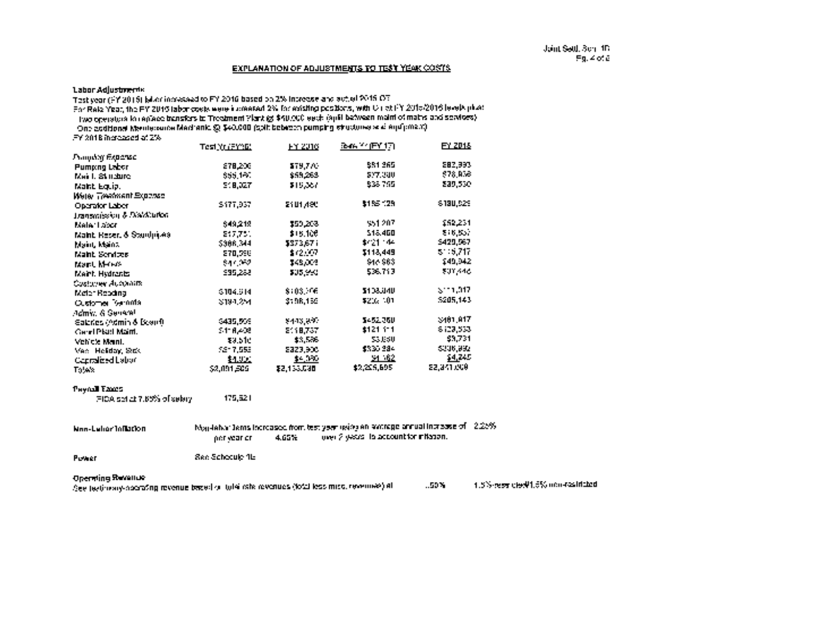#### EXPLANATION OF ADJUSTMENTS TO TEST YEAR COSTS

#### Labor Adjustments

Test year (FY 2015) labor increased to FY 2016 based on 2% increase and actual 2015 OT

For Rate Year, the FY 2016 labor costs were increased 2% for existing positions, with OT at FY 201512016 levels plus:

Two operators to replace transfers to Treatment Plant @ \$40,000 each (split between maint of mains and services)

One additional Maintenance Mechanic © \$40,000 (split between pumping stwctures and equipment)

FY 2018 increased at 2%

|                                     | Test Yr (FYND) | <b>FY 2016</b> | 3-m Y (FY17) | <u>EY 2018</u> |
|-------------------------------------|----------------|----------------|--------------|----------------|
| Гъщит Екралис                       |                |                |              |                |
| <b>Pumeng Labor</b>                 | 278,200        | \$79,770       | \$81.365     | 282,993        |
| Mail: Stadure                       | \$55,160       | \$59,263       | 527.300      | 578, RSS       |
| Maint Equip.                        | 1918.DZT       | \$15,367       | 838,765      | 239.530        |
| Were Treatment Exposed              |                |                |              |                |
| Oberafor Labor                      | \$177,937      | SAUT AGU       | \$185.129    | 6180.929       |
| Transmission & Disk/Curlon          |                |                |              |                |
| Maler Labor                         | \$49,219       | \$20,208       | 551207       | \$52,231       |
| <b>Nant Resert &amp; Standmiles</b> | 217,751        | \$15,106       | 518.460      | 216.557        |
| Maint, Maint,                       | 5386.344       | \$373.671      | \$421.44     | \$429,567      |
| Maint, Sendoze                      | 270,596        | \$12,07        | \$118,449    | $5 - 5,717$    |
| <b>March Media</b>                  | 844052         | 248.003        | \$48,963     | 149,942        |
| Maint, Hydranic                     | 595.288        | \$35,950       | 536.713      | \$01,446       |
| Costover Augusts                    |                |                |              |                |
| McIer Reading                       | \$104.914      | \$103.16       | \$108.040    | $\geq$ 11.017  |
| Customer Serrints                   | 3194.254       | 3198.159       | \$202,000    | 5205.143       |
| <b>Jomy: &amp; Senant</b>           |                |                |              |                |
| <b>Eathers Odmin &amp; Beauft</b>   | \$435,509      | 8443,897       | 5452250      | \$401,817      |
| <b>Carel Platt Maint.</b>           | 51 A.A.R       | 2118.737       | \$121.11     | 8129,533       |
| Vehicle Mani.                       | 33.5 le        | \$3,506        | \$3,650      | \$3,731        |
| Mac Helday, Stak                    | 5217,553       | 2323,900       | \$330,284    | \$336,992      |
| <b>Cantalized Labor</b>             | 11.U.L         | \$4,000        | 31.62        | 54,245         |
| Totals:                             | \$2,091,509    | \$2,133,530    | \$2,255,695  | 52.341.000     |

#### Payroll Taxes

FICA set at 7.65% of salary 175,621

NonLabor Inflation Nonlabor items increased from test year using an average annual increase of 2.25%  $\frac{1}{2}$  years to account for inflation.

Power See Schedule 1E

#### Operating Revenue

See testimony-operating revenue based on total rate revenues (total less misc, revenues) at 1.44,6% and 1.5% next clevil1.5% non-restricted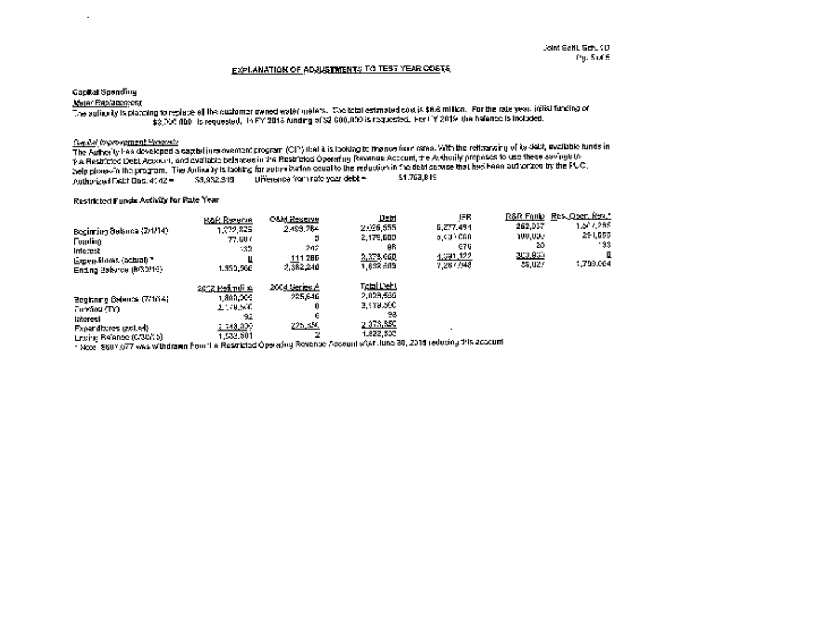#### EXPLANATION OF ADJUSTMENTS TO TEST YEAR COSTS

#### Capital Spending

 $\ddot{\phantom{a}}$ 

#### Meter Replacement

The authority is planning to replace all the customer owned water meters. The total estimated cost is \$6.6 million. For the rate year, initial funding of \$2,000,000 is requested. In FY 2018 funding of \$2,000,000 is requested. For FY 2019, the balance is included.

### Capital improvement Program

The Authority has developed a capital improvement program (CIP) that it is looking to finance from rates. With the refinancing of its debt, available funds in the Restricted Debt Account, and available balances in the Restricted Operating Revenue Account, the Authority proposes to use these savings to help phasein the program. The Authorization of the program could for a the reduction in the debt service that had been authorized by the PUC.<br>In outhorized fact: the stage service that in the program of the reduction in th Authorized Debt Doc. 4142 =

#### Restricted Funds Activity for Rate Year

| Boginning Belance (2/1/14)<br><b>Funling</b><br><b>Interest</b><br>Expenditures (achian *<br>Ending Balance (R/30/16)                                                                                                                                                 | <b>BAR Ryserie</b><br>1,072,825.<br>77.UU 0<br>- 12<br>Ц<br>1.350.566              | <b>CAM Reserve</b><br>2.493.284<br>Ð<br>242.<br>111 286<br>2,3R2,240 | 쁘<br>2:26.655<br>2,175,609<br>ūΒ.<br>2,379.060<br>1,632.509.               | IER.<br>6.277.494<br>aloga CGO.<br>G7U.<br><u>1.391.122</u><br>7.267798 | 262.937<br>ገሀሀ,ሀውታ<br>20<br><u> ELILONIA</u><br><b>CS, U2 /</b> | R&R Fould Res. Open Ren."<br>1.507.285<br>291,655<br>- 93<br>О<br>1,799.064 |
|-----------------------------------------------------------------------------------------------------------------------------------------------------------------------------------------------------------------------------------------------------------------------|------------------------------------------------------------------------------------|----------------------------------------------------------------------|----------------------------------------------------------------------------|-------------------------------------------------------------------------|-----------------------------------------------------------------|-----------------------------------------------------------------------------|
| <b>Beginning Belence (7/104)</b><br>Turring (TYT<br><b>Interest</b><br><b>Expanditures (ast.ed)</b><br><b>Littling Relance (GRUMS)</b><br>- several significant was withdrawn Fourthe Restricted Operating Research Account sfort June 30, 2018 reducing 1/15 account | 20 <u>02 Petruli 4</u><br>1 800.OCC.<br>2,70500<br>92<br>2, 148, 000.<br>1.532.501 | 2004 benev A<br>285,646<br>n<br>225,550                              | <b>Teblieft</b><br>2,029,536<br>3,419,500<br>92,<br>2.073,850<br>1,222.500 |                                                                         |                                                                 |                                                                             |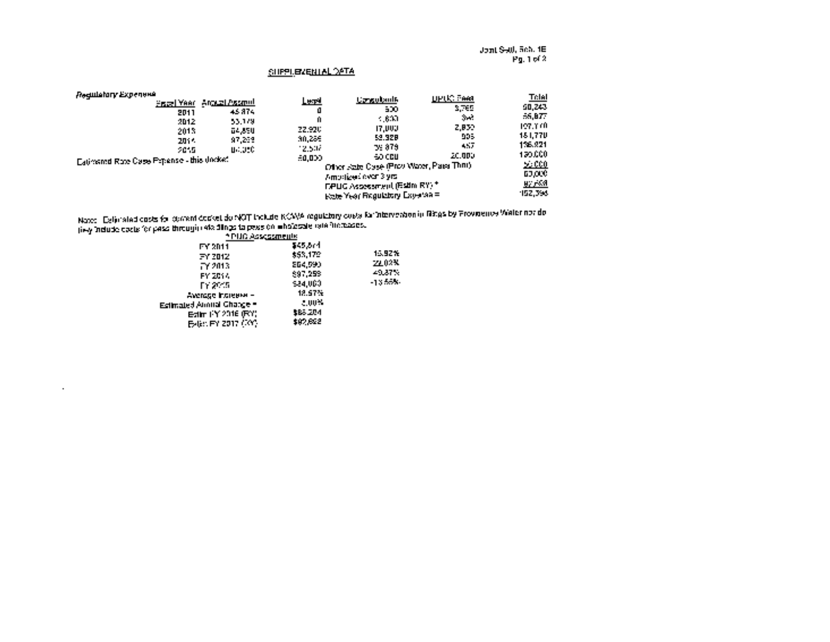Joint Settl. Sch. 1E Pg. <sup>1</sup> of 2

#### SUPPLEMENTAL DATA

| Ледшатагу Ехрепена<br>Piscel Year, Anguzi Assmul<br>45.874<br>2011<br>53.179<br>2012<br>2013<br>64.85U<br>97.259<br>2011<br><b>UMBEC</b><br>2015 | Letal<br>Ū<br>Ĥ<br>22,920<br>30,255<br>12.5 Hz | <b>Cangulaul6</b><br>500<br>- 610<br>17.UUJ<br>52.928<br><u>to: 879 </u>                                                                               | <b>UPUC Feet</b><br>3.765<br><b>Sect</b><br>2.832<br>995<br>A57 | <u>Telal</u><br>50,243<br>55.077<br>197.140<br>181,770<br>136,921 |
|--------------------------------------------------------------------------------------------------------------------------------------------------|------------------------------------------------|--------------------------------------------------------------------------------------------------------------------------------------------------------|-----------------------------------------------------------------|-------------------------------------------------------------------|
| Eatimeted Rote Case Popense - this docket                                                                                                        | 60.000                                         | 60 CCU.<br>Other State Case (Prov Water, Pass Thru)<br>Amodized aver 3 yrs.<br><b>DPUG Assessment (Estim RY) *</b><br>Eate Year Regulatory Expertise = | 20.000                                                          | 120,000<br><u> 2000 - </u><br>63,000<br>uy yaal<br>152,396        |

Note: Estimated costs for current docket do NOT include KCWA regulatory costs for intervention in filings by Providence Water nor do

| liew Indude casts for pass through rate aimas talpass on who cases raid interests. |          |        |
|------------------------------------------------------------------------------------|----------|--------|
| * PLIC Assessments                                                                 |          |        |
| FY 2011                                                                            | 545.674  |        |
| FY 2012                                                                            | \$53,172 | 15.92% |
| FY 2013.                                                                           | 264.590  | 22.02% |
| FY 2014                                                                            | \$97.259 | 49.87% |
| FY 2015.                                                                           | 524.000  | -1355% |
| Average Indianer -                                                                 | 12.57%   |        |
| Estimated Armital Change =                                                         | 2,00%    |        |
| Edit: FY 2016 (RY)                                                                 | \$63.204 |        |
| E-61: FY 2017 (101)                                                                | \$97,622 |        |
|                                                                                    |          |        |

 $\alpha$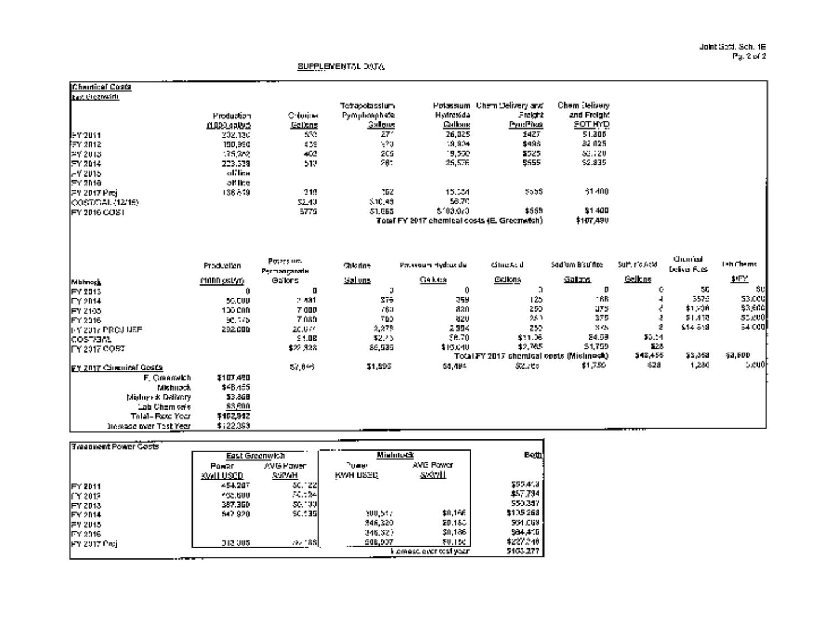Joint Setti. Sch. IE Pg. 2 of 2

### SUPPLEMENTAL DATA

| Chaidical Coata                 |                                   |                  |                 |                                              |                                          |                      |               |                     |                |
|---------------------------------|-----------------------------------|------------------|-----------------|----------------------------------------------|------------------------------------------|----------------------|---------------|---------------------|----------------|
| <b>Ibas, Gregorian</b>          |                                   |                  |                 |                                              |                                          |                      |               |                     |                |
|                                 |                                   |                  | Tetrapolassium  |                                              | Potassum, Chem Delivery and              | <b>Chem Jelivery</b> |               |                     |                |
|                                 | <b>Production</b>                 | <b>Orlington</b> | Pymphosphete    | Hydrosida                                    | Freight                                  | and Freight          |               |                     |                |
|                                 | <b>MARRAAMA</b>                   | مستنعا           | Salgus          | <b>Cathain</b>                               | Pyrr:Pive                                | <b>SOT HYD</b>       |               |                     |                |
| lemaus 1                        | 202.130                           | 559              | 271             | 26,025                                       | 1427                                     | 51.305               |               |                     |                |
| jev 2012.                       | 190,990                           | $\sim$           | - 21            | 19,904                                       | \$495                                    | 32 025               |               |                     |                |
| 12Y 2013.                       | 115,252                           | 402              | 205             | 19,500                                       | 3525                                     | 32,720               |               |                     |                |
| FY 2014                         | 223.338                           | 512              | 281             | 25,576                                       | 5555                                     | 52.835               |               |                     |                |
| l-Y 2015                        | <b>office</b>                     |                  |                 |                                              |                                          |                      |               |                     |                |
| jey znia                        | of the                            |                  |                 |                                              |                                          |                      |               |                     |                |
| FY 2017 Proj                    | 1366.19                           | 212              | 162             | 15.34                                        | 5505                                     | 51,400               |               |                     |                |
| QQSTUTIAL (12/15)               |                                   | 52.40            | 3, 11, 45       | 58.70                                        |                                          |                      |               |                     |                |
| IFY 2016 COST                   |                                   | 5779.            | 51.965          | $5 - 03.070$                                 | \$555                                    | \$1,400              |               |                     |                |
|                                 |                                   |                  |                 | Total FY 2017 chemical costs (E. Greenwich). |                                          | \$107,430            |               |                     |                |
|                                 | <b>Production</b>                 | Peters on:       | <b>Chicolne</b> | Prosseum Hydrocule                           | GineA: di                                | Sadium Bisulfite     | Suit include  | استسببك             | Teh Chems      |
|                                 |                                   | Permanytode      |                 |                                              |                                          |                      |               | <b>Deliver Fuck</b> |                |
| <b>Matmoph</b>                  | MADD ostwr                        | Gallers          | <u>دسامنا</u>   | Gakua                                        | <b>EXJERS</b>                            | محلتم                | <u>Gelbns</u> |                     | <u>如此</u>      |
| FY 2013                         | Ĥ                                 | П                | p.              | 0                                            | n,                                       | D                    | ¢.            | 55                  | 50             |
| FY 2014                         | 55.000                            | $-131$           | 375             | 259                                          | 125                                      | -RR                  |               | 3576                | 33.CCU         |
| JFY 2105                        | 100 000                           | <b>7 00P</b>     | .61             | 820                                          | 250                                      | 175                  |               | $$1 - 30$           | 53,600)        |
| FY 2016                         | $\mathcal{M} \subset \mathcal{M}$ | 7089             | 700             | 320                                          | 25.1                                     | 375                  |               | 51,450              | <b>55.000</b>  |
| HY 2017 PROJ USE                | 202000                            | 20.677           | 2,275           | 2,394                                        | 259                                      | $X \subseteq Y$      | 2             | $614 - 5:3$         | 64 CGUI        |
| lcostrant                       |                                   | 54.08            | \$2.45          | 56.70                                        | \$11.36                                  | 24.59                | \$0.04        |                     |                |
| IFY 2017 COBT                   |                                   | \$22,328         | 86,535          | \$15,640                                     | \$2,785                                  | 51,759               | 12.5          |                     |                |
|                                 |                                   |                  |                 |                                              | Total FY 2017 phemical costs (Mislinesb) |                      | \$48,455      | 58,358              | <b>\$3,600</b> |
| <b>IFY 2017 Circuitel Gosta</b> |                                   | 57,045           | 11,595          | 51,484                                       | <b>SZ 700</b>                            | \$1,750              | -828          | 1,280               | 5.cu0]         |
| F. Creamvich                    | \$107.490                         |                  |                 |                                              |                                          |                      |               |                     |                |
| Mishuach.                       | \$48,455                          |                  |                 |                                              |                                          |                      |               |                     |                |
| Moloev K Dalmary                | \$3,868                           |                  |                 |                                              |                                          |                      |               |                     |                |
| Lab Chemices                    | 33.500                            |                  |                 |                                              |                                          |                      |               |                     |                |
| <b>Tolal- Fact: Your</b>        | \$152,912                         |                  |                 |                                              |                                          |                      |               |                     |                |
| Increase over Test Year         | \$122.393                         |                  |                 |                                              |                                          |                      |               |                     |                |

|                 | East Greenwith   |                 | <b>Mishnotk</b> |                         | <b>Both</b>    |
|-----------------|------------------|-----------------|-----------------|-------------------------|----------------|
|                 | Power            | AVG Pawer       | "uaan           | <b>AVE Pawer</b>        |                |
|                 | <u> KWILUSED</u> | <b>AWWH</b>     | KWH USED        | <u>ssoall</u>           |                |
| <b>IFY 2011</b> | $-54.207$        | 30. IZZI        |                 |                         | 2554.3         |
| JCY 2013        | 765,600          | 20. OK          |                 |                         | 457.734        |
| <b>IFY 2013</b> | 387.360          | .sc - 00        |                 |                         | 550.347        |
| IFY2014         | 547.920          | <b>SC.: 351</b> | 100,547         | \$0,156                 | \$105268       |
| <b>IFY 2015</b> |                  |                 | 346,320         | 20.153                  | <b>501.009</b> |
| <b>IFY 2016</b> |                  |                 | 246.323         | 30,186                  | 584.410        |
| IFY 2017 Proj   | 313,005          | . <b>.</b>      | 908.907         | 30.ISC                  | \$227.248      |
|                 |                  |                 |                 | i lemasc ever test vezh | 5103.277       |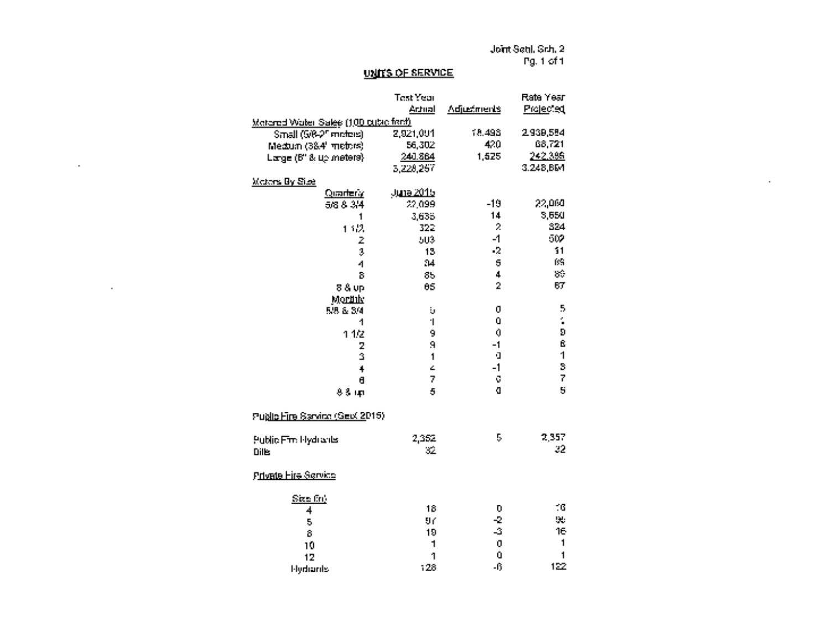Joint Seth. Sch. 2 Pg. <sup>1</sup> of I

 $\sim 10^{-10}$ 

### UNITS OF SERVICE

 $\sim$ 

 $\mathcal{L}^{\text{max}}_{\text{max}}$  and  $\mathcal{L}^{\text{max}}_{\text{max}}$ 

|                                              | <b>Test Year</b>        |                                                                  | Rate Year               |
|----------------------------------------------|-------------------------|------------------------------------------------------------------|-------------------------|
|                                              | Artual                  | <b>Adjustments</b>                                               | Projected               |
| <u> Metered Water Sales (100 cubic fact)</u> |                         |                                                                  |                         |
| Small (G/8-2 <sup>m</sup> meters)            | 2,921,091               | 18,493                                                           | 2.939,554               |
| Medium (384' metors)                         | 56,302                  | $-420$                                                           | 68,721                  |
| Large (B" & up meters)                       | 240.864                 | 1,525                                                            | 242,396                 |
|                                              | 5.228.257               |                                                                  | 3.248,BM                |
| <b>Maters By Size</b>                        |                         |                                                                  |                         |
| Quarterly                                    | June 2015               |                                                                  |                         |
| 5/8.84                                       | 22,099                  | $-19$                                                            | 22,060                  |
| 1                                            | 3.635                   | 14                                                               | 3,650                   |
| 132                                          | 322                     | $\mathcal{D}% _{T}=\mathcal{D}_{T}\left( \mathcal{D}_{T}\right)$ | 324                     |
| 2                                            | 503                     | $-1$                                                             | 502                     |
| ģ.                                           | 13                      | $\sim$                                                           | 11                      |
| 4                                            | 34                      | $\overline{5}$                                                   | $\mathbf{R}$            |
| 8                                            | 85                      | 4                                                                | $\delta \hat{u}$        |
| 8 & up                                       | $-65$                   | $\bar{2}$                                                        | 87                      |
| Mornik                                       |                         |                                                                  |                         |
| 5.8 & 3/4                                    | ÷,                      | 0                                                                | 5                       |
| 1                                            | $\mathbf{I}$            | $\Omega$                                                         | $\frac{1}{2}$           |
| 1.42                                         | 9                       | Ó                                                                | $\overline{\bf{5}}$     |
| $\overline{2}$                               | $\boldsymbol{\eta}$     | $-1$                                                             | ß                       |
| ä                                            | $\mathbf{1}$            | $\mathbf{I}$                                                     | $\overline{\mathbf{1}}$ |
| $\ddot{\phantom{1}}$                         | Ż,                      | $-1$                                                             | S                       |
| $\mathbf{f}$                                 | $\overline{r}$          | ū                                                                | $\overline{1}$          |
| $9.3 + p$                                    | $\overline{\mathbf{5}}$ | O.                                                               | $\overline{\mathbf{u}}$ |
| Public Fire Sarvine (Sext 2015)              |                         |                                                                  |                         |
| Public Fm: Hydrants                          | 2,362                   | 5                                                                | 2,357                   |
| Dills                                        | ЗŻ,                     |                                                                  | 22                      |
| <u>Private Fire Service</u>                  |                         |                                                                  |                         |
| Size frij                                    |                         |                                                                  |                         |
| $\overline{\phantom{a}}$                     | 18                      | D                                                                | $\blacksquare$          |
| 5                                            | 9ď                      | $-2$                                                             | 96                      |
| Ġ.                                           | 19                      | $\Delta$                                                         | 16                      |
| 10                                           | $\mathbf 1$             | $\mathbf 0$                                                      | $\mathbf{1}$            |
| 12                                           | $\mathbf{1}$            | O                                                                | $\mathbf{1}$            |
| Hydianis                                     | 128                     | $-11$                                                            | 122                     |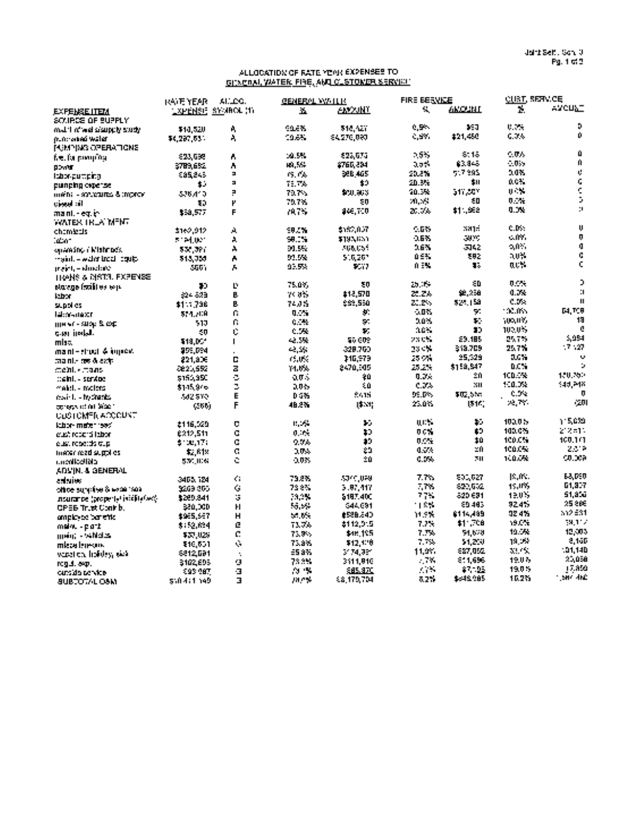#### ALLOCATION OF RATE YEAR EXPENSES TO GENERAL WATER. FIRE. AND CUSTOMER SERVICE

| a⊻cu⊾⊤<br>÷.<br>Ч.<br>AMOUNT.<br>АМУЛЫТ<br><b>LAPENSE SYMBOL (1)</b><br>X.<br>EXPENSE ITEM<br>SOWEDE OF BUPPLY<br>D<br>0.000<br>0.5%<br>590<br><b>SALE%</b><br>518.AZY<br>A,<br>\$10,520<br>mat 1 miwel sisutuwis udw<br>$\mathbf 0$<br>0.35<br>$\sim 100$<br>#21,450<br>19.6%<br>\$4,270,090<br>A.<br>\$4,297.65%<br>mar anna walat<br>Û<br>5.5%<br>8:15<br>$0.0\%$<br>10.5%<br>522.673<br>623.638<br>A<br>$\mathbf{u}$<br>83.845<br>$\sim 0.5$<br>49,564<br>357<br>2765,234<br>2789.692<br>Å<br>00.00<br>Ų.<br>517,395<br>208<br><b>BRB 465</b><br>20.2%<br>19. PA<br>885,845<br>$\blacksquare$<br>¢<br>nct.<br>\$11<br>ä,<br>20.3%<br>\$9<br>75.776<br>٠.<br>punping cyperse<br>¢<br>0.0%<br>50.3%<br>517.SCY<br>Þ<br>79.7%<br>\$50,863.<br>536.410<br>$m$ en: - soucures & moron<br>Ď,<br>0.16<br><b>2012/5</b><br>£П<br>79.7%<br>ΞD<br>Ρ<br>ان اسپين<br>Ð<br>$\mathbf{u}$<br>0.0%<br>\$11.962<br>20. Ok<br>946,700<br>7875.<br>F<br>\$59,577<br>mani. - eq. in<br>WATER TREAMENT<br>$\mathbf{u}$<br>e po<br>0.535<br><b>SH1-</b><br>\$182.057<br>59.5%<br>\$160.012<br>А<br>chamients<br>ņ<br>CIM.<br>25%<br>3870<br>A<br>90. N<br>\$193,655<br>5124 INT<br>tatin 1<br>$\mathbf 0$<br>0.021<br>263<br>5142<br>01.5%<br>206055<br>À<br>531.3PC<br>oparašno i Mishnock.<br>¢<br>3.0%<br>0.5%<br>382<br>92.5%<br>516267<br>Å<br>maint – weler troch coult.<br>513.759<br>¢<br>ac%<br>0.E%<br>т.<br>93.5%<br>9517<br>A<br>maint, - shochach<br>500)<br>TRANS & MSTOL EXPENSE<br>Þ<br>0.0%<br>ΞD<br>$\mathcal{L}^{\mathcal{A}}$ . The<br>75.07.<br>50<br>D.<br>statege frailites was<br>30<br>$\mathbf{H}$<br>0.7%<br>92,258<br>21.2%<br><b>\$12,570</b><br>p.<br>74,8%<br>524 823<br><b>Iday</b><br>0.0%<br>$\mathbf{u}$<br>324.15의<br>20.2%<br>999,550<br>p.<br>7405<br>\$11,736<br>supplies<br>10.ms<br><b>M.T.R</b><br>$-0.075$<br>97<br>y.<br>ſ.<br>0.<br>574./CR<br>lekasuaxri<br>19<br>ነው ዘኝ<br>5.0%<br>$\mathbf{z}_\perp$<br>n.<br>0.0%<br>50<br>510<br>ще чт - хвор & сор<br>c<br>100.0%<br>16.5<br>30<br>T.<br>C.<br>C. A<br>- 0<br>c.er irelal.<br>5,084<br>£9.185<br>25.7%<br>an chi<br>$-2.5%$<br>50 GDP<br>\$18.DC*<br>$\blacksquare$<br>mlas.<br>17.17<br>25.7%<br>319.709<br>23 CM<br>$\sim 100$<br>328.760<br>259.594<br>mani - shual & import<br>25.529<br>0.05<br>25 Min<br>щ.<br>$\mathbf{C}$<br>15,055<br>110,979<br>221,806<br>thanks are disability<br><b>D.C.S</b><br>$\mathbf{u}$<br>\$159,547<br>25.2%<br>z<br>2470,505<br>140×<br><b>Je 20,552</b><br>ctemily mans<br>100.5%<br>150,350<br>20<br>0.3<<br>ċ,<br>20<br>0.015<br>\$150,350<br>$\mathbb{C}$ eini. - sergoe<br>100.02<br>\$44,748<br>×п<br>Ż,<br>0.0%<br>40<br>$20 +$<br>\$145,976<br>makil. - malersi<br>0.9%<br>$\mathbf{u}$<br>\$02,500<br>2415<br><b>DE DA</b><br>E<br>0.5%<br>582,870<br>mainte-tracterist<br>22,77.<br>-20<br>25.0%<br>18531<br>15 IV.<br>F<br>48.2%<br>conserved on Mach<br>C KIN<br><b>CLOTCMFR ACCOUNT</b><br>h 15.039<br>100.0%<br><b>UPS</b><br>¥.<br>¥.<br>$\mathbf{H}_1$ , $\mathbf{H}_2$<br>D<br><b>£116,529</b><br>kitor materials:<br>100.0%<br>2, 2, 31,<br>t)<br>O C W<br>Ð<br>c<br>0.104<br>£212,511<br>enath report of them<br>100.0%<br>100.101<br>10<br>0.024<br>10<br>0.9%<br>c<br>\$100,177<br>eust repetits dup<br>100.0%<br>2.512<br>×ή<br>20<br>0.5%<br>Ċ.<br>10.5<br>\$2,619<br>triater read supplies.<br>100.0%<br>0.337<br>70<br>20<br>0.0%<br>Ĉ.<br>0.035<br>530,006<br><b>Children</b><br>ADVIN. & GENERAL<br>63.DED<br>IS. IN.<br>800,027<br>7.7%<br>5040,099<br>ć.<br>79.2%<br>3405, 124<br>adsies<br>61.837<br>15,105<br>820.632<br>7.7%<br>Ġ<br>738%<br>5.87.447<br>5269 865<br>office survive Slector Soa<br>51.856<br>820 691<br>19.0%<br>77%<br>79.PM<br>\$187,400<br>Ġ,<br>\$269,841<br>insurance (property) initiatives).<br>25.865<br>89,483<br>92.4%<br>188<br>\$44,691<br>54.54<br>H<br>380.000<br>CPEB Trust Contrib.<br>332 ES1<br>32.4%<br>6114,489<br>11.SW<br>#528.240<br>$\mathbf H$<br>$\sim 10$ .<br>\$965,567<br>ample-se benefik<br>34.1 <sub>1</sub><br>$$1 - C8$<br>19.0%<br>\$112,015<br>7.7%<br>ē<br>73.76<br>\$152,634<br>melou - part<br>19.5%<br>12,007<br>7.7%<br>54.670<br>C.<br>\$48,105<br>73.9%<br>\$37,025<br>ment - whichs<br><b>2.10D</b><br>19.2%<br>7.7%<br>51.250<br>ċ,<br>73.8%<br>\$12.170<br>\$16,501<br>mleza leregov.<br>$-11.140$<br>Mark.<br>11.9%<br>887.052<br>£5.8%<br>34.74.26°<br>6812,691<br>version holdes, sick<br>20,056<br>19.03<br>- 74<br>811696<br>73 S.Y<br>3111,916<br>g<br>\$102,695<br><b>requires</b> .<br>17.8% |                     | <b>IKATE YEAR</b> | ALLOC. | <b>GENERAL WATER</b> |         | <b>FIRE BERVICE</b> |        | <b>QUAT, SERVICE</b> |  |
|-------------------------------------------------------------------------------------------------------------------------------------------------------------------------------------------------------------------------------------------------------------------------------------------------------------------------------------------------------------------------------------------------------------------------------------------------------------------------------------------------------------------------------------------------------------------------------------------------------------------------------------------------------------------------------------------------------------------------------------------------------------------------------------------------------------------------------------------------------------------------------------------------------------------------------------------------------------------------------------------------------------------------------------------------------------------------------------------------------------------------------------------------------------------------------------------------------------------------------------------------------------------------------------------------------------------------------------------------------------------------------------------------------------------------------------------------------------------------------------------------------------------------------------------------------------------------------------------------------------------------------------------------------------------------------------------------------------------------------------------------------------------------------------------------------------------------------------------------------------------------------------------------------------------------------------------------------------------------------------------------------------------------------------------------------------------------------------------------------------------------------------------------------------------------------------------------------------------------------------------------------------------------------------------------------------------------------------------------------------------------------------------------------------------------------------------------------------------------------------------------------------------------------------------------------------------------------------------------------------------------------------------------------------------------------------------------------------------------------------------------------------------------------------------------------------------------------------------------------------------------------------------------------------------------------------------------------------------------------------------------------------------------------------------------------------------------------------------------------------------------------------------------------------------------------------------------------------------------------------------------------------------------------------------------------------------------------------------------------------------------------------------------------------------------------------------------------------------------------------------------------------------------------------------------------------------------------------------------------------------------------------------------------------------------------------------------------------------------------------------------------------------------------------------------------------------------------------------------------------------------------------------------------------------------------------------------------------------------------------------------------------------------------------------------------------------------------------------------------------------------------------------------------------------------------------------------------------------------------------------------------------------------------------------------------------------------------------------------------------------------------------------------------------------------------------------------------------------------------------------------------------------------|---------------------|-------------------|--------|----------------------|---------|---------------------|--------|----------------------|--|
|                                                                                                                                                                                                                                                                                                                                                                                                                                                                                                                                                                                                                                                                                                                                                                                                                                                                                                                                                                                                                                                                                                                                                                                                                                                                                                                                                                                                                                                                                                                                                                                                                                                                                                                                                                                                                                                                                                                                                                                                                                                                                                                                                                                                                                                                                                                                                                                                                                                                                                                                                                                                                                                                                                                                                                                                                                                                                                                                                                                                                                                                                                                                                                                                                                                                                                                                                                                                                                                                                                                                                                                                                                                                                                                                                                                                                                                                                                                                                                                                                                                                                                                                                                                                                                                                                                                                                                                                                                                                                                                         |                     |                   |        |                      |         |                     |        |                      |  |
|                                                                                                                                                                                                                                                                                                                                                                                                                                                                                                                                                                                                                                                                                                                                                                                                                                                                                                                                                                                                                                                                                                                                                                                                                                                                                                                                                                                                                                                                                                                                                                                                                                                                                                                                                                                                                                                                                                                                                                                                                                                                                                                                                                                                                                                                                                                                                                                                                                                                                                                                                                                                                                                                                                                                                                                                                                                                                                                                                                                                                                                                                                                                                                                                                                                                                                                                                                                                                                                                                                                                                                                                                                                                                                                                                                                                                                                                                                                                                                                                                                                                                                                                                                                                                                                                                                                                                                                                                                                                                                                         |                     |                   |        |                      |         |                     |        |                      |  |
|                                                                                                                                                                                                                                                                                                                                                                                                                                                                                                                                                                                                                                                                                                                                                                                                                                                                                                                                                                                                                                                                                                                                                                                                                                                                                                                                                                                                                                                                                                                                                                                                                                                                                                                                                                                                                                                                                                                                                                                                                                                                                                                                                                                                                                                                                                                                                                                                                                                                                                                                                                                                                                                                                                                                                                                                                                                                                                                                                                                                                                                                                                                                                                                                                                                                                                                                                                                                                                                                                                                                                                                                                                                                                                                                                                                                                                                                                                                                                                                                                                                                                                                                                                                                                                                                                                                                                                                                                                                                                                                         |                     |                   |        |                      |         |                     |        |                      |  |
|                                                                                                                                                                                                                                                                                                                                                                                                                                                                                                                                                                                                                                                                                                                                                                                                                                                                                                                                                                                                                                                                                                                                                                                                                                                                                                                                                                                                                                                                                                                                                                                                                                                                                                                                                                                                                                                                                                                                                                                                                                                                                                                                                                                                                                                                                                                                                                                                                                                                                                                                                                                                                                                                                                                                                                                                                                                                                                                                                                                                                                                                                                                                                                                                                                                                                                                                                                                                                                                                                                                                                                                                                                                                                                                                                                                                                                                                                                                                                                                                                                                                                                                                                                                                                                                                                                                                                                                                                                                                                                                         | PUMPING OPERATIONS  |                   |        |                      |         |                     |        |                      |  |
|                                                                                                                                                                                                                                                                                                                                                                                                                                                                                                                                                                                                                                                                                                                                                                                                                                                                                                                                                                                                                                                                                                                                                                                                                                                                                                                                                                                                                                                                                                                                                                                                                                                                                                                                                                                                                                                                                                                                                                                                                                                                                                                                                                                                                                                                                                                                                                                                                                                                                                                                                                                                                                                                                                                                                                                                                                                                                                                                                                                                                                                                                                                                                                                                                                                                                                                                                                                                                                                                                                                                                                                                                                                                                                                                                                                                                                                                                                                                                                                                                                                                                                                                                                                                                                                                                                                                                                                                                                                                                                                         | fee, for premiums   |                   |        |                      |         |                     |        |                      |  |
|                                                                                                                                                                                                                                                                                                                                                                                                                                                                                                                                                                                                                                                                                                                                                                                                                                                                                                                                                                                                                                                                                                                                                                                                                                                                                                                                                                                                                                                                                                                                                                                                                                                                                                                                                                                                                                                                                                                                                                                                                                                                                                                                                                                                                                                                                                                                                                                                                                                                                                                                                                                                                                                                                                                                                                                                                                                                                                                                                                                                                                                                                                                                                                                                                                                                                                                                                                                                                                                                                                                                                                                                                                                                                                                                                                                                                                                                                                                                                                                                                                                                                                                                                                                                                                                                                                                                                                                                                                                                                                                         |                     |                   |        |                      |         |                     |        |                      |  |
|                                                                                                                                                                                                                                                                                                                                                                                                                                                                                                                                                                                                                                                                                                                                                                                                                                                                                                                                                                                                                                                                                                                                                                                                                                                                                                                                                                                                                                                                                                                                                                                                                                                                                                                                                                                                                                                                                                                                                                                                                                                                                                                                                                                                                                                                                                                                                                                                                                                                                                                                                                                                                                                                                                                                                                                                                                                                                                                                                                                                                                                                                                                                                                                                                                                                                                                                                                                                                                                                                                                                                                                                                                                                                                                                                                                                                                                                                                                                                                                                                                                                                                                                                                                                                                                                                                                                                                                                                                                                                                                         | <b>Isbongumping</b> |                   |        |                      |         |                     |        |                      |  |
|                                                                                                                                                                                                                                                                                                                                                                                                                                                                                                                                                                                                                                                                                                                                                                                                                                                                                                                                                                                                                                                                                                                                                                                                                                                                                                                                                                                                                                                                                                                                                                                                                                                                                                                                                                                                                                                                                                                                                                                                                                                                                                                                                                                                                                                                                                                                                                                                                                                                                                                                                                                                                                                                                                                                                                                                                                                                                                                                                                                                                                                                                                                                                                                                                                                                                                                                                                                                                                                                                                                                                                                                                                                                                                                                                                                                                                                                                                                                                                                                                                                                                                                                                                                                                                                                                                                                                                                                                                                                                                                         |                     |                   |        |                      |         |                     |        |                      |  |
|                                                                                                                                                                                                                                                                                                                                                                                                                                                                                                                                                                                                                                                                                                                                                                                                                                                                                                                                                                                                                                                                                                                                                                                                                                                                                                                                                                                                                                                                                                                                                                                                                                                                                                                                                                                                                                                                                                                                                                                                                                                                                                                                                                                                                                                                                                                                                                                                                                                                                                                                                                                                                                                                                                                                                                                                                                                                                                                                                                                                                                                                                                                                                                                                                                                                                                                                                                                                                                                                                                                                                                                                                                                                                                                                                                                                                                                                                                                                                                                                                                                                                                                                                                                                                                                                                                                                                                                                                                                                                                                         |                     |                   |        |                      |         |                     |        |                      |  |
|                                                                                                                                                                                                                                                                                                                                                                                                                                                                                                                                                                                                                                                                                                                                                                                                                                                                                                                                                                                                                                                                                                                                                                                                                                                                                                                                                                                                                                                                                                                                                                                                                                                                                                                                                                                                                                                                                                                                                                                                                                                                                                                                                                                                                                                                                                                                                                                                                                                                                                                                                                                                                                                                                                                                                                                                                                                                                                                                                                                                                                                                                                                                                                                                                                                                                                                                                                                                                                                                                                                                                                                                                                                                                                                                                                                                                                                                                                                                                                                                                                                                                                                                                                                                                                                                                                                                                                                                                                                                                                                         |                     |                   |        |                      |         |                     |        |                      |  |
|                                                                                                                                                                                                                                                                                                                                                                                                                                                                                                                                                                                                                                                                                                                                                                                                                                                                                                                                                                                                                                                                                                                                                                                                                                                                                                                                                                                                                                                                                                                                                                                                                                                                                                                                                                                                                                                                                                                                                                                                                                                                                                                                                                                                                                                                                                                                                                                                                                                                                                                                                                                                                                                                                                                                                                                                                                                                                                                                                                                                                                                                                                                                                                                                                                                                                                                                                                                                                                                                                                                                                                                                                                                                                                                                                                                                                                                                                                                                                                                                                                                                                                                                                                                                                                                                                                                                                                                                                                                                                                                         |                     |                   |        |                      |         |                     |        |                      |  |
|                                                                                                                                                                                                                                                                                                                                                                                                                                                                                                                                                                                                                                                                                                                                                                                                                                                                                                                                                                                                                                                                                                                                                                                                                                                                                                                                                                                                                                                                                                                                                                                                                                                                                                                                                                                                                                                                                                                                                                                                                                                                                                                                                                                                                                                                                                                                                                                                                                                                                                                                                                                                                                                                                                                                                                                                                                                                                                                                                                                                                                                                                                                                                                                                                                                                                                                                                                                                                                                                                                                                                                                                                                                                                                                                                                                                                                                                                                                                                                                                                                                                                                                                                                                                                                                                                                                                                                                                                                                                                                                         |                     |                   |        |                      |         |                     |        |                      |  |
|                                                                                                                                                                                                                                                                                                                                                                                                                                                                                                                                                                                                                                                                                                                                                                                                                                                                                                                                                                                                                                                                                                                                                                                                                                                                                                                                                                                                                                                                                                                                                                                                                                                                                                                                                                                                                                                                                                                                                                                                                                                                                                                                                                                                                                                                                                                                                                                                                                                                                                                                                                                                                                                                                                                                                                                                                                                                                                                                                                                                                                                                                                                                                                                                                                                                                                                                                                                                                                                                                                                                                                                                                                                                                                                                                                                                                                                                                                                                                                                                                                                                                                                                                                                                                                                                                                                                                                                                                                                                                                                         |                     |                   |        |                      |         |                     |        |                      |  |
|                                                                                                                                                                                                                                                                                                                                                                                                                                                                                                                                                                                                                                                                                                                                                                                                                                                                                                                                                                                                                                                                                                                                                                                                                                                                                                                                                                                                                                                                                                                                                                                                                                                                                                                                                                                                                                                                                                                                                                                                                                                                                                                                                                                                                                                                                                                                                                                                                                                                                                                                                                                                                                                                                                                                                                                                                                                                                                                                                                                                                                                                                                                                                                                                                                                                                                                                                                                                                                                                                                                                                                                                                                                                                                                                                                                                                                                                                                                                                                                                                                                                                                                                                                                                                                                                                                                                                                                                                                                                                                                         |                     |                   |        |                      |         |                     |        |                      |  |
|                                                                                                                                                                                                                                                                                                                                                                                                                                                                                                                                                                                                                                                                                                                                                                                                                                                                                                                                                                                                                                                                                                                                                                                                                                                                                                                                                                                                                                                                                                                                                                                                                                                                                                                                                                                                                                                                                                                                                                                                                                                                                                                                                                                                                                                                                                                                                                                                                                                                                                                                                                                                                                                                                                                                                                                                                                                                                                                                                                                                                                                                                                                                                                                                                                                                                                                                                                                                                                                                                                                                                                                                                                                                                                                                                                                                                                                                                                                                                                                                                                                                                                                                                                                                                                                                                                                                                                                                                                                                                                                         |                     |                   |        |                      |         |                     |        |                      |  |
|                                                                                                                                                                                                                                                                                                                                                                                                                                                                                                                                                                                                                                                                                                                                                                                                                                                                                                                                                                                                                                                                                                                                                                                                                                                                                                                                                                                                                                                                                                                                                                                                                                                                                                                                                                                                                                                                                                                                                                                                                                                                                                                                                                                                                                                                                                                                                                                                                                                                                                                                                                                                                                                                                                                                                                                                                                                                                                                                                                                                                                                                                                                                                                                                                                                                                                                                                                                                                                                                                                                                                                                                                                                                                                                                                                                                                                                                                                                                                                                                                                                                                                                                                                                                                                                                                                                                                                                                                                                                                                                         |                     |                   |        |                      |         |                     |        |                      |  |
|                                                                                                                                                                                                                                                                                                                                                                                                                                                                                                                                                                                                                                                                                                                                                                                                                                                                                                                                                                                                                                                                                                                                                                                                                                                                                                                                                                                                                                                                                                                                                                                                                                                                                                                                                                                                                                                                                                                                                                                                                                                                                                                                                                                                                                                                                                                                                                                                                                                                                                                                                                                                                                                                                                                                                                                                                                                                                                                                                                                                                                                                                                                                                                                                                                                                                                                                                                                                                                                                                                                                                                                                                                                                                                                                                                                                                                                                                                                                                                                                                                                                                                                                                                                                                                                                                                                                                                                                                                                                                                                         |                     |                   |        |                      |         |                     |        |                      |  |
|                                                                                                                                                                                                                                                                                                                                                                                                                                                                                                                                                                                                                                                                                                                                                                                                                                                                                                                                                                                                                                                                                                                                                                                                                                                                                                                                                                                                                                                                                                                                                                                                                                                                                                                                                                                                                                                                                                                                                                                                                                                                                                                                                                                                                                                                                                                                                                                                                                                                                                                                                                                                                                                                                                                                                                                                                                                                                                                                                                                                                                                                                                                                                                                                                                                                                                                                                                                                                                                                                                                                                                                                                                                                                                                                                                                                                                                                                                                                                                                                                                                                                                                                                                                                                                                                                                                                                                                                                                                                                                                         |                     |                   |        |                      |         |                     |        |                      |  |
|                                                                                                                                                                                                                                                                                                                                                                                                                                                                                                                                                                                                                                                                                                                                                                                                                                                                                                                                                                                                                                                                                                                                                                                                                                                                                                                                                                                                                                                                                                                                                                                                                                                                                                                                                                                                                                                                                                                                                                                                                                                                                                                                                                                                                                                                                                                                                                                                                                                                                                                                                                                                                                                                                                                                                                                                                                                                                                                                                                                                                                                                                                                                                                                                                                                                                                                                                                                                                                                                                                                                                                                                                                                                                                                                                                                                                                                                                                                                                                                                                                                                                                                                                                                                                                                                                                                                                                                                                                                                                                                         |                     |                   |        |                      |         |                     |        |                      |  |
|                                                                                                                                                                                                                                                                                                                                                                                                                                                                                                                                                                                                                                                                                                                                                                                                                                                                                                                                                                                                                                                                                                                                                                                                                                                                                                                                                                                                                                                                                                                                                                                                                                                                                                                                                                                                                                                                                                                                                                                                                                                                                                                                                                                                                                                                                                                                                                                                                                                                                                                                                                                                                                                                                                                                                                                                                                                                                                                                                                                                                                                                                                                                                                                                                                                                                                                                                                                                                                                                                                                                                                                                                                                                                                                                                                                                                                                                                                                                                                                                                                                                                                                                                                                                                                                                                                                                                                                                                                                                                                                         |                     |                   |        |                      |         |                     |        |                      |  |
|                                                                                                                                                                                                                                                                                                                                                                                                                                                                                                                                                                                                                                                                                                                                                                                                                                                                                                                                                                                                                                                                                                                                                                                                                                                                                                                                                                                                                                                                                                                                                                                                                                                                                                                                                                                                                                                                                                                                                                                                                                                                                                                                                                                                                                                                                                                                                                                                                                                                                                                                                                                                                                                                                                                                                                                                                                                                                                                                                                                                                                                                                                                                                                                                                                                                                                                                                                                                                                                                                                                                                                                                                                                                                                                                                                                                                                                                                                                                                                                                                                                                                                                                                                                                                                                                                                                                                                                                                                                                                                                         |                     |                   |        |                      |         |                     |        |                      |  |
|                                                                                                                                                                                                                                                                                                                                                                                                                                                                                                                                                                                                                                                                                                                                                                                                                                                                                                                                                                                                                                                                                                                                                                                                                                                                                                                                                                                                                                                                                                                                                                                                                                                                                                                                                                                                                                                                                                                                                                                                                                                                                                                                                                                                                                                                                                                                                                                                                                                                                                                                                                                                                                                                                                                                                                                                                                                                                                                                                                                                                                                                                                                                                                                                                                                                                                                                                                                                                                                                                                                                                                                                                                                                                                                                                                                                                                                                                                                                                                                                                                                                                                                                                                                                                                                                                                                                                                                                                                                                                                                         |                     |                   |        |                      |         |                     |        |                      |  |
|                                                                                                                                                                                                                                                                                                                                                                                                                                                                                                                                                                                                                                                                                                                                                                                                                                                                                                                                                                                                                                                                                                                                                                                                                                                                                                                                                                                                                                                                                                                                                                                                                                                                                                                                                                                                                                                                                                                                                                                                                                                                                                                                                                                                                                                                                                                                                                                                                                                                                                                                                                                                                                                                                                                                                                                                                                                                                                                                                                                                                                                                                                                                                                                                                                                                                                                                                                                                                                                                                                                                                                                                                                                                                                                                                                                                                                                                                                                                                                                                                                                                                                                                                                                                                                                                                                                                                                                                                                                                                                                         |                     |                   |        |                      |         |                     |        |                      |  |
|                                                                                                                                                                                                                                                                                                                                                                                                                                                                                                                                                                                                                                                                                                                                                                                                                                                                                                                                                                                                                                                                                                                                                                                                                                                                                                                                                                                                                                                                                                                                                                                                                                                                                                                                                                                                                                                                                                                                                                                                                                                                                                                                                                                                                                                                                                                                                                                                                                                                                                                                                                                                                                                                                                                                                                                                                                                                                                                                                                                                                                                                                                                                                                                                                                                                                                                                                                                                                                                                                                                                                                                                                                                                                                                                                                                                                                                                                                                                                                                                                                                                                                                                                                                                                                                                                                                                                                                                                                                                                                                         |                     |                   |        |                      |         |                     |        |                      |  |
|                                                                                                                                                                                                                                                                                                                                                                                                                                                                                                                                                                                                                                                                                                                                                                                                                                                                                                                                                                                                                                                                                                                                                                                                                                                                                                                                                                                                                                                                                                                                                                                                                                                                                                                                                                                                                                                                                                                                                                                                                                                                                                                                                                                                                                                                                                                                                                                                                                                                                                                                                                                                                                                                                                                                                                                                                                                                                                                                                                                                                                                                                                                                                                                                                                                                                                                                                                                                                                                                                                                                                                                                                                                                                                                                                                                                                                                                                                                                                                                                                                                                                                                                                                                                                                                                                                                                                                                                                                                                                                                         |                     |                   |        |                      |         |                     |        |                      |  |
|                                                                                                                                                                                                                                                                                                                                                                                                                                                                                                                                                                                                                                                                                                                                                                                                                                                                                                                                                                                                                                                                                                                                                                                                                                                                                                                                                                                                                                                                                                                                                                                                                                                                                                                                                                                                                                                                                                                                                                                                                                                                                                                                                                                                                                                                                                                                                                                                                                                                                                                                                                                                                                                                                                                                                                                                                                                                                                                                                                                                                                                                                                                                                                                                                                                                                                                                                                                                                                                                                                                                                                                                                                                                                                                                                                                                                                                                                                                                                                                                                                                                                                                                                                                                                                                                                                                                                                                                                                                                                                                         |                     |                   |        |                      |         |                     |        |                      |  |
|                                                                                                                                                                                                                                                                                                                                                                                                                                                                                                                                                                                                                                                                                                                                                                                                                                                                                                                                                                                                                                                                                                                                                                                                                                                                                                                                                                                                                                                                                                                                                                                                                                                                                                                                                                                                                                                                                                                                                                                                                                                                                                                                                                                                                                                                                                                                                                                                                                                                                                                                                                                                                                                                                                                                                                                                                                                                                                                                                                                                                                                                                                                                                                                                                                                                                                                                                                                                                                                                                                                                                                                                                                                                                                                                                                                                                                                                                                                                                                                                                                                                                                                                                                                                                                                                                                                                                                                                                                                                                                                         |                     |                   |        |                      |         |                     |        |                      |  |
|                                                                                                                                                                                                                                                                                                                                                                                                                                                                                                                                                                                                                                                                                                                                                                                                                                                                                                                                                                                                                                                                                                                                                                                                                                                                                                                                                                                                                                                                                                                                                                                                                                                                                                                                                                                                                                                                                                                                                                                                                                                                                                                                                                                                                                                                                                                                                                                                                                                                                                                                                                                                                                                                                                                                                                                                                                                                                                                                                                                                                                                                                                                                                                                                                                                                                                                                                                                                                                                                                                                                                                                                                                                                                                                                                                                                                                                                                                                                                                                                                                                                                                                                                                                                                                                                                                                                                                                                                                                                                                                         |                     |                   |        |                      |         |                     |        |                      |  |
|                                                                                                                                                                                                                                                                                                                                                                                                                                                                                                                                                                                                                                                                                                                                                                                                                                                                                                                                                                                                                                                                                                                                                                                                                                                                                                                                                                                                                                                                                                                                                                                                                                                                                                                                                                                                                                                                                                                                                                                                                                                                                                                                                                                                                                                                                                                                                                                                                                                                                                                                                                                                                                                                                                                                                                                                                                                                                                                                                                                                                                                                                                                                                                                                                                                                                                                                                                                                                                                                                                                                                                                                                                                                                                                                                                                                                                                                                                                                                                                                                                                                                                                                                                                                                                                                                                                                                                                                                                                                                                                         |                     |                   |        |                      |         |                     |        |                      |  |
|                                                                                                                                                                                                                                                                                                                                                                                                                                                                                                                                                                                                                                                                                                                                                                                                                                                                                                                                                                                                                                                                                                                                                                                                                                                                                                                                                                                                                                                                                                                                                                                                                                                                                                                                                                                                                                                                                                                                                                                                                                                                                                                                                                                                                                                                                                                                                                                                                                                                                                                                                                                                                                                                                                                                                                                                                                                                                                                                                                                                                                                                                                                                                                                                                                                                                                                                                                                                                                                                                                                                                                                                                                                                                                                                                                                                                                                                                                                                                                                                                                                                                                                                                                                                                                                                                                                                                                                                                                                                                                                         |                     |                   |        |                      |         |                     |        |                      |  |
|                                                                                                                                                                                                                                                                                                                                                                                                                                                                                                                                                                                                                                                                                                                                                                                                                                                                                                                                                                                                                                                                                                                                                                                                                                                                                                                                                                                                                                                                                                                                                                                                                                                                                                                                                                                                                                                                                                                                                                                                                                                                                                                                                                                                                                                                                                                                                                                                                                                                                                                                                                                                                                                                                                                                                                                                                                                                                                                                                                                                                                                                                                                                                                                                                                                                                                                                                                                                                                                                                                                                                                                                                                                                                                                                                                                                                                                                                                                                                                                                                                                                                                                                                                                                                                                                                                                                                                                                                                                                                                                         |                     |                   |        |                      |         |                     |        |                      |  |
|                                                                                                                                                                                                                                                                                                                                                                                                                                                                                                                                                                                                                                                                                                                                                                                                                                                                                                                                                                                                                                                                                                                                                                                                                                                                                                                                                                                                                                                                                                                                                                                                                                                                                                                                                                                                                                                                                                                                                                                                                                                                                                                                                                                                                                                                                                                                                                                                                                                                                                                                                                                                                                                                                                                                                                                                                                                                                                                                                                                                                                                                                                                                                                                                                                                                                                                                                                                                                                                                                                                                                                                                                                                                                                                                                                                                                                                                                                                                                                                                                                                                                                                                                                                                                                                                                                                                                                                                                                                                                                                         |                     |                   |        |                      |         |                     |        |                      |  |
|                                                                                                                                                                                                                                                                                                                                                                                                                                                                                                                                                                                                                                                                                                                                                                                                                                                                                                                                                                                                                                                                                                                                                                                                                                                                                                                                                                                                                                                                                                                                                                                                                                                                                                                                                                                                                                                                                                                                                                                                                                                                                                                                                                                                                                                                                                                                                                                                                                                                                                                                                                                                                                                                                                                                                                                                                                                                                                                                                                                                                                                                                                                                                                                                                                                                                                                                                                                                                                                                                                                                                                                                                                                                                                                                                                                                                                                                                                                                                                                                                                                                                                                                                                                                                                                                                                                                                                                                                                                                                                                         |                     |                   |        |                      |         |                     |        |                      |  |
|                                                                                                                                                                                                                                                                                                                                                                                                                                                                                                                                                                                                                                                                                                                                                                                                                                                                                                                                                                                                                                                                                                                                                                                                                                                                                                                                                                                                                                                                                                                                                                                                                                                                                                                                                                                                                                                                                                                                                                                                                                                                                                                                                                                                                                                                                                                                                                                                                                                                                                                                                                                                                                                                                                                                                                                                                                                                                                                                                                                                                                                                                                                                                                                                                                                                                                                                                                                                                                                                                                                                                                                                                                                                                                                                                                                                                                                                                                                                                                                                                                                                                                                                                                                                                                                                                                                                                                                                                                                                                                                         |                     |                   |        |                      |         |                     |        |                      |  |
|                                                                                                                                                                                                                                                                                                                                                                                                                                                                                                                                                                                                                                                                                                                                                                                                                                                                                                                                                                                                                                                                                                                                                                                                                                                                                                                                                                                                                                                                                                                                                                                                                                                                                                                                                                                                                                                                                                                                                                                                                                                                                                                                                                                                                                                                                                                                                                                                                                                                                                                                                                                                                                                                                                                                                                                                                                                                                                                                                                                                                                                                                                                                                                                                                                                                                                                                                                                                                                                                                                                                                                                                                                                                                                                                                                                                                                                                                                                                                                                                                                                                                                                                                                                                                                                                                                                                                                                                                                                                                                                         |                     |                   |        |                      |         |                     |        |                      |  |
|                                                                                                                                                                                                                                                                                                                                                                                                                                                                                                                                                                                                                                                                                                                                                                                                                                                                                                                                                                                                                                                                                                                                                                                                                                                                                                                                                                                                                                                                                                                                                                                                                                                                                                                                                                                                                                                                                                                                                                                                                                                                                                                                                                                                                                                                                                                                                                                                                                                                                                                                                                                                                                                                                                                                                                                                                                                                                                                                                                                                                                                                                                                                                                                                                                                                                                                                                                                                                                                                                                                                                                                                                                                                                                                                                                                                                                                                                                                                                                                                                                                                                                                                                                                                                                                                                                                                                                                                                                                                                                                         |                     |                   |        |                      |         |                     |        |                      |  |
|                                                                                                                                                                                                                                                                                                                                                                                                                                                                                                                                                                                                                                                                                                                                                                                                                                                                                                                                                                                                                                                                                                                                                                                                                                                                                                                                                                                                                                                                                                                                                                                                                                                                                                                                                                                                                                                                                                                                                                                                                                                                                                                                                                                                                                                                                                                                                                                                                                                                                                                                                                                                                                                                                                                                                                                                                                                                                                                                                                                                                                                                                                                                                                                                                                                                                                                                                                                                                                                                                                                                                                                                                                                                                                                                                                                                                                                                                                                                                                                                                                                                                                                                                                                                                                                                                                                                                                                                                                                                                                                         |                     |                   |        |                      |         |                     |        |                      |  |
|                                                                                                                                                                                                                                                                                                                                                                                                                                                                                                                                                                                                                                                                                                                                                                                                                                                                                                                                                                                                                                                                                                                                                                                                                                                                                                                                                                                                                                                                                                                                                                                                                                                                                                                                                                                                                                                                                                                                                                                                                                                                                                                                                                                                                                                                                                                                                                                                                                                                                                                                                                                                                                                                                                                                                                                                                                                                                                                                                                                                                                                                                                                                                                                                                                                                                                                                                                                                                                                                                                                                                                                                                                                                                                                                                                                                                                                                                                                                                                                                                                                                                                                                                                                                                                                                                                                                                                                                                                                                                                                         |                     |                   |        |                      |         |                     |        |                      |  |
|                                                                                                                                                                                                                                                                                                                                                                                                                                                                                                                                                                                                                                                                                                                                                                                                                                                                                                                                                                                                                                                                                                                                                                                                                                                                                                                                                                                                                                                                                                                                                                                                                                                                                                                                                                                                                                                                                                                                                                                                                                                                                                                                                                                                                                                                                                                                                                                                                                                                                                                                                                                                                                                                                                                                                                                                                                                                                                                                                                                                                                                                                                                                                                                                                                                                                                                                                                                                                                                                                                                                                                                                                                                                                                                                                                                                                                                                                                                                                                                                                                                                                                                                                                                                                                                                                                                                                                                                                                                                                                                         |                     |                   |        |                      |         |                     |        |                      |  |
|                                                                                                                                                                                                                                                                                                                                                                                                                                                                                                                                                                                                                                                                                                                                                                                                                                                                                                                                                                                                                                                                                                                                                                                                                                                                                                                                                                                                                                                                                                                                                                                                                                                                                                                                                                                                                                                                                                                                                                                                                                                                                                                                                                                                                                                                                                                                                                                                                                                                                                                                                                                                                                                                                                                                                                                                                                                                                                                                                                                                                                                                                                                                                                                                                                                                                                                                                                                                                                                                                                                                                                                                                                                                                                                                                                                                                                                                                                                                                                                                                                                                                                                                                                                                                                                                                                                                                                                                                                                                                                                         |                     |                   |        |                      |         |                     |        |                      |  |
|                                                                                                                                                                                                                                                                                                                                                                                                                                                                                                                                                                                                                                                                                                                                                                                                                                                                                                                                                                                                                                                                                                                                                                                                                                                                                                                                                                                                                                                                                                                                                                                                                                                                                                                                                                                                                                                                                                                                                                                                                                                                                                                                                                                                                                                                                                                                                                                                                                                                                                                                                                                                                                                                                                                                                                                                                                                                                                                                                                                                                                                                                                                                                                                                                                                                                                                                                                                                                                                                                                                                                                                                                                                                                                                                                                                                                                                                                                                                                                                                                                                                                                                                                                                                                                                                                                                                                                                                                                                                                                                         |                     |                   |        |                      |         |                     |        |                      |  |
|                                                                                                                                                                                                                                                                                                                                                                                                                                                                                                                                                                                                                                                                                                                                                                                                                                                                                                                                                                                                                                                                                                                                                                                                                                                                                                                                                                                                                                                                                                                                                                                                                                                                                                                                                                                                                                                                                                                                                                                                                                                                                                                                                                                                                                                                                                                                                                                                                                                                                                                                                                                                                                                                                                                                                                                                                                                                                                                                                                                                                                                                                                                                                                                                                                                                                                                                                                                                                                                                                                                                                                                                                                                                                                                                                                                                                                                                                                                                                                                                                                                                                                                                                                                                                                                                                                                                                                                                                                                                                                                         |                     |                   |        |                      |         |                     |        |                      |  |
|                                                                                                                                                                                                                                                                                                                                                                                                                                                                                                                                                                                                                                                                                                                                                                                                                                                                                                                                                                                                                                                                                                                                                                                                                                                                                                                                                                                                                                                                                                                                                                                                                                                                                                                                                                                                                                                                                                                                                                                                                                                                                                                                                                                                                                                                                                                                                                                                                                                                                                                                                                                                                                                                                                                                                                                                                                                                                                                                                                                                                                                                                                                                                                                                                                                                                                                                                                                                                                                                                                                                                                                                                                                                                                                                                                                                                                                                                                                                                                                                                                                                                                                                                                                                                                                                                                                                                                                                                                                                                                                         |                     |                   |        |                      |         |                     |        |                      |  |
|                                                                                                                                                                                                                                                                                                                                                                                                                                                                                                                                                                                                                                                                                                                                                                                                                                                                                                                                                                                                                                                                                                                                                                                                                                                                                                                                                                                                                                                                                                                                                                                                                                                                                                                                                                                                                                                                                                                                                                                                                                                                                                                                                                                                                                                                                                                                                                                                                                                                                                                                                                                                                                                                                                                                                                                                                                                                                                                                                                                                                                                                                                                                                                                                                                                                                                                                                                                                                                                                                                                                                                                                                                                                                                                                                                                                                                                                                                                                                                                                                                                                                                                                                                                                                                                                                                                                                                                                                                                                                                                         |                     |                   |        |                      |         |                     |        |                      |  |
|                                                                                                                                                                                                                                                                                                                                                                                                                                                                                                                                                                                                                                                                                                                                                                                                                                                                                                                                                                                                                                                                                                                                                                                                                                                                                                                                                                                                                                                                                                                                                                                                                                                                                                                                                                                                                                                                                                                                                                                                                                                                                                                                                                                                                                                                                                                                                                                                                                                                                                                                                                                                                                                                                                                                                                                                                                                                                                                                                                                                                                                                                                                                                                                                                                                                                                                                                                                                                                                                                                                                                                                                                                                                                                                                                                                                                                                                                                                                                                                                                                                                                                                                                                                                                                                                                                                                                                                                                                                                                                                         |                     |                   |        |                      |         |                     |        |                      |  |
|                                                                                                                                                                                                                                                                                                                                                                                                                                                                                                                                                                                                                                                                                                                                                                                                                                                                                                                                                                                                                                                                                                                                                                                                                                                                                                                                                                                                                                                                                                                                                                                                                                                                                                                                                                                                                                                                                                                                                                                                                                                                                                                                                                                                                                                                                                                                                                                                                                                                                                                                                                                                                                                                                                                                                                                                                                                                                                                                                                                                                                                                                                                                                                                                                                                                                                                                                                                                                                                                                                                                                                                                                                                                                                                                                                                                                                                                                                                                                                                                                                                                                                                                                                                                                                                                                                                                                                                                                                                                                                                         |                     |                   |        |                      |         |                     |        |                      |  |
|                                                                                                                                                                                                                                                                                                                                                                                                                                                                                                                                                                                                                                                                                                                                                                                                                                                                                                                                                                                                                                                                                                                                                                                                                                                                                                                                                                                                                                                                                                                                                                                                                                                                                                                                                                                                                                                                                                                                                                                                                                                                                                                                                                                                                                                                                                                                                                                                                                                                                                                                                                                                                                                                                                                                                                                                                                                                                                                                                                                                                                                                                                                                                                                                                                                                                                                                                                                                                                                                                                                                                                                                                                                                                                                                                                                                                                                                                                                                                                                                                                                                                                                                                                                                                                                                                                                                                                                                                                                                                                                         |                     |                   |        |                      |         |                     |        |                      |  |
|                                                                                                                                                                                                                                                                                                                                                                                                                                                                                                                                                                                                                                                                                                                                                                                                                                                                                                                                                                                                                                                                                                                                                                                                                                                                                                                                                                                                                                                                                                                                                                                                                                                                                                                                                                                                                                                                                                                                                                                                                                                                                                                                                                                                                                                                                                                                                                                                                                                                                                                                                                                                                                                                                                                                                                                                                                                                                                                                                                                                                                                                                                                                                                                                                                                                                                                                                                                                                                                                                                                                                                                                                                                                                                                                                                                                                                                                                                                                                                                                                                                                                                                                                                                                                                                                                                                                                                                                                                                                                                                         |                     |                   |        |                      |         |                     |        |                      |  |
|                                                                                                                                                                                                                                                                                                                                                                                                                                                                                                                                                                                                                                                                                                                                                                                                                                                                                                                                                                                                                                                                                                                                                                                                                                                                                                                                                                                                                                                                                                                                                                                                                                                                                                                                                                                                                                                                                                                                                                                                                                                                                                                                                                                                                                                                                                                                                                                                                                                                                                                                                                                                                                                                                                                                                                                                                                                                                                                                                                                                                                                                                                                                                                                                                                                                                                                                                                                                                                                                                                                                                                                                                                                                                                                                                                                                                                                                                                                                                                                                                                                                                                                                                                                                                                                                                                                                                                                                                                                                                                                         |                     |                   |        |                      |         |                     |        |                      |  |
|                                                                                                                                                                                                                                                                                                                                                                                                                                                                                                                                                                                                                                                                                                                                                                                                                                                                                                                                                                                                                                                                                                                                                                                                                                                                                                                                                                                                                                                                                                                                                                                                                                                                                                                                                                                                                                                                                                                                                                                                                                                                                                                                                                                                                                                                                                                                                                                                                                                                                                                                                                                                                                                                                                                                                                                                                                                                                                                                                                                                                                                                                                                                                                                                                                                                                                                                                                                                                                                                                                                                                                                                                                                                                                                                                                                                                                                                                                                                                                                                                                                                                                                                                                                                                                                                                                                                                                                                                                                                                                                         | cutada tendeb       | <b>EAS CAT</b>    | ā      | 29.1%                | 885,970 | $\sim 100$          | 47. 15 | 19.0%                |  |
| ्च्यात नाव<br>\$646.085<br>10.2%<br>62W<br>88.179.704<br>$\mathbf{z}$<br><b>MAY</b><br>550 461 549<br><b>SUBTOTAL OSM</b>                                                                                                                                                                                                                                                                                                                                                                                                                                                                                                                                                                                                                                                                                                                                                                                                                                                                                                                                                                                                                                                                                                                                                                                                                                                                                                                                                                                                                                                                                                                                                                                                                                                                                                                                                                                                                                                                                                                                                                                                                                                                                                                                                                                                                                                                                                                                                                                                                                                                                                                                                                                                                                                                                                                                                                                                                                                                                                                                                                                                                                                                                                                                                                                                                                                                                                                                                                                                                                                                                                                                                                                                                                                                                                                                                                                                                                                                                                                                                                                                                                                                                                                                                                                                                                                                                                                                                                                               |                     |                   |        |                      |         |                     |        |                      |  |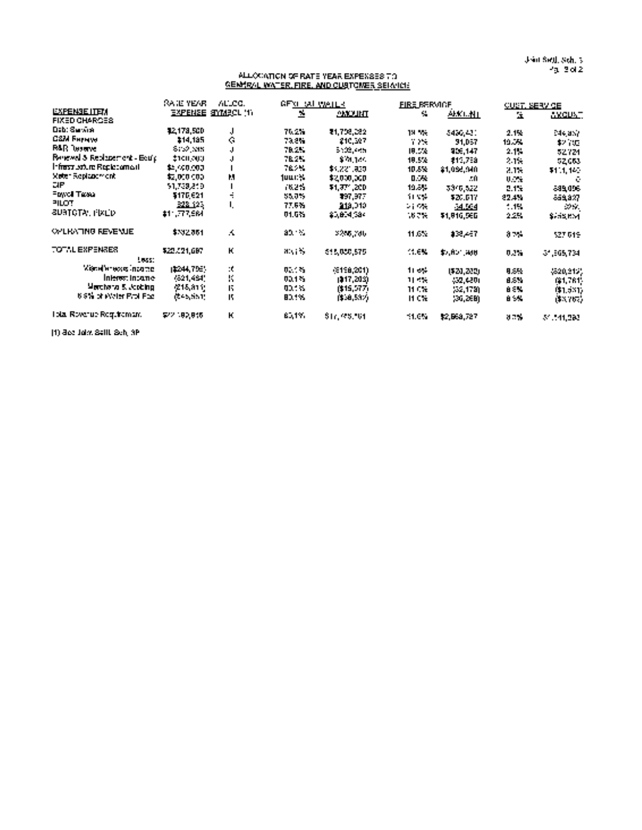Joint Saul. Sch. <sup>3</sup> Pg. 2of2

#### ALLOCATION OF RATE YEAR EXPENSES TO GENERAL WATER. FIRE, AND CUSTOMER SERVICE

|                               | RA IE YEAR.      | ALLCC.                    | GF <u>XL SAL WATER</u>                 |               | <b>FIRE RERVIGE</b>      |             |                   | <b>CUST, SERVICE</b> |
|-------------------------------|------------------|---------------------------|----------------------------------------|---------------|--------------------------|-------------|-------------------|----------------------|
| <b>LYFENSE ITEM</b>           |                  | <b>EXPENSE SIMBOL (1)</b> | м.                                     | <b>THLUMA</b> | 44                       | AKO NT      | $\mathbf{R}$      | <u>axquat</u>        |
| <b>FIXED CHARGES</b>          |                  |                           |                                        |               |                          |             |                   |                      |
| Dab: Service                  | 12,178,500       | J                         | 70.2%.                                 | 21,708,082    | 19 We                    | 5456.431    | 2.1%              | E44, any             |
| <b>CSM Ferryw</b>             | 114.135          | $\mathcal{C}^{\ast}$      | 78.CM                                  | 210,327       | 7.2%                     | 91,057      | 19.5%             | \$2,000              |
| <b>RAR</b> lesence            | <b>STORY NEW</b> | J.                        | 78.2%                                  | 5102,005      | 19.5%                    | 906,147     | 2.1%              | 52724                |
| Relevel & Replacement - Bourg | ‡ተመረቀመ           | J                         | 78.2%                                  | \$10,100      | 19.5%                    | 111,758     | 2.1%              | 52663                |
| lrinsst sourc' Replacement.   | \$4,49,000.      |                           | 76.7M                                  | \$1,221,850   | 10.5%                    | \$1,055,940 | 2.1%              | \$11,140             |
| Meter Replacement             | 12,000 000       | M                         | 1000%                                  | \$2,000,000   | 0. 24                    | - 10        | <b>U.M.</b>       | - 63                 |
| DIE.                          | 51,739,819       |                           | 762%                                   | \$1,37°,200.  | 19.8%                    | 3310,522    | 2.17 <sub>1</sub> | -39,096              |
| Fowel Tassa                   | \$176.621        | ÷                         | 55,0%                                  | 397,977       | 11.5%                    | \$20.017    | 22.4%             | 649.827              |
| PILOT                         | <b>E22.123</b>   | L                         | 77.6%                                  | 213,010       | $\sim 1000$ km s $^{-1}$ | فتناك       | $-1%$             | $\sim 100$           |
| <b>SURTOTAL PIXED</b>         | #1, 77561        |                           | 01.5%                                  | \$5,614,584   | 16 T.H                   | \$1,810,560 | 2.2%              | \$255 KM             |
| <b>OPLINATING REVENUE</b>     | \$332861         | A                         | 30.                                    | 2255.786      | 11.6%                    | ‡38,467     | <b>A75</b>        | 527, 619             |
| TOTAL EXPENSES.               | \$22,121,687     | K                         | $\mathbf{H}^{\text{in}}(\mathbb{R}^d)$ | 515,000,575   | 11. OK.                  | \$1,800,000 | 0.2%              | 31,565,734           |
| ters:<br>Колингиска прате     | 12244.795%       | ÷ť.                       | 0.145                                  |               |                          |             |                   |                      |
| Interest income-              | 4621.464*        | K                         |                                        | (\$198,201)   | 11, 644                  | 1520,2020   | 9.5%              | \$520,915)           |
|                               |                  |                           | 00.1%                                  | (117,202)     | 11.4%                    | -50,430)    | 8.5%              | 64,761.              |
| Merchang 5. Joshing.          | /215,811;        | T.                        | <b>DOM:</b>                            | (\$15,577)    | 11 C.V                   | -22.1790    | a su              | 01.0317              |
| 6.9% of Water Rroll Poz.      | (\$45,551)       | T.                        | 80.1%.                                 | (\$58,53%)    | It C'el                  | 130.26B)    | <b>B</b> 550      | (\$3,767).           |
| Total Royanue Regulternam.    | \$22.182.845     | K                         | E., 1971                               | \$17,95,501   | 11.CM                    | 12,563,727  | 82%.              | 51.141, 280          |

(1) See Joint Settl. Sch. 3B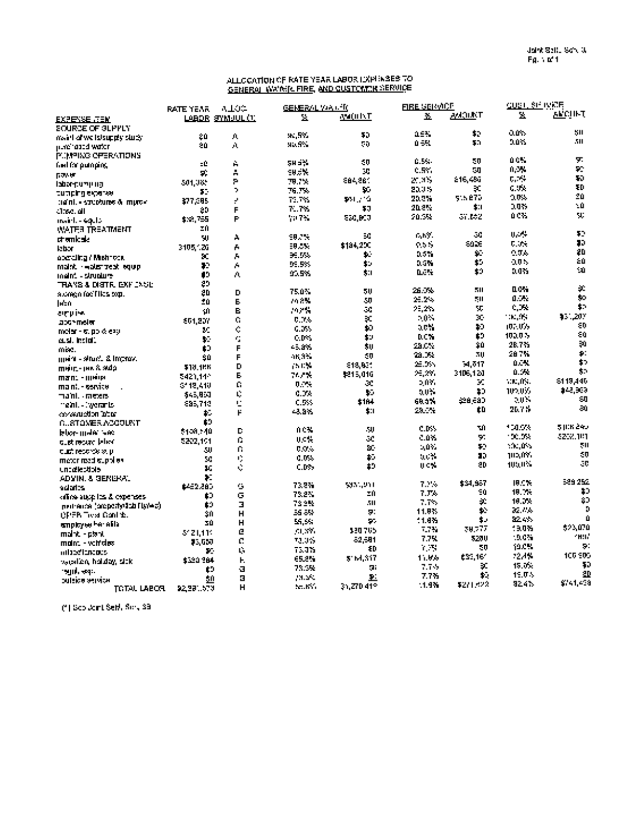#### ALLOCATION OF RATE YEAR LABOR EXPENSES TO <u>GENERAL WATER FIRE, AND CUSTOMER SERVIC</u>E

|                                                 | <b>RATE YEAR</b> | 0.102                   | <b>GENERAL VALLED</b> |                      | <b>FIRE SERVICE</b> |                | <u>GUST, SE IVEE</u>                                      |               |
|-------------------------------------------------|------------------|-------------------------|-----------------------|----------------------|---------------------|----------------|-----------------------------------------------------------|---------------|
| <b>EXPENSE JTEM</b>                             |                  | LABOR SYMUUL (1)        | 显                     | avatu INT            | ¥.                  | жюкт           | 믶                                                         | <b>ALCULT</b> |
| SOURCE OF GLPPLY                                |                  |                         |                       |                      |                     |                |                                                           |               |
| maint of we letsupply study                     | 20.              | J).                     | 91.59.                | 50                   | 2.5%                | \$2            | ans.                                                      | SH            |
| mare habed water.                               | 20.              | A                       | 95.5%                 | 50                   | $0 - R$             | 50             | 2.0%                                                      | 50            |
| <b>POMPING OFFICATIONS</b>                      |                  |                         |                       |                      |                     |                |                                                           |               |
| faul for putneting                              | -0               | À                       | 58 S.Y                | 40                   | <b>C.M.</b>         | 50             | 0.0%                                                      | у.            |
| 医双环体                                            | УÈ.              | Ă                       | 905%                  | 30                   | <b>C.SY.</b>        | 50             | 0,3%                                                      | 72            |
| iabar cumuun                                    | 501.085          | P                       | 78.7%                 | 884.26°              | 20.3%               | 216,486        | t. m                                                      | 10            |
| tumping exterior                                | 52               | ò.                      | 76.7%                 | 95                   | 2005                | эt,            | G. De                                                     | 30            |
| $\alpha$ and $\alpha$ streamed $\alpha$ matter. | 377.385          | ż                       | 79.7%                 | 101.72               | 20.2%               | 515 870        | 0.09%                                                     | 20            |
| ी:इट. वी                                        | 20               | F                       | 77%                   | 53                   | 20.8%               | \$1            | 2.035                                                     | 50            |
| maid. - equip                                   | \$32,755         | P                       | <b>WPS</b>            | 530.BCJ              | 20.5%               | on the         | 0.0%                                                      | V.            |
| WATER TREATMENT                                 | ΣĤ               |                         |                       |                      |                     |                |                                                           |               |
| chemicale.                                      | 9J)              | A                       | 58.7%                 | 5C                   | rany.               | 50             | 电动头                                                       | 52            |
| <b>Jabar</b>                                    | 3105.126         | A                       | 58.0%                 | \$184,200            | 9.5%                | 80 D.          | 0.346                                                     | 80            |
| abeteing / Mishropa                             | SC.              | A                       | 36.5%                 | ÷.                   | 3.5%                | $\mathbf{r}_i$ | $0.5\%$                                                   | 20            |
| malek - wake malek malek                        | 72               | A                       | 95.5%                 | \$5                  | 0.5%                | $\mathbf{S}$ . | 505                                                       | 50            |
| meint - situature                               | 13               | A.                      | 93.5%                 | \$11                 | <b>LES</b>          | \$9.           | 9.475                                                     | 10            |
| TRANS & DISTIR, EXPLOSIC                        | 29               |                         |                       |                      |                     |                |                                                           |               |
| sidnen for Files con.                           | 20               | D                       | 75.0%                 | 50                   | 26.0%               | 50.            | 0.0%                                                      | 光             |
| Inch                                            | ΞŮ               | E.                      | 74.8%                 | 50                   | $25.2\%$            | 50             | 0.341                                                     | to.           |
| ampies                                          | 10               | E.                      | 79 X W                | 50                   | 25,2%               | ЧD,            | $\mathcal{C}$ , $\mathcal{C}$                             | t.            |
| 2001 Telef                                      | 661.207          | Ō.                      | 0.0%                  | şc,                  | $\sim 0.5$          | ъ.             | <b>TELLES</b>                                             | 431.20Y       |
| motar - 6, pp & expl                            | M.               | ċ,                      | 6.0%                  | 40                   | ach.                | 20             | (0.10)                                                    | εD            |
| e.sl. holdi.                                    | W.               | ċ,                      | C.D.S.                | 生い                   | <b>DCN</b>          | Ė9             | 100.0%                                                    | 80            |
| min.                                            | £0               | F                       | 45, 275               | \$U                  | $210\%$             | 30             | 28.7%                                                     | $\mathbf{p}$  |
| mein - situd. & increw.                         | 90               | F                       | 16.3%                 | - 0                  | 23.0%               | 30             | 287%                                                      | p.            |
| <b>ШИГ-ТИК 8.940</b>                            | \$18,486         | D                       | $\sim 10\%$           | \$18,631             | 25.0%               | 54, 547        | 0.0%                                                      | $\bullet$     |
| man: • швій                                     | 5421.144         | Ē.                      | 74.7%                 | 5215,016             | 25.291              | 3406.420       | 0.5%                                                      | \$0.          |
| maint, - service                                | 3118.418         | C.                      | 0.2%                  | æ                    | 507.                | x              | V.C.O.                                                    | \$119,446     |
| ma'ni. - meters                                 | \$45,950         | Ú.                      | 0.0%                  | ¥.                   | 50%                 | 10             | 102.035                                                   | \$48,969      |
| meant, a two ranks                              | 895.718          | Ċ                       | C.5%                  | \$184                | 693%                | 29 ESD         | 2015                                                      | ÷0            |
| consumed on Tablet                              | ٠.               | p                       | -2.3%                 | \$1                  | 23.7%               | tD             | 20.7%                                                     | ē0.           |
| GUSTONER ACCOUNT                                | £9               |                         |                       |                      |                     |                |                                                           |               |
|                                                 | \$108,540        | D                       | 0 CX.                 | - 11                 | e.b.s               | тû             | 100%                                                      | 5 JUN 240     |
| blor-male we                                    | 5222.101         | Ō.                      | u cg                  | аc.                  | 0.0%                | 50             | 100.094                                                   | 3258.101      |
| cust recure blood                               | 50               | Ŭ.                      | D.O.S                 | SC.                  | $-0.7$              | \$0.           | 10,000                                                    | 511           |
| cust records stur                               | 50               |                         | 0.0%                  | $\ddot{\phantom{1}}$ | $0.0\%$             | 10             | 102.095                                                   | $\epsilon$ 0  |
| meter reed stoplies                             | ¥.               |                         | C.DSs                 | $\pmb{1}$            | りくや                 | 20             | 100.0%                                                    | - 8           |
| uncalectiols.                                   | ¥.               |                         |                       |                      |                     |                |                                                           |               |
| ADVIN, & GENERAL<br>scientes.                   | 6452.880         | Ġ,                      | 73.2%                 | 5331,951             | 7.2%                | \$34,987       | 19.C%                                                     | 589.252       |
|                                                 | O                | G                       | 73.2%                 | ΞĤ                   | 7. Fe               | -0             | 18.7%                                                     | Ð             |
| office augglifies & experience                  | t0               | $\overline{\mathbf{z}}$ | 73.3%                 | 511                  | 7.7%                | $\mathcal{L}$  | 10.0%                                                     | 80            |
| pertrence (proporty)2da flyYe a).               | 30               | H                       | 56.8%                 | Я.                   | 11.9%               | 42             | $\mathcal{M}_\mathrm{eff}$ and $\mathcal{M}_\mathrm{eff}$ | n.            |
| <b>OPER Test Control</b> .                      | 30               | H                       | 55.5%                 | SG.                  | 11.8%               | ٠.             | <b>SEA 495</b>                                            |               |
| smotovecher etila                               |                  | e                       | 51.375                | 330765               | $7.7\%$             | 70.777         | 19.0%                                                     | \$93.070      |
| malnt - dtrot                                   | 812 L.1 T.       | C.                      | 72.055                | -2.581               | 7.7%                | 5200           | 19.0%                                                     | <b>1197</b>   |
| main: - veit des                                | 73,650<br>v.     | ú.                      | 73.3%                 | ΦĐ                   | $\sim 10$           | 50             | 19.0%                                                     | S.            |
| miaedianapus                                    | \$320,384        | н.                      | 65.2%                 | 51M.317              | 11.9%               | <b>ESS 167</b> | 12.4%                                                     | 105,905       |
| waalen halday sitki                             | tэ               | я                       | 75.5%                 | 51.                  | 7.7%                | ä.             | 15.0%                                                     | 50            |
| rend, esp.                                      |                  | $\blacksquare$          | <b>PALMA</b>          | $\mathbf{P}$         | 7.7%                | t.             | 15.0%                                                     | 20            |
| одное жимом                                     | 50               | H                       | Sec. KNO              | 35.270412            | 1.9%                | \$271,622      | 92.4%                                                     | \$741,438     |
| <b>TGTAL LABOR</b>                              | 92.391.670       |                         |                       |                      |                     |                |                                                           |               |

(1) See Joint Saul. Sch. 38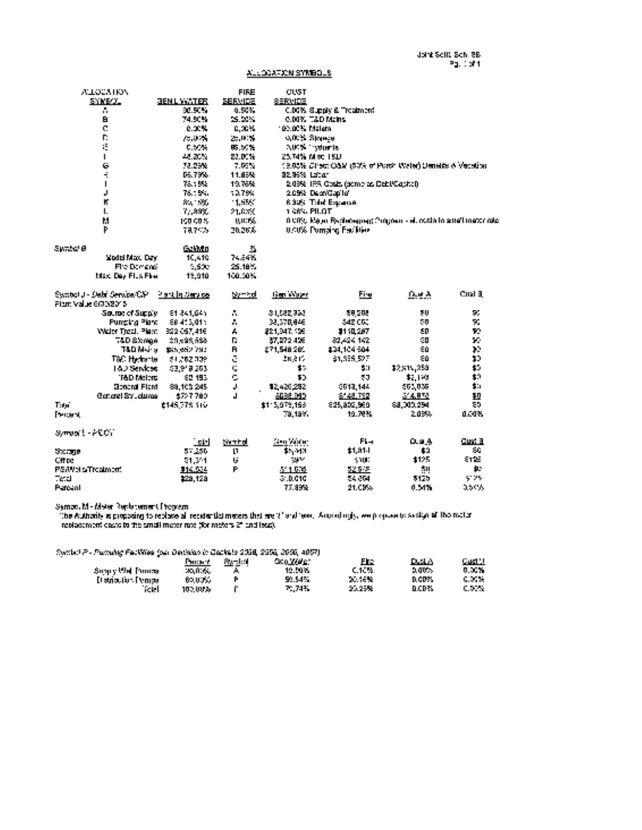### ALLOCATION SYMBOLS

| <b>ALLOCATION</b>                                                       |                            | <b>FIRE</b>                | <b>CUST</b>       |                                                                         |              |                |
|-------------------------------------------------------------------------|----------------------------|----------------------------|-------------------|-------------------------------------------------------------------------|--------------|----------------|
| SYMB/JL                                                                 | <b>JENL WATER</b>          | <b>SERVICE</b>             | SERVICE           |                                                                         |              |                |
| A.                                                                      | 50.50%                     | 0.50%                      |                   | C.DC% Sugaly & Treatment                                                |              |                |
| $\mathbf{B}$                                                            | 74.50%                     | 25.00%                     |                   | 6.00% 7&D Mains                                                         |              |                |
| $\mathbf{C}$                                                            | 0.00%                      | -0.00%                     | 100.00% Malers    |                                                                         |              |                |
| n.                                                                      | 70.07%                     | 25,00%                     | <b>ARK Space</b>  |                                                                         |              |                |
| ίĖ,                                                                     | 0.50%                      | 85.50%                     |                   | <b>AUCS Involve to</b>                                                  |              |                |
| $\blacksquare$                                                          | $44.20\%$                  | 23.00%                     |                   | 25.74% Mac 18D                                                          |              |                |
| Ġ                                                                       | 72.25%                     | - 7.00%                    |                   | 19,05% Chect OSM (50% of Porch Water) Ustraids & Vecation.              |              |                |
| ÷                                                                       | 06.79%                     | 11.85%                     | 32.95% Labor      |                                                                         |              |                |
| $\mathbf{I}$                                                            | 78.1992.                   | 19.76%                     |                   | 2.03% 135, Obsit, (ocmb as Debt/Capital).                               |              |                |
| J                                                                       | 76.18%                     | 10.799                     |                   | 2.09% DepriCapito                                                       |              |                |
| К                                                                       | 89, 99,                    | $-1.55%$                   |                   | <b>ROOK Tild Expanse</b>                                                |              |                |
| 1.                                                                      | 7, 89%                     | 21.659                     | 1.06% PILOT       |                                                                         |              |                |
| M                                                                       | 190.00%                    | <b><i>BUCK</i></b>         |                   | 0.00%. Major Rechessions) Consternie et rotata la sensibilizacion role. |              |                |
| p                                                                       | 78,76%                     | 2026%                      |                   | <b>USING Dunning Facilities</b>                                         |              |                |
|                                                                         |                            |                            |                   |                                                                         |              |                |
| Sunbal B                                                                | GelMn                      | 蠡                          |                   |                                                                         |              |                |
| Woold Max, Day                                                          | 10,410                     | 74.84%                     |                   |                                                                         |              |                |
| Fire Domans'                                                            | 1,500                      | 25.18%                     |                   |                                                                         |              |                |
| Max, Dev Flus Floor                                                     | 12.910                     | 100.00%                    |                   |                                                                         |              |                |
| Switter J - Date Service CV - Plant In Service<br>Fiam Value 6(70/2015) |                            | Symbol                     | <b>Gen Water</b>  | Fim                                                                     | Due A        | Cital 3        |
| Source of Supply 11, 84 841, 645                                        |                            | $\mathcal{L}_{\mathbf{r}}$ | 31,582,923        | 28205                                                                   | 50           | 55             |
| Purreing Plane                                                          | 88413,015                  | A.                         | 38,370,046        | 342000                                                                  | 50           | 90             |
| Water Treat, Plant 822-057,416                                          |                            | A.                         | 221.047.106       | 2110.287                                                                | 50           | Ŧ.             |
|                                                                         | 7&D Stonge 20,598,588      | D.                         | 27.272.426        | 82.424.142                                                              | ា            | $\mathbf{r}$ . |
|                                                                         | T&D Mains San edit Vac     | $\mathbf{R}$               | 271.548.260       | 424.104.504                                                             | 20           | ЪP.            |
|                                                                         | T&C Hydrante - 51,262,309  | ē                          | 26,815            | 31.355.527                                                              | εú           | 10             |
|                                                                         | 18.2 Services (23.918.203) | Ċ                          | <b>A</b> 7        | 511                                                                     | \$2,815,253  | $\mathbf{r}$ . |
| <b>T&amp;D Molers</b>                                                   | 82, 193                    | Ċ.                         | 30.               | 50                                                                      | \$1,193      | \$0            |
| <b>Beneral Flant</b>                                                    | 88.103.245                 | $\mathbf{J}$               | 12420232          | 0013.144                                                                | 563,038      | s.             |
| General Structures                                                      | 6727.780                   | J.                         | 8638.999          | 6148.792                                                                | 314,873      | 10             |
| Tuni                                                                    | <b>£145778.110</b>         |                            | \$115,079,158     | 925.802.969                                                             | \$8,000,294  | 55             |
| <b>Percent</b>                                                          |                            |                            | 79.19%            | 10.78%                                                                  | 2.03%        | 0.00%          |
|                                                                         |                            |                            |                   |                                                                         |              |                |
| Symparity ARCT                                                          |                            |                            |                   |                                                                         |              |                |
|                                                                         | 그년                         | tarrindi                   | <b>Gen Vaster</b> | $FL -$                                                                  | <b>DLatA</b> | Cuvi 3         |
| Steamn                                                                  | 57,256                     | $\mathbf{1}$               | \$5,913           | \$1.81-                                                                 | Ė3           | SC.            |
| Citics                                                                  | 51,351                     | 14                         | <b>SILV</b>       | <b>SYNC</b>                                                             | \$125        | 8125           |
| PS/Weis/Treatment                                                       | \$14,534                   | P                          | 5' 1.575          | 525-5                                                                   | 50           | ÷.             |
| <b>Tetal</b>                                                            | \$29,128                   |                            | 310,010           | 54,004                                                                  | 5125         | $\sim 100$     |
| Patsal                                                                  |                            |                            | 77.89%            | 21.03%                                                                  | 0.54%        | 0,50%          |

Symbol M Meter Replacement Program

The Authority Is proposing to replace all residential meters that are 2' and less. Accordingly, we propose to assign all the meter replacement costs to the small meter rate (for meters 2" and less).

Symbol P Pumping Facilities (per Deoision In Dookets 2098, 2555, 3660, 4067)

|                           | Гикат.  | <b>System</b> | -300,000 pm | Fre             | D.A.A   | Gud Hi   |
|---------------------------|---------|---------------|-------------|-----------------|---------|----------|
| Suspy Well Founds         | 20,006, |               | 12.50%      | <b>C.10%</b>    | 2,00%   | 0.00% l  |
| <b>Distriction Penice</b> | 60,00%  |               | 59.54%      | <b>Decision</b> | D.GDFS. | G. 35 W. |
| hotel .                   | 102.00% |               | PC 74%      | 20.25%          | D.CD75  | C.DON:   |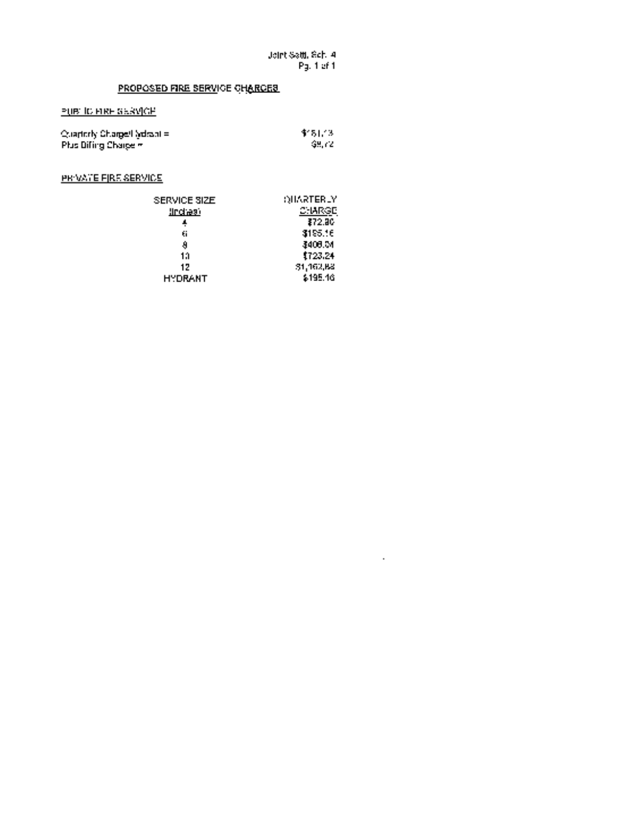$\mathcal{A}^{\pm}$ 

# PROPOSED FIRE SERVICE CHARGES

### PUBLIC FIRE SERVICE

| Cuarterly Charge/Ladison = | 11 S L 13  |
|----------------------------|------------|
| Plus Diffing Charge m      | - GH. 72 - |

PRIVATE FIRE SERVICE

| SERVICE SIZE    | OHARTERLY |
|-----------------|-----------|
| <u>lindraai</u> | C: IARGE  |
|                 | 372.JC    |
| 61              | 3195.16   |
| a               | 3408.M    |
| 13              | 1723.24   |
| 17              | 31,162,83 |
| <b>HYDRANT</b>  | \$195.16  |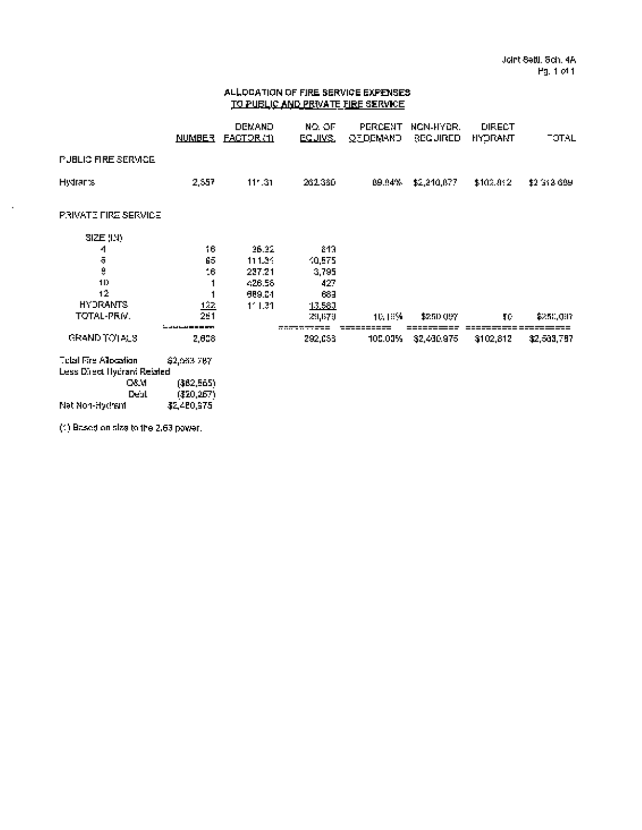### ALLOCATION OF FIRE SERVICE EXPENSES TO PUBLIC AND PRIVATE FIRE SERVICE

|                                                                 | <u>NUMBER</u>                  | DEMAND<br><b>EACTOR (1)</b> | NO. OF<br>EQUIKS. | PERCENT<br><b>QEDEMAND</b> | NON-HYDR.<br><b>BECURED</b> | <b>DIRECT</b><br><b>HYDRAMT</b> | <b>TOTAL</b> |
|-----------------------------------------------------------------|--------------------------------|-----------------------------|-------------------|----------------------------|-----------------------------|---------------------------------|--------------|
| <b>PUBLIC FIRE SERVICE</b>                                      |                                |                             |                   |                            |                             |                                 |              |
| <b>Histrants</b>                                                | 2.557                          | $11 - 31$                   | 261.380           | 09.94%                     | \$2,240,077                 | \$102.092                       | \$2,313,699  |
| <b>PRIVATE FIRE SERVICE</b>                                     |                                |                             |                   |                            |                             |                                 |              |
| SIZE (1.4)                                                      |                                |                             |                   |                            |                             |                                 |              |
| 4                                                               | 16.                            | 26.22                       | -213              |                            |                             |                                 |              |
|                                                                 | 65                             | 111.34                      | 10,575            |                            |                             |                                 |              |
| ā<br>9                                                          | $16\,$                         | 227.21                      | 3,795             |                            |                             |                                 |              |
| 1D                                                              |                                | 426.56                      | 427               |                            |                             |                                 |              |
| 12                                                              |                                | 989.04                      | 683               |                            |                             |                                 |              |
| <b>HYDRANTS</b>                                                 | 122                            | 1'1.31                      | 13,580            |                            |                             |                                 |              |
| TOTAL-PRIV.                                                     | 2.1                            |                             | 231,679           | 10. ISS 1                  | \$250,097                   | TС                              | \$250,007    |
|                                                                 | والمتراكب والمتناسبات لترك     |                             |                   |                            |                             |                                 |              |
| GRAND TO LAUS                                                   | 2,808                          |                             | 292,053           | 100.00%                    | 32,430,975                  | \$102,812                       | \$2,503,797  |
| <b>Total Fire Allocation</b>                                    | \$2,063.787                    |                             |                   |                            |                             |                                 |              |
|                                                                 |                                |                             |                   |                            |                             |                                 |              |
|                                                                 |                                |                             |                   |                            |                             |                                 |              |
| <b>Less Direct Hydrant Reisted</b><br>CAM.<br><b>Participal</b> | (\$82,565)<br>1750 ሰ <b>ምሌ</b> |                             |                   |                            |                             |                                 |              |

032.480,267)<br>Debt (\$2480,975 Net NonHydrant \$2,460,975

 $\bar{\phantom{a}}$ 

(1) Based on size to the 2.63 power.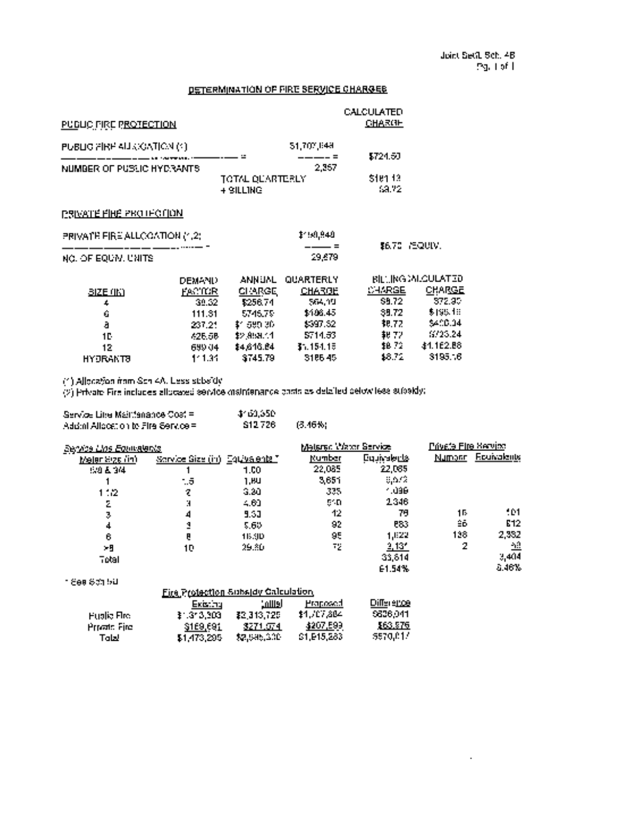$\hat{\mathcal{A}}$ 

# DETERMINATION OF FIRE SERVICE CHARGES

| PUBLIC FIRE PROTECTION         |               | CALCULATED<br>CHARGE         |               |                    |                           |
|--------------------------------|---------------|------------------------------|---------------|--------------------|---------------------------|
| PUBLIC PIRE ALLOCATION (1)     |               |                              | 51,702,848    |                    |                           |
| NUMBER OF PUSSIC HYDRANTS      |               |                              | 2,357         | \$724.50           |                           |
|                                |               | TOTAL QUARTERLY<br>+ SILLING |               | 5161.13<br>1.A. I. |                           |
| <u>PSIVATE FIHE PROTECTION</u> |               |                              |               |                    |                           |
| PRIVATE FIRE ALLOCATION (1,2)  |               |                              | \$150,840     |                    |                           |
| NO. OF EQUIVILUMITS            |               |                              | 29.479        |                    | IB.70 MEQUIV.             |
|                                | <b>DEMAND</b> | ANNUNL,                      | QUARTERLY     |                    | <b>BILLING MILGULATED</b> |
| <u> BIZE (IK)</u>              | FACTOR.       | CHARGE,                      | <u>CHARGE</u> | CHARGE.            | <b>CHARGE</b>             |
| 4                              | 39.32         | \$256.74                     | - 564,19      | 59.72              | 572.95                    |
| Ġ                              | 111.31        | 5745.79                      | \$106.45      | 39.72              | \$195.18                  |
| ā                              | 237.21        | \$1,580.30.                  | \$597.52      | 38.72              | \$400.04                  |
| 1D                             | 426.58        | 42 ABR 1                     | 5714.53       | \$V 72.            | 6725.24                   |
| 12                             | 699.04        | \$4,616.64                   | 31.151.15     | \$8.72 L           | 41.162.B8                 |
| HYDRANTO                       | $1 - 1.31$    | 3745.79                      | \$166.45      | 1872               | 3195.16                   |

(1) Allocation from Sch 4A. Less subsidy

(2) Private Fire includes allocated service maintenance costs as detailed below less subsidy:

Total \$1,473,295 \$2,585,300 \$1,915,283 \$670,017

| Service Libe Maintenance Cost =      | 1160.650 |           |
|--------------------------------------|----------|-----------|
| Addml Allcoation to Fire Service = 1 | S12726   | - 13.46%) |

| <b>Service Line Equipalents</b> |                                                |                                     | Malarac Water Service |                     | Private Fire Service |                    |
|---------------------------------|------------------------------------------------|-------------------------------------|-----------------------|---------------------|----------------------|--------------------|
| Melar Siza (in)                 | <i>Sarvice Size (in)</i> Equ <u>ivalents T</u> |                                     | Number                | <u> Equivalents</u> |                      | Numont Fourvalents |
| 530 & 34                        |                                                | 1.00                                | 22.085                | 22,085              |                      |                    |
|                                 | - 5                                            | 1.HU                                | 3,651                 | 8,672               |                      |                    |
| 1:2                             | 7                                              | -3.20                               | 335,                  | - 196               |                      |                    |
| Σ                               | N                                              | $-61$                               | 51 D                  | 2346                |                      |                    |
| Ţ.                              | 4                                              | 5.30                                | 42                    | 79                  | 15                   | 101                |
| 4                               | 1                                              | 5.65                                | 92                    | <b>P83</b>          | ŝΰ                   | E12                |
| 6                               | e                                              | 16.90                               | 95                    | 1.822               | 138                  | 2,352              |
| - 9                             | 10                                             | 29.80                               | 72                    | <u> 2,131 </u>      | 2                    | 盐                  |
| Telati                          |                                                |                                     |                       | 33,614              |                      | 3,404              |
|                                 |                                                |                                     |                       | E1.54%              |                      | $-46\%$            |
| n Sea Schibill                  |                                                |                                     |                       |                     |                      |                    |
|                                 |                                                | Fire Protection Subsidy Calculation |                       |                     |                      |                    |
|                                 | Еквела                                         | الالللاث                            | Praposed              | Differe <u>nce</u>  |                      |                    |
| <b>Fuglic Fire</b>              | $3 - 3 - 3,303$                                | \$2,313,725                         | \$1,707,804           | 9836,041            |                      |                    |
| <b>Proats Fire</b>              | \$169,691                                      | 3271.074                            | 4207,599              | <u> 163.576 </u>    |                      |                    |
|                                 |                                                |                                     |                       |                     |                      |                    |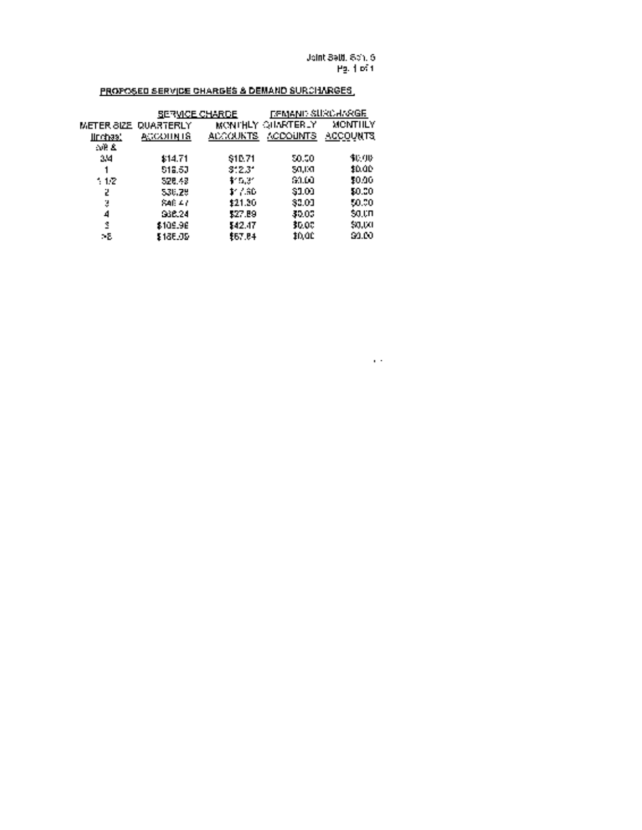Joint Setti. Sch. 5 Pg. <sup>1</sup> of I

 $\alpha$  .

# PROPOSED SERVICE CHARGES & DEMAND SURCHARGES

|                    | <u>SERVICE CHARGE</u> |                 | DEMAND SURCHARGE  |          |  |
|--------------------|-----------------------|-----------------|-------------------|----------|--|
| $\tt METER-BIZE$ . | <b>QUARTERLY</b>      |                 | MONTHLY QUARTERLY | MONTHLY  |  |
| <u> Шофаз)</u>     | АССОНИТЯ              | <b>ALCOUNTS</b> | ACCOUNTS.         | ACCOUNTS |  |
| AR &               |                       |                 |                   |          |  |
| 24                 | \$14.71               | \$10.71         | 50.50             | 事项形      |  |
|                    | 518.50                | 3'23'           | 50,10             | 10.00    |  |
| $-1.2$             | 526.43                | 机反射             | 60.DO             | 50.00    |  |
| 2                  | 536.29                | 1.7.30          | 31.OI             | 50.00    |  |
| ÷,                 | 846 A.A               | 121.20          | 33.00             | 50.00    |  |
| 4                  | 938.24                | \$27.89         | 30.00             | 50.UD    |  |
| 1                  | \$109.96              | \$42.17         | 30.00             | \$0,00   |  |
| ÷Б                 | 1185.05               | \$67.C4         | 10.0C             | 91.DO    |  |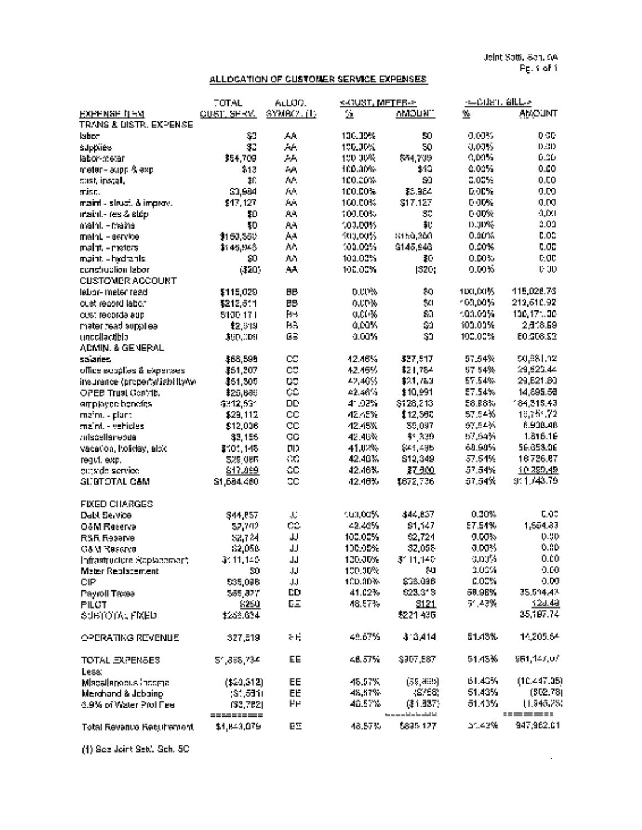Joint Seth. Sch. 5A Pg. <sup>1</sup> of I

 $\hat{\mathcal{L}}$ 

### ALLOCATION OF CUSTOMER SERVICE EXPENSES

|                                                         | <b>TOTAL</b>       | ALLUC.                      | KANUST, METER->         |                          | ⇒∟Culan, alLL⇒          |                         |
|---------------------------------------------------------|--------------------|-----------------------------|-------------------------|--------------------------|-------------------------|-------------------------|
| <u>нхнявая пем</u><br><b>TRANS &amp; DISTR. EXPENSE</b> | <u>CUST, SFRW.</u> | SYMPORT IT:                 | $\overline{\mathbf{G}}$ | <b>MUCMM</b>             | $\mathbf{v}_\mathrm{c}$ | <b>AMCUNT</b>           |
| labor                                                   | $\sqrt{2}$         | АA                          | 100.00%                 | 50                       | 0.00%                   | 0.50                    |
| supplies                                                | \$2                | Aé.                         | 100.00%                 | 50                       | 0.00%                   | D.3D                    |
| labor-metar                                             | 354,709            | АA                          | 100,00%                 | \$54,709                 | 0.00%                   | 0.00                    |
| meter-layon & exc.                                      | 513                | الرد.                       | 100.00%                 | 112                      | 0.00%                   | 0.00                    |
|                                                         | $\mathbf{H}$       | AA.                         | 100.00%                 | 90                       | 0.00%                   | 0.00                    |
| cust, ipstall,                                          |                    | АÅ.                         |                         | \$5,984                  | 0.00%                   | 0.00                    |
| minn.                                                   | \$3,904            |                             | 100.00%                 |                          | 0.00%                   |                         |
| maint - struct. & improv.                               | 117, 127           | $\mathbf{h}_{\mathrm{eff}}$ | 100.00%                 | \$17.127                 |                         | 0.00<br>0,0.1           |
| maint-res & stép                                        | \$D                | AA.                         | 100.00%                 | 30                       | 0.00%                   | 2.02                    |
| maint - mains                                           | ŦD                 | AA.                         | 100,00%                 | 北                        | 0.00%                   | 0.05                    |
| maint - service                                         | \$150,550          | Aч                          | Kuulou%i                | 3150,360                 | 0.00%                   |                         |
| malnt - maters                                          | \$145,948          | An.                         | 100.00%                 | 9145,946                 | 0.00%                   | 0.05                    |
| maint, - hydranis                                       | 90.                | AA.                         | 100.00%                 | ŦŪ                       | 0.00%                   | <b>C.OC</b>             |
| conclusion labor                                        | (420)              | AA                          | 100.00%                 | 1320;                    | 0.00%                   | <b>U-30</b>             |
| <b>CUSTOMER ACCOUNT</b>                                 |                    |                             |                         |                          |                         |                         |
| lebor-ineter read                                       | \$115,029          | <b>BB</b>                   | 0.00%                   | ¢0                       | 100,00%                 | 115,026.73              |
| cust record labor                                       | \$212,511          | <b>BB</b>                   | o.up%                   | $\mathbb{S} \Omega$      | 100,00%                 | 212,610.92              |
| cust records ago                                        | 5100-171           | $H -$                       | 0.00%                   | $\mathbb{S}^n$           | 100.00%                 | 100,171,00              |
| mater read sunot ea-                                    | \$2,319            | <b>BS</b>                   | 0,00%                   | $\mathbb{C}^n$           | 100.00%                 | 2.818.59                |
| uncollectible<br>ABMIN, & GENERAL                       | \$90,009           | ßЗ                          | 4.60%                   | S1                       | 190.00%                 | E0.308.52               |
| salaries                                                | \$68,598           | CC.                         | 42.46%                  | 327,517                  | 57.54%                  | 50,881,12               |
| office equaties & expenses                              | \$51,207           | CC.                         | 42.45%                  | \$21,784                 | 57 54%                  | 29,525.44               |
| insurance (property/sability/w)                         | \$51,305           | $C^*$                       | 42,46%                  | \$21,763                 | 57.54%                  | 29, E21. 80             |
| <b>OPEB Trust Convict</b>                               | \$25,680           | t.                          | $-2.46%$                | \$10,991                 | 57.54%                  | 14,895.58               |
|                                                         | 4312,531           | <b>DD</b>                   | 41.02%                  | \$126,213                | 58.88%                  | 184,315.43              |
| orrplayers benefits.                                    |                    | CC                          | 42.45%                  | 112,590                  | 57.54%                  | 16,755.72               |
| meim. - plant                                           | \$29,112           | CC                          |                         | 59,097                   | 6Y.54%                  | 8.900.40                |
| maint - vehicles                                        | \$12,006           |                             | 42.45%<br>42.46%        | \$1.339                  | 57,54%                  | 1.816.16                |
| <b>adscellenebua</b>                                    | 32,155             | CG                          |                         |                          | 60.90%                  | 56.653.06               |
| vacation, holiday, alck                                 | \$101,145          | $\Pi$                       | 41.02%                  | \$41,495                 |                         |                         |
| reaut, exp.                                             | <b>529,086</b>     | $\sim$ C                    | 42.46%                  | \$12,349                 | 57.54%                  | 16726.67                |
| erriside service.                                       | \$17,099           | CC                          | 42.46%                  | 37.300                   | 57.54%                  | 10.299.49               |
| <b>GLIBTOTAL CAM</b>                                    | 61,684.480         | <b>CC</b>                   | 42.46%                  | \$672,736                | 57.54%                  | 9:1740.79               |
| <b>FIXED CHARGES</b>                                    |                    |                             |                         |                          |                         |                         |
| <b>Dall Service</b>                                     | \$44,857           | $\mathbf{J}_\mathrm{c}$     | 101,00%                 | \$44,857                 | 0.30%                   | 0.05                    |
| O&M Reserva                                             | 52,702             | CO                          | 42.46%                  | \$1.147                  | 57.54%                  | 1,554.83                |
| <b>RSR Reserve</b>                                      | \$8,724            | IJ                          | 100.00%                 | 62,724                   | 0.00%                   | 0.30                    |
| <b>G&amp;M Reserve</b>                                  | 62,050             | JJ.                         | 100.00%                 | 32,058                   | 0.00%                   | 0.30                    |
| Infrastructure Scotagement                              | 3:11,140           | <b>JJ</b>                   | 120.00%                 | 3111.140                 | 0,00%                   | 0.00                    |
| Mater Replacement                                       | 50                 | JJ.                         | 100.00%                 | ЯQ.                      | 2.00%                   | 0.00                    |
| CIP                                                     | 535,098            | JJ                          | 100.00%                 | \$38,096                 | 0.00%                   | 0.00.                   |
| Payroll Taxes                                           | 555,827            | <b>CD</b>                   | 41.02%                  | 623.313                  | 58.96%                  | 35.514.42               |
| <b>PILCT</b>                                            | \$250              | EE                          | 48.57%                  | 3121                     | 51.43%                  | 124.48                  |
| <b>SUBTOTAL FIXED</b>                                   | \$258.634          |                             |                         | \$221,436                |                         | 35,197.74               |
| OPERATING REVENUE                                       | 327,519            | $\sim$ H                    | 49.67%                  | \$13,414                 | 51.43%                  | 14,205.64               |
| <b>TOTAL EXPENSES</b>                                   | 51,898,734         | EE                          | 48.57%                  | \$907,587                | 51.45%                  | 951,147,07              |
| Less:                                                   |                    |                             |                         |                          |                         |                         |
| Macallanosus income.                                    | (\$20,312)         | EE                          | 48.57%                  | (55, 489)                | 61.43%                  | (10.447.95)<br>(502.78) |
| Merchand & Jobbing                                      | (31, 531)          | EE                          | 48,57%                  | 38/56                    | 51.43%                  |                         |
| 3.9% of Water Prolifiee                                 | (33,782)           | ۲F                          | 46.57%                  | (31.337)<br>المحمد بدعاء | 51.43%                  | 11.945.25<br>=======    |
| <b>Total Revenue Recurrement</b>                        | \$1,843,079        | EΞ                          | 48.57%                  | \$895,127                | 24.42%                  | 947,962.01              |

(1) See Joint Seth. Sch. SC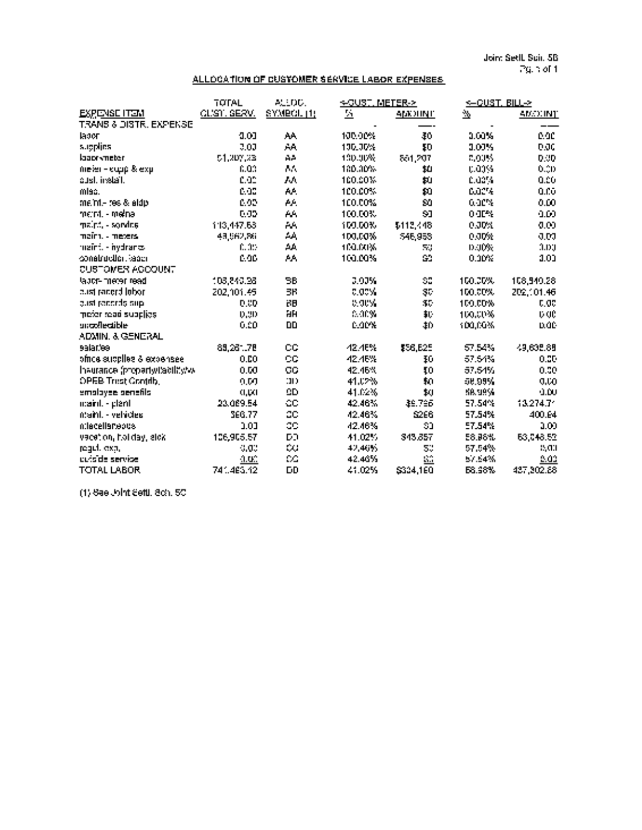Joint Seth. Sch. 58 Pg. blof 1.

### ALLOCATION OF CUSTOMER SERVICE LABOR EXPENSES

|                                   | <b>TOTAL</b> | ALLIDID.            | ∻GUST, METER->          |                             | <–CUST, BILL→ |             |
|-----------------------------------|--------------|---------------------|-------------------------|-----------------------------|---------------|-------------|
| <b>EXPENSE ITEM</b>               | CLISTILSERVI | SYMPCL (1)          | $\overline{\mathbf{z}}$ | арканул                     | $\Delta$      | AMOUNT      |
| <b>TRANS &amp; DISTR. EXPENSE</b> |              |                     |                         |                             |               |             |
| labor                             | 0.01         | AA.                 | 100.00%                 | 46                          | 1.00%         | 0.00        |
| supplies                          | 3.00         | ÅÅ                  | 100.00%                 | <b>FD</b>                   | 1.00%         | 0.00        |
| laacrymeter                       | 51,207,23    | AA.                 | 130.00%                 | 551,207                     | 8,00%         | 0.00        |
| $m$ eier – $m$ upp & exp          | 6.03         | A.                  | 180.30%                 | ш                           | 0.00%         | 0.00        |
| aust, install,                    | 0.02         | ЛA                  | 100.00%                 | þ.                          | 0.00%         | 0.00        |
| misc.                             | 0.00         | AA.                 | 100.00%                 | $\mathbf{p}$                | 6.02%         | 0.Cö        |
| me.ml - res & aldo                | 0.00         | AA.                 | 100.00%                 | 80                          | 6.00%         | 0.00        |
| ment - melna                      | 0.00         | AA.                 | 100.00%                 | 91                          | $0$ OF $\%$   | 0.60        |
| maint - sondes                    | 113,447.63   | AA.                 | 100.00%                 | \$112,448                   | 0.30%         | 0.00        |
| maint - meters.                   | 43,562,86    | $\Delta \mathbf{A}$ | 100,00%                 | 546,958                     | 0.00%         | 0.00        |
| maint - hydranic                  | 0.00         | $\Delta\Delta$      | 100.00%                 | 5.1                         | 0.00%         | 1.01        |
| construction, leads               | 0.00         | AA.                 | 100.00%                 | GS.                         | 0.00%         | 3.00        |
| CUSTOMER ACCOUNT                  |              |                     |                         |                             |               |             |
| labor-meter read                  | 108,840.98   | BB.                 | 3.00%                   | SS.                         | 100.00%       | 108.940.28  |
| cust pacerd lobor.                | 202,101.45   | 3F                  | $0.00\%$                | 35                          | 100.00%       | 202,101.46  |
| gust penerds sup-                 | 0.00         | B <sub>B</sub>      | e.orv.                  | $\sim$                      | 100.00%       | 0.05        |
| mefer read supplies               | 0,90         | HH                  | c.org/                  | 邦                           | 100,00%       | <b>b</b> de |
| snockleatible                     | 0.00         | <b>DD</b>           | <b>CODY</b>             | 10                          | 100.00%       | <b>D.OD</b> |
| ADMIN, & GENERAL                  |              |                     |                         |                             |               |             |
| salar.'ee                         | 89,261.78    | CC.                 | <b>42.46%</b>           | \$56,625                    | 57.54%        | 49,635.88   |
| ofrica supplies & expensee        | 0.00         | CG.                 | 42.46%                  | \$0\$                       | 57.54%        | 0.00        |
| Invurance (property/tacility/w    | 0.50         | CC                  | 42.46%                  | Ţ0                          | 57.54%        | 0.00        |
| OPEB Triist Contrib.              | 0.50         | 111                 | 41.02%                  | $\mathfrak{g}$              | 58.99%        | 0.50        |
| emoloyee penefils                 | 0,001        | QD                  | 41.02%                  | 10                          | 58.99%        | 0.00        |
| maint - plant                     | 23.069.54    | ОC                  | 42.46%                  | 36.796                      | 57.54%        | 13.274.71   |
| ntaint. - vehicles.               | 366.77       | 2 <sub>C</sub>      | 42.46%                  | <b>S266</b>                 | 57.54%        | 400.64      |
| miacellaneous                     | 0.00         | CC                  | 42.46%                  | 30                          | 57.54%        | 0.00        |
| vacation, holiday, alck           | 106,905.57   | DD.                 | 41.02%                  | 343,857                     | E8.06%        | 63,048.52   |
| reguli exp.                       | 0.00         | CC.                 | 42,46%                  | 5.                          | 57.54%        | 0.01        |
| cuis de servise                   | $10^\circ$   | $\sim$              | 42.46%                  | $\mathcal{C}^{\mathcal{A}}$ | 57.54%        | 5.02        |
| <b>TOTAL LABOR</b>                | 741.465.42   | <b>DD</b>           | 41.025                  | S304.1E0                    | <b>68.98%</b> | 437,302.88  |
|                                   |              |                     |                         |                             |               |             |

(1) See Joint Setti. Sch. SC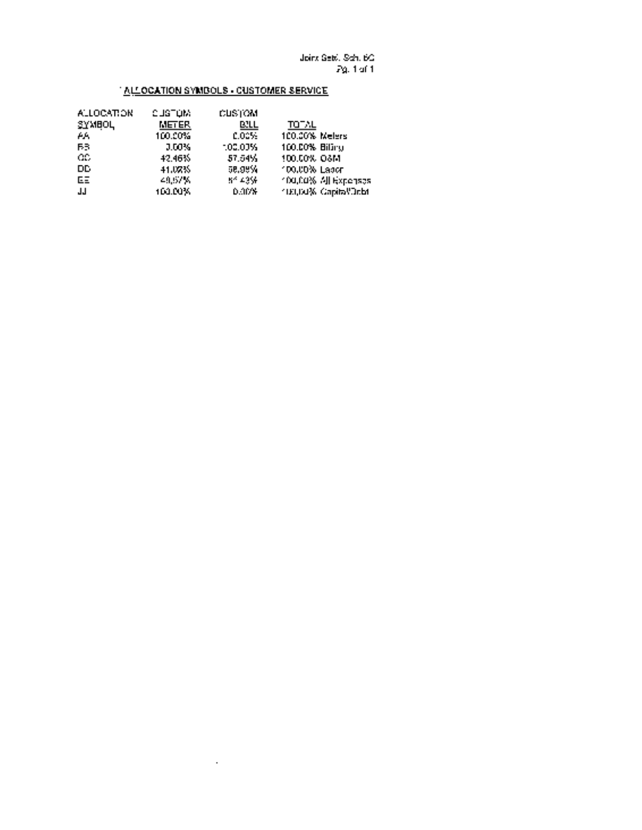### **ALLOCATION SYMBOLS - CUSTOMER SERVICE**

| <b>ALLOCATION</b> | CUSTUM. | <b>CUSTOM</b> |                            |
|-------------------|---------|---------------|----------------------------|
| <b>SYMBOL</b>     | METER.  | <b>BILL</b>   | <b>TOTAL</b>               |
| АA.               | 100.00% | <b>CO25:</b>  | 100.00% Melers             |
| FB.               | 0.00%   | 100.005       | 100.00% Billing            |
| OC.               | 42.46%  | 57.54%        | 100.00% OSM                |
| DD.               | 41.07%  | 58.98%        | 100.00% Lacer              |
| EE                | 49.67%  | 84.43%        | 100,00% All Expenses       |
| ШL                | 100.00% | <b>D.10%</b>  | <b>TELORS Capital/Debt</b> |
|                   |         |               |                            |

 $\sim$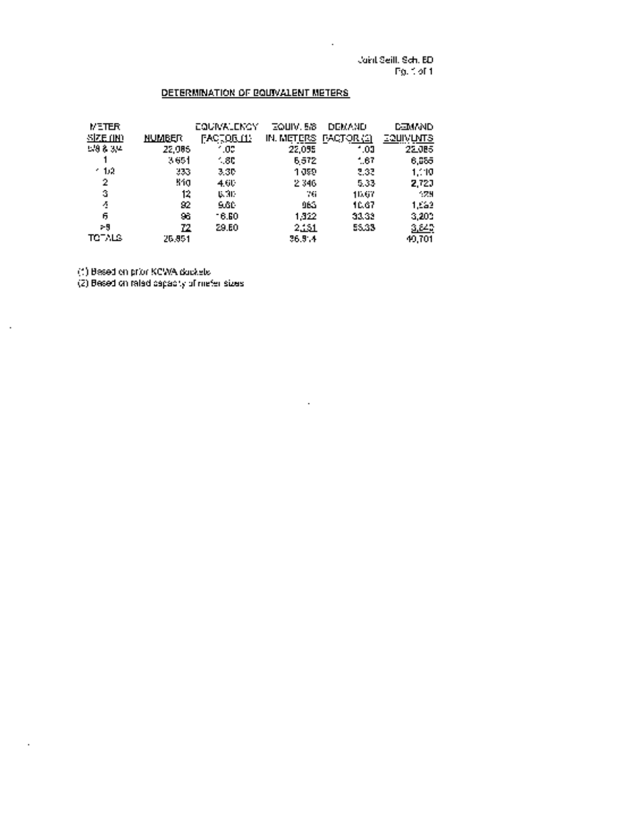Joint Setti. Sdi. 5D Pg. <sup>1</sup> of <sup>1</sup>

 $\ddot{\phantom{a}}$ 

### DETERMINATION OF EQUIVALENT METERS.

| <b>METER</b>    |               | <b>EQUIVALENCY</b> | TOUIV, 5/8 | <b>DEMAND</b>     | <b>DEMAND</b> |
|-----------------|---------------|--------------------|------------|-------------------|---------------|
| <u>Size uni</u> | <b>NUMBER</b> | FACTORILL          | IN. METERS | <b>FACTOR (2)</b> | соцімила      |
| 538.34          | 22,005        | . u:               | 22,095     | - 01              | 22.085        |
|                 | - 651         | - 80               | 5572       | - 67              | 6,055         |
| - 12            | 333           | 3.30.              | 1 JSP      | -533              | 1.10          |
| 2               | Min           | 4.6L               | 2.346      | 5.33              | 2,720         |
| Ġ,              | 12            | <b>U. 31-</b>      | $\sim 0.1$ | 11.67             | - 74          |
| Ą               | 92            | SGC.               | 96G        | 10.67             | 1,552         |
| 6               | 96            | 16.50              | 1.322      | 33.32             | -3,200        |
| 79              | 72.           | 29.EO              | للخناث     | 55.33             | 3,843         |
| בערכת           | 26,851        |                    | 36.9.4     |                   | 49.701        |

 $\ddot{\phantom{a}}$ 

(1) Based on prior KCWA dockets

 $\hat{\mathbf{r}}$ 

 $\hat{\mathbf{r}}$ 

(2) Based on rated capacity of meter sizes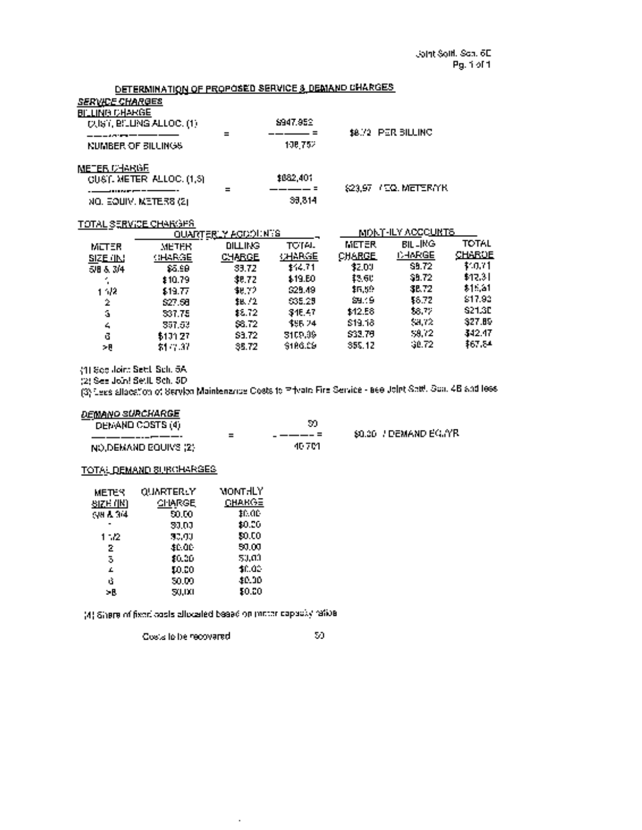### DETERMINATION OF PROPOSED SERVICE & DEMAND CHARGES SERVICE CHARGES **BILLING CHARGE** CUST. BILLING ALLOC. (1) \$947952 \$8.72 PER BILLING a de component NUMBER OF BILLINGS 108,000 108,752 METER CHARGE  $C \cup S$ [. METER ALLOC. (1,3)  $\qquad \qquad 1032,401$  $=$   $=$   $= =$   $=$   $\frac{623,97}{1000}$  METERIYK ----------- $NQ.$  EQUIV. METERS (2)  $36,814$ TOTAL SERVICE CHARGES QUARTE<u>RLY ACCOUNTS MONTHLY ACCOUNTS</u> METER METER BILLING TOTAL METER BILLING TOTAL

| MLI EN.         | NE IFR.       | ишнес         | .              |               |               | .             |
|-----------------|---------------|---------------|----------------|---------------|---------------|---------------|
| <b>SIZE IIN</b> | <b>CHARGE</b> | <b>CHARGE</b> | <b>KALARGE</b> | <b>CHARGE</b> | <b>CHARGE</b> | <b>CHARDE</b> |
| 5/8 & 3/4       | \$5.98        | 33.72         | 14.71          | 32.09         | <b>SB.72</b>  | 110.71        |
| и,              | \$10.79       | 38.72         | \$19.EO        | 13.6C         | \$9.72        | \$12.31       |
| 1.52            | \$13.77       | 48.72         | \$25.49        | \$6.59        | 38.72         | $$1 - 21$     |
| $\mathbb Z$     | \$27.56       | <b>IB.72</b>  | 535.29         | <b>SB</b> 19  | 18.72         | \$17.93       |
| $\mathbf{S}$    | 537.75        | 12.72         | 34E.47         | \$12.56       | 58.72         | <b>S21.3D</b> |
| 4               | 357.53        | 53.72         | \$56.24        | \$19.18       | <b>SHIT2</b>  | 327.89        |
| G               | \$101.27      | \$3.72        | 3109.99        | \$33.79       | -59.72        | 342.47        |
|                 |               |               | \$186.09       | 355.12        | $-30.72$      | \$67.84       |
| - 8             | \$1,7.37      | 35.72         |                |               |               |               |

(1) See Joint Settl. Sch. 5A

(2) See Joint Settl. Sob. SD

(3) Less allocation of Service Maintenance Costs to Private Fire Service see Joint Setti. Sch. 4B and less

#### DEMAND SURCHARGE

| DEMAND COSTS (4)             |       |                        |
|------------------------------|-------|------------------------|
|                              |       | -80.36 / DEMAND EGIYRI |
| <b>INO,DEMAND BOUIVS (2)</b> | 10 ZM |                        |

#### TOTAL DEMAND SURCHARGES

| <b>METER</b>     | QUARTERLY     | MONTHLY       |
|------------------|---------------|---------------|
| <u>SIZE (IN)</u> | <b>CHARGE</b> | <b>CHARGE</b> |
| ुस है अब         | 50.00         | H. AL         |
|                  | 30.00         | \$0.06        |
| 1 - 12           | 30.00         | 50.00         |
| 2                | <b>10.00</b>  | 50.00         |
| 3                | 10.00         | 50.00         |
| Æ.               | 10.00         | 10.00         |
| ú                | 50.00         | \$0.00        |
| УR.              | 50,00         | 50.00         |

(4) Share of fixed costs allocated based on meter capacity ratios

 $\bar{\phantom{a}}$ 

 $\overline{\text{Cov}}$  and to be recovered  $$0$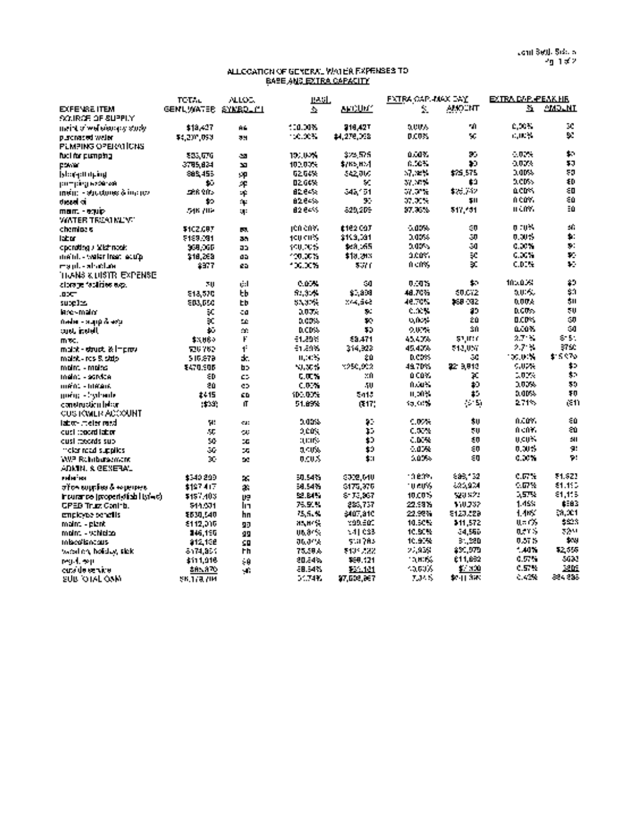#### ALLOCATION OF GENERAL WATER EXPENSES TO BASE AND EXTRA CAPACITY

|                                                             | <b>TCTAL</b>       | ALLOC.                  | 1932.                       |               | <b>FATRA CAPLINAX DAY</b> |               | EXTRA DAP. PEAK HE |                      |
|-------------------------------------------------------------|--------------------|-------------------------|-----------------------------|---------------|---------------------------|---------------|--------------------|----------------------|
| <b>EXFENSE ITEM</b>                                         | GENLWATER SYNROLIL |                         | $\mathcal{L}_{\mathcal{A}}$ | арсилит       | ÷.                        | <b>AMOCNT</b> | $\mathbf{H}$       | <b>AMOLNT</b>        |
| SOURCE OF SUPPLY                                            |                    |                         |                             |               |                           |               |                    |                      |
| maint of well electrony study.                              | \$19,427           | A6.                     | 100.00%                     | 916.427       | 5,00%                     | чĤ.           | 0.00%              | 50                   |
| purchased weler                                             | \$4,200,093        | 39                      | 100.00%                     | 14.278.098    | 0.00%                     | м.            | <b>COUNTY</b>      | V.                   |
| <b>PLMPING OPERATIONS</b>                                   |                    |                         |                             |               |                           |               |                    |                      |
| fuel for pumping                                            | 833.076            | -20                     | 101.00%                     | 325 575.      | 0.00X                     | 35            | $-0.75$            | t.                   |
| DSM AF                                                      | 3785.824           | 30                      | 102,00%                     | \$/K5,851     | 6.56%                     | 10            | 0.00%              | 53                   |
| blook through                                               | 885.455            | oρ                      | 62.64%                      | 542,000       | 57.32%                    | \$75,575      | 2,00%              | 50                   |
| pumping waxerzek                                            | 45.                | $\mathcal{A}$           | 02.64%                      | V.            | 37. NPS                   | £9            | 5.CDS              | 40                   |
| $\mathbf{m}\mathbf{e}$ in – strudones & in $\mathbf{e}$ nov | 588 ROS            | ×.                      | 82.64%                      | 348.51        | 51.3°N                    | 1.50012       | actrs.             | ξD                   |
| deed a                                                      | 10                 | $\mathbf{u}_\mathrm{c}$ | 8264%                       | 95            | 07.00%                    | 511           | n cov.             | 60                   |
| man. - ewip                                                 | 546 ZBP            | 141                     | 82.64%                      | 829.2DE       | 97.36%                    | 517,401       | n cm.              | Ξû                   |
| WATER TREATMENT                                             |                    |                         |                             |               |                           |               |                    |                      |
| chemine si                                                  | \$102,097          | БØ.                     | 100 COY.                    | £182.COT      | $-0.05%$                  | 40            | 0 TUM              | Уĥ                   |
| labor.                                                      | 5189.091           | 35                      | 400 CHS                     | \$103,091     | 2003                      | 30            | 0.00%              | $\mathbf{p}$         |
| operating / Wistmook                                        | 968.066            | อว                      | 100.00%                     | \$63,165      | 0.00%                     | 50            | 0.00%              | $\mathbf{p}$ .       |
| maint - water from ecuto                                    | \$18,263           | aa                      | 100.00%                     | \$18,29%      | acus.                     | $\mathbf{r}$  | 6.36%              | p.                   |
| ma ulte alcudum                                             | 8977               | ea.                     | 100.00%                     | 53 C          | 0.005                     | ĐC.           | C.D.H              | V.                   |
| TIGNIS & DISTRIEXPENSE                                      |                    |                         |                             |               |                           |               |                    |                      |
| clore je feolities e.g.                                     | 70                 | ri:I                    | 0.00%                       | ា             | 0.05                      | \$0.          | 105.05%            | 40                   |
| -000                                                        | 518,570            | tЬ                      | 52,31%                      | \$1,339       | 48.70%                    | 50.072        | 5.00%              | $\sim$               |
| supe les                                                    | 203.050            | <b>ED</b>               | 55, 17%                     | 714.548       | 46.70%                    | 268-092       | 0.004              | 511                  |
| iaces maior                                                 | эc                 | 40                      | 3.0 T.                      | э.            | <b>C.A.M</b>              | 82            | 0.00%              | < 0                  |
| $0$ eder - Stapp $\Lambda$ as $x$                           | ×                  | <b>SC</b>               | 0.00%                       | $\mathbf{F}$  | 0.00%                     | 20            | DCD-3              | GЛ                   |
| tang, inggell                                               | 40                 | m.                      | <b>D.CD%</b>                | 50            | 9.00%                     | 30            | a.com              | GO                   |
| med.                                                        | \$3,060            | F                       | -1.29%                      | 69.471        | 45.40%                    | 51,017        | $2.7 - 1.$         | SHL.                 |
| maint - struct, it improvi                                  | 726.762            | $\blacksquare$          | 11.05                       | 314,323       | 45.40%                    | 542.057       | 2.7 %              | \$750                |
| maint - res Sistio                                          | 519,878            | ж.                      | 11, 41%                     | 20            | <b>D.CDSS</b>             | GC.           | 100.04%            | \$15.970             |
| moint - moito                                               | <b>E470.906</b>    | b>                      | <b>NUMBER</b>               | 1250.002      | 49.70%                    | 2219.913      | C.U.W              | $\ddot{\phantom{a}}$ |
| Ingin: - santae                                             | ÷D                 | c.                      | 0.005                       | 20            | 0.00%                     | x             | 1024               | 5.7                  |
| <b>00601 - 006406</b>                                       | 90.                | e5.                     | <b>C.D.W</b>                | 50            | 1000%                     | 10            | 2004.              | 55                   |
| premi - Sydnade                                             | <b>*415</b>        | сb                      | 100.00%                     | 5415          | 0.00%                     | $\pm 5$       | 5.00%              | 50                   |
| construction letter.                                        | (\$33)             | $\mathbf{r}$            | 51.69%                      | (717)         | 15. O.N                   | $\sim 5$      | 2716               | ië t                 |
| CUSTOMER ACCOUNT                                            |                    |                         |                             |               |                           |               |                    |                      |
| labor- meler road                                           | <b>W</b>           | <b>Car</b>              | 5,05%                       | 90            | $0.00\%$                  | \$H           | 0.COV.             | εú                   |
| quel concret labor                                          | ИC.                | -20                     | o cas:                      | 15            | 0.02%                     | 50            | n che.             | ខប                   |
| cusi records sub                                            | 56.                | DБ.                     | 210155                      | \$0           | 0.005                     | ÷п            | u.cu%              | 50                   |
| moles road, supplies,                                       | аG                 | 55                      | 0.0%                        | \$9           | 0.058                     | £П            | 0.00%              | 95                   |
| WWP Robibatsement                                           | ЪC.                | 5c                      | 0.00%                       | \$11          | 5.00%                     | εo            | 0.00%              | 93                   |
| ADMIN. & GENERAL                                            |                    |                         |                             |               |                           |               |                    |                      |
| relativa.                                                   | \$340,200          | ×                       | 50.54%                      | 3002.040      | iner».                    | 686.132       | $C \mathbf{F}$     | 71.523               |
| of the supplies & experience                                | \$197,417          | $\mathbf{r}_i$          | 54.54%                      | \$175,376     | tu euw.                   | 626.904       | 9.17%              | <b>81.190</b>        |
| incurance icroceri di shi liviwa)                           | \$157,403          | <b>UP</b>               | 52.64%                      | 8173,967      | 10.00%                    | 520 822       | 3,57%              | 81.115               |
| <b>GPEB Trust Contrb.</b>                                   | 544,601            | lı٦                     | 75.50%                      | 286,757       | 22.93%                    | \$50,232      | 1.45%              | 6:03                 |
| encloses sengils.                                           | \$630,540          | hn                      | 75.5.%                      | \$407.810     | 22.3%                     | 5127.029      | 1.46%              | 51. XX               |
| maint - plant                                               | 8112,010           | 93                      | <b>MANGE</b>                | 1199.500      | 10.50%                    | \$11,572      | U.T. 135           | 523                  |
| maint - vahielte.                                           | 346,196            | 99                      | <b>UNDER</b>                | 2.41933       | 10.50%                    | -4,566        | 0.77%              | 32.91                |
| <b>Infactable negative</b>                                  | 912,108            | CD.                     | 060%                        | 510 783       | 10.95%                    | 51,520        | 0.57%              | \$XI                 |
| wouldn, holder, sick                                        | 6174,851           | <b>rn</b>               | 75.58.4                     | 5105.000      | $2 - 9.55$                | 250.979       | 1.40 M             | \$2,559              |
| read, sen                                                   | \$111,916          | 49                      | 20,54%                      | \$99.121      | $-0.0116$                 | 011,652       | 0.57%              | -5422                |
| catalde estable                                             | <b>ቆሰኤስ70</b>      | Чf.                     | -88.5475                    | <b>FM:101</b> | 10,00%                    | \$1,000       | <b>C.57%</b>       | 32DC                 |
| <b>SUB OTAL ONN</b>                                         | 56.178.704         |                         | 5.74K                       | 97,608,867    | <b>T.J. S.</b>            | \$2-11,098    | 0.4026             | -864-885             |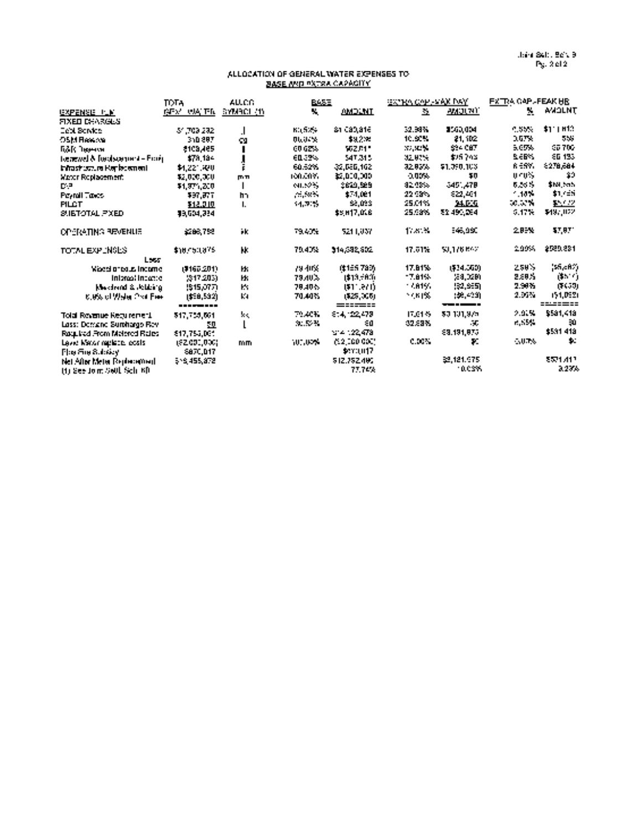#### ALLOCATION OF GENERAL WATER EXPENSES TO BASE AND PXTRA CAPACITY

|                                    | <b>TDTA</b>    | AUCO              | <b>BASE</b>    |               | GATES COPERAN DAY.          |                    | FXITRA GAPL-FEAK HR |                 |
|------------------------------------|----------------|-------------------|----------------|---------------|-----------------------------|--------------------|---------------------|-----------------|
| GXPENSE PLK                        | INFACTUALE IN  | <b>BYMROL (1)</b> | ч.             | <b>AMDLNT</b> | $\mathcal{L}_{\mathcal{L}}$ | <i>an</i> gunii    | ٧.                  | <b>AMOLNT</b>   |
| <b>FIXED DEARGES</b>               |                |                   |                |               |                             |                    |                     |                 |
| <b>Cept Sorvice</b>                | -51,709,282    | $\cdot$           | <b>BILSING</b> | ish cabjate   | 32.38%                      | 3560,004           | - 55%               | \$1.1112        |
| OSM Reserve                        | 3:0.887        | 99                | 06,07%         | \$3,200       | 10.92%                      | 21, 102            | 2.57%               | 555             |
| ПАК Пюним                          | \$109,465      |                   | 00.62%         | 502.01*       | 37.32%                      | \$94 CBT           | 5,65%               | 05/702          |
| Toenewel & Toeolscamment - Provinc | \$78,184       |                   | 60.02%         | 547.315       | 32,02%                      | \$25,748           | <b>SERV</b>         | SG 193          |
| ininastrustum Kepledement          | \$1,221,890    | ř.                | 60.52%         | 32.586.162    | 3283%                       | \$1,090,103        | <b>RESY.</b>        | 1278,684        |
| Werds Roblacement.                 | \$2,000,000    | mm                | 100,00%        | 12,000,000    | 0.00%                       | 50                 | $0.10\%$            | 29              |
| D-P                                | \$1,971,200    | $\mathbf{I}$      | <b>MLS2%</b>   | 2620.529      | 82.08%                      | 3451,478           | 6.56%               | \$18,5ch        |
| Peyroll Tayes                      | 997.FTT        | h,                | $\sim 100$ K.  | \$74.081      | 22.99%                      | -922,461           | $-10 -$             | $11.1 - 51$     |
| <b>FILCT</b>                       | 512.010        | L.                | 34.7%          | \$2,033       | 25.01%                      | 24.000             | <b>SCIENTING</b>    | \$2,402         |
| SUBTOTAL PIXED.                    | 19.504.384     |                   |                | \$5,017,006   | 25.98%                      | 52.490,064         | $-17 -$             | \$49,002        |
| <b>OPERATING REVENUE</b>           | 5266.752       | йk.               | 79.40%         | 5211.037      | 1780%                       | 546.990            | 20EX.               | 17.07           |
| TOTAL EXPLNGES                     | \$10,050,875   | H.                | 79.40%         | 314.382.602   | 17.61%                      | 50.176.642         | 2005.               | 2529.281        |
| Less                               |                |                   |                |               |                             |                    |                     |                 |
| Waasin tous income                 | (9167.201)     | H.                | 79.40%         | (\$155.783)   | 17.81%                      | (\$34,560)         | 250%                | $(56,60\%)$     |
| Informal Induction                 | 2917-2051      | ИK.               | <b>79.40%</b>  | 1\$13,7800    | -7.81%                      | (54,020)           | 2.88%               | idh i T         |
| Mediend & Ridding                  | 1915,0771      | K.                | 79.40%         | (\$11.671)    | 11. A 15.                   | 192.9551           | 2.94%               | (1659)          |
| <b>C.0% of Water Ord Free</b>      | (\$58,532)     | K.                | 70.40%         | (525,005)     | 79 N PX                     | (호 수의)             | 2.95%               | 151,0921        |
|                                    |                |                   |                | ======        |                             | <b>The Company</b> | 2.91%               | \$581,418       |
| Tolal Royanue Keru remeri.         | 517,759,661    | Ŀс,               | 79.40%         | 814, 22,478   | 17.01%                      | 50.101.975         | <b>RISSS</b>        | 30              |
| Lass: Demand Surpharge Rev-        | <u>n </u>      | L                 | 30.52%         | εø            | 32,88%                      | - 55               |                     | \$531,418       |
| Ragulad From Molered Rales         | \$17,755,001   |                   |                | 374.122.478   |                             | 69.191.075         |                     | 业               |
| Level Mator replace, ecsis-        | (\$2.000,000). | m <sub>m</sub>    | ነሀበ ሁንኙ        | (12,000.000)  | 0.00%                       | Ŧ.                 | $-0.74$             |                 |
| Phy SupSubsidy                     | 6870.D17       |                   |                | \$270,017     |                             |                    |                     |                 |
| Net After Meter Replacement.       | 516,455,878    |                   |                | 512.752.405   |                             | 22.121.975         |                     | <b>8521.412</b> |
| (f) See Join Sell Sch KR           |                |                   |                | 77.74%        |                             | <b>TACSY</b>       |                     | 3.23%           |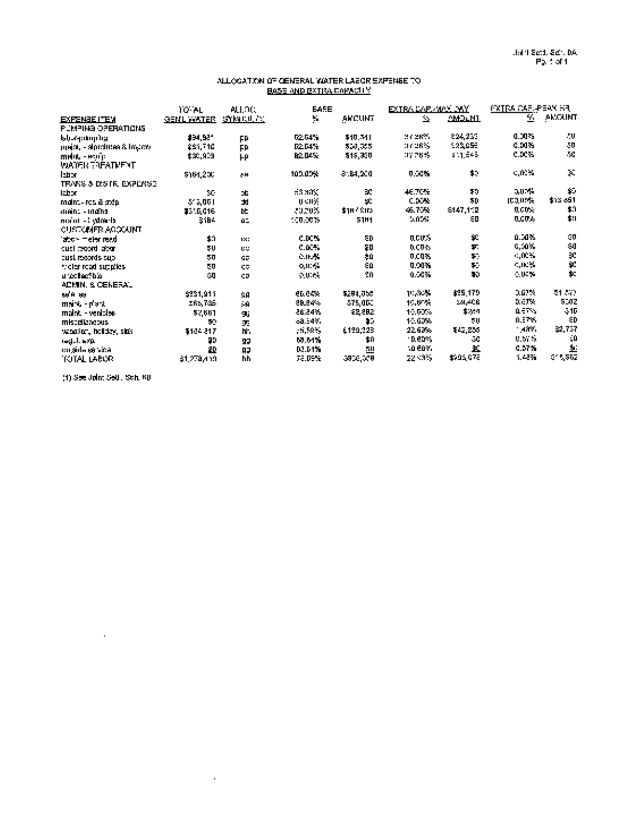#### ALLOCATION OF GENERAL WATER LABOR EXPENSE TO BASE AND EXTRA CAPACITY

|                              | TO AL             | ALLOC:          | EAFE          |           | EXTRA EARLAIDS CWY |                      | <b>PXTPA CARLPEAN HR</b> |                          |
|------------------------------|-------------------|-----------------|---------------|-----------|--------------------|----------------------|--------------------------|--------------------------|
| <b>EXPENSE ITEM</b>          | <b>BENL WATER</b> | <u>SYMBULES</u> | ¥.            | AMCUNT    | $\Delta$           | <b>AMPLN1</b>        | रू.                      | AMOUNT                   |
| РОМЕНА ОРЕНАЛОНА             |                   |                 |               |           |                    |                      |                          |                          |
| եկազանոր նց                  | 194,921           | FP              | 02.04%        | \$10.741  | 医子宫畸形              | 224,235              | 0.DIN                    | - 0                      |
| ppear, - signalmes & loyace. | 281,710           | FP              | <b>D2.04%</b> | 500,005.  | 117,28%            | 123,055              | 0.00%                    | $\mathbf{50}$            |
| melut - exulit               | \$30,909          | HΡ              | <b>B2 04%</b> | 515,350   | 3726S              | \$11,545             | c.xx.                    | $\mathcal{M}_\bullet$    |
| <b>WATER EREATMENT</b>       |                   |                 |               |           |                    |                      |                          |                          |
| labor.                       | \$164,200         | $\sim 10$       | 100.00%       | 8:84.200  | 0.50%              | $\ddot{\phantom{1}}$ | $-0.34$                  | $\mathbf{X}$             |
| TRANS & DISTRIEMPLYISE       |                   |                 |               |           |                    |                      |                          |                          |
| <b>ICE ST</b>                | SC.               | ob,             | $-3.30\%$     | ЭC.       | 46.70%             | 70                   | 3075                     | $\mathbf{y}_\mathrm{in}$ |
| maint - ros & stép.          | 37,001            | $\mathbf{r}$    | <b>UCHY</b>   | S.        | <b>CDON</b>        | 50                   | <b>ICOUPA</b>            | \$13,651                 |
| 11601 - 10401                | \$310,016         | b.              | 30703         | \$187,815 | 46.75%             | \$147,112            | <b>DCD-</b>              | $\ddot{\phantom{1}}$     |
| mant - I Woods               | 31BA              | 01              | 100.00%       | 51H1      | 5.05%              | ΕП                   | 0.00%                    | $\ddot{\phantom{a}}$     |
| <b>CUSTOMER AGOCAINT</b>     |                   |                 |               |           |                    |                      |                          |                          |
| iator melengeal              | \$0               | 130             | C.DON         | ΣD        | acus.              | $\mathbf{p}$         | 0.00%                    | 0                        |
| meta broad abun              | 50                | u.              | <b>C.D.M.</b> | ΣD        | DCON.              | $\boldsymbol{\tau}$  | 0,00%                    | 233                      |
| cust records sup-            | 50                | GR.             | 0.012         | żй        | 0.00%              | $\mathbf{r}$ .       | $\sim 100\,M_\odot$      |                          |
| ricler read supplies.        | 50                | CF.             | <b>QIDS</b>   | 80        | 0.00%              | Ŧ.                   | <b>CIRCS</b>             |                          |
| انتظامها تعدانا              | - 9               | CD.             | <b>AUGUS</b>  | 20        | 0.00%              | 30                   | $\sim 0.3\%$             | t.                       |
| ADMIN. & CENERAL             |                   |                 |               |           |                    |                      |                          |                          |
| <b>100 M 100</b>             | \$231,911         | SΑ              | <b>CD.04%</b> | 5201,050  | 15,87%             | \$25,179             | 362%                     | 21.512                   |
| mart - part                  | 285,735           | $\mathbf{A}$    | <b>28.24%</b> | 575,000   | 150%               | كالتعرات             | D.C.TX                   | 500Z                     |
| maint - venisles             | 52,661            | 96              | 26,24%        | 52,882    | 10.00%             | \$201                | <b>DET S</b>             | $-10$                    |
| miscolareous                 | 72                | ЭĒ              | 68.547.       | 85        | 10.00%             | 50                   | 0.07%                    | ÷Ρ                       |
| uchaban, holdey, sins        | 4104.817          | m.              | $-1.50 - 1.5$ | 6139,328  | 22.63%             | \$42,200             | 1,489.                   | \$2,737                  |
| regulacija.                  | 70                | 99              | 60.64%        | \$0       | - D. ears          | - 9                  | 0.67%                    | ζÙ                       |
| co sola estada               | 20                | <b>BJ</b>       | 02.04%        | 50        | 10 COY.            | ĸ                    | 0.MW                     | $\Delta$                 |
| TOTAL LABOR                  | 61.278.419.       | hh              | 78.DEN        | 3906,009  | 22,33%             | \$95,078             | 1,42%                    | 0.1562                   |

(1) See Joini Seth. Sch. GB

 $\sim$   $\sim$ 

 $\mathcal{L}_{\rm{max}}$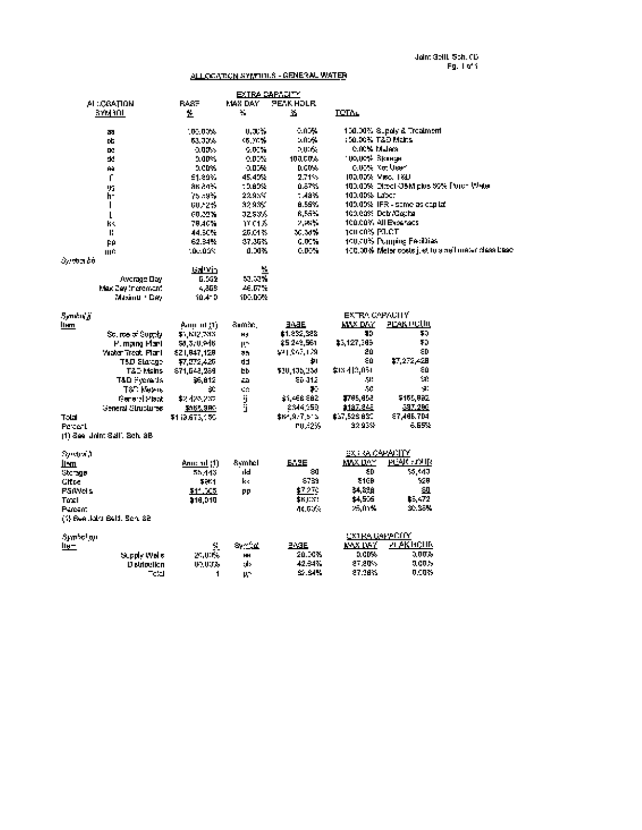### ALLOCATION SYMPHOLS - GENERAL WATER

|               |                             |                | EXTRA CAPACITY        |                  |                       |                                         |                                                      |
|---------------|-----------------------------|----------------|-----------------------|------------------|-----------------------|-----------------------------------------|------------------------------------------------------|
|               | ALCONOLIN                   | <b>RASE</b>    | <b>MAX DAY</b>        | <b>PENK HOLR</b> |                       |                                         |                                                      |
|               | 37M30L                      | ž.             | ¥.                    | x                | <b>LETAL</b>          |                                         |                                                      |
|               | 33                          | 101.00%        | 0, 3, 5               | $-0.75$          |                       | 150.00% Supply & Treatment              |                                                      |
|               | DF.                         | 63.73%         | 05. VC W              | 20125            | : 50.00% T&D Mains    |                                         |                                                      |
|               | D.                          | $-0.07$        | $-0.5$                | 2005.            | <b>C.O.N. Malers</b>  |                                         |                                                      |
|               | d.                          | 0.00%          | $0.01\%$              | 100.00%          | 100,00% Вканце        |                                         |                                                      |
|               | Ĥ.                          | activ.         | 0.0038                | 0.00%            | <b>CUSS Not User</b>  |                                         |                                                      |
|               | ſ                           | £1.89%         | 45.40%                | 2.71%            | 100,00% Med. 1810     |                                         |                                                      |
|               | 95                          | an an S        | 10.00%                | 0.57%            |                       | 100,00% Direct OSM plus 59% Truch Water |                                                      |
|               | h-                          | 75.35          | 22.95%                | $-48.5$          | 103.00% Labor         |                                         |                                                      |
|               | $\mathbf{I}$                | 60223          | 32.9%                 | 8.SY.            |                       | 100,00% TFR - same as eaplet            |                                                      |
|               | L                           | 60.22%         | J259A                 | <b>R. Fern</b>   |                       | 100.00% Deb./Cacha                      |                                                      |
|               | ŀ۴.                         | 78,40%         | ぜひん                   | <b>September</b> |                       | 100.00% All Everyons                    |                                                      |
|               | P.                          | 44.50%         | 25.C4%                | 30. MW           | 100 00% PLCT          |                                         |                                                      |
|               | ÞΑ                          | 62.34%         | 37.36%                | 0.00%            |                       | 100.00% Pomping FeoDias                 |                                                      |
|               | щĆ                          | 10.023         | 0.00%                 | <b>C.B.N</b>     |                       |                                         | 100,00% Meter costs it et to a nell meter cleas base |
| Sueba bo      |                             |                |                       |                  |                       |                                         |                                                      |
|               |                             | <b>Galivin</b> | 뷒                     |                  |                       |                                         |                                                      |
|               | Awange Day                  | 6.552          | 52.52%                |                  |                       |                                         |                                                      |
|               | Max Zwy in gronwint.        | 4.868          | 46. DP %              |                  |                       |                                         |                                                      |
|               | Masing + Dev                | 10.410         | 100.00%               |                  |                       |                                         |                                                      |
| Sendoj k      |                             |                |                       |                  | <b>EXTRA CAPACITY</b> |                                         |                                                      |
| llem.         |                             | Ann of Ti      | Sumboli               | <b>3/4E</b>      | <b>MAX DAY</b>        | <u>PERK POUL</u>                        |                                                      |
|               | Source of Supply            | \$5,812,783    | <b>Hd</b>             | \$1,852,588      | 15                    | 50                                      |                                                      |
|               | P. mani Plant               | \$0,370,946    | $\mathbf{H}^{\infty}$ | 25.249.561       | \$3,127,385           | 70                                      |                                                      |
|               | Water Treat, Flank          | 821,847,128    | 35.                   | \$21,947,179     | 20                    | εD                                      |                                                      |
|               | TAD Station                 | 17.ET2.426     | dd,                   | 却                | εo                    | \$7,272,428                             |                                                      |
|               | T&D Mains                   | 671,643,289    | ÞЬ.                   | 130.135.234      | \$13,412,051          | -0                                      |                                                      |
|               | T&D Fremads                 | 55,812         | $\mathbf{r}$          | 86 J 12          | ЛU.                   | - 11                                    |                                                      |
|               | T&C Metro                   | x              | C.                    | т.               | 50                    | -90                                     |                                                      |
|               | General Missio              | \$2,425,237    |                       | \$1,466.882      | 1785,852              | \$155,892                               |                                                      |
|               | General Clrubiures          | \$105,980      | ÿ<br>j                | 2344,250         | 1137.848              | 387.290                                 |                                                      |
| Total         |                             | \$113,673.100  |                       | \$64,977.515     | \$57,526.630          | <b>ET, 186. TDI</b>                     |                                                      |
| Percent       |                             |                |                       | PU. 235          | 32.93%                | 6.65%                                   |                                                      |
|               | (1) See Joim Sall, Schläß,  |                |                       |                  |                       |                                         |                                                      |
|               |                             |                |                       |                  |                       |                                         |                                                      |
| Syndra J      |                             |                |                       |                  | 8X ፣ የኢርትሥጵያ ዘገኘ      |                                         |                                                      |
| llem          |                             |                | Symbol                | <b>EASE</b>      | <b>MAX DAY</b>        | <b>PLAK FAIR</b>                        |                                                      |
| <b>Ukange</b> |                             | 55.443         | rki.                  | -90              | SD.                   | \$5,40                                  |                                                      |
| <b>Citre</b>  |                             | \$251          | k.                    | \$759            | \$16B                 | 520                                     |                                                      |
| PS(Wels)      |                             | \$11.005       | pp                    | ⊈7つ72            | 34.338                | 50                                      |                                                      |
| Toxi          |                             | 318.010        |                       | SKIDST.          | \$4,506               | ≵-, 472                                 |                                                      |
| Paresint      |                             |                |                       | 46.60%           | 25.01%                | 30. SAM                                 |                                                      |
|               | (1) Ban John Bald, Seri, 88 |                |                       |                  |                       |                                         |                                                      |
|               |                             |                |                       |                  |                       |                                         |                                                      |
| Symbol nu     |                             |                |                       |                  | OXTRA GAPPOITY        |                                         |                                                      |
| <u>llu – </u> |                             | S.             | Svinta.               | 2. JE            | <b>MAX 1957</b>       | и дкисли                                |                                                      |
|               | Supply Wells                | 25,000%        | HH.                   | 20.30%           | a ers.                | 3,00%                                   |                                                      |
|               | <b>Distriction</b>          | 05.00%         | als.                  | 42.34%           | 27.20%                | 3.00%                                   |                                                      |
|               | ີເຟ                         | 1              | u-                    | S. S.N.          | 27.38%                | 0.00%                                   |                                                      |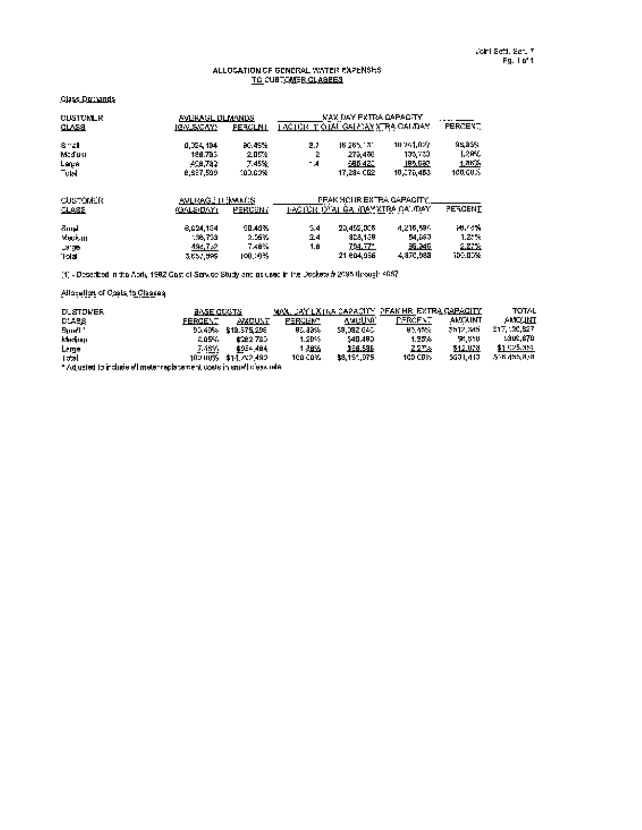#### ALLOCATION OF GENERAL WATER EXPENSES TO CUSTOMER CLASSES

#### Class Demands

| <b>CUSTUMLR</b> | <b><i>FALEMEL DEMANDS</i></b> |                 |     | <b>VAX DAY EXTRA CAPACITY</b>          |             |                |
|-----------------|-------------------------------|-----------------|-----|----------------------------------------|-------------|----------------|
| <u>CLASS</u>    | <b>IGNUSICAYS</b>             | <b>FERCUNI</b>  |     | TACTOR TIOTAL GALAXY STRAIGALIDAY.     |             | PERCENT.       |
| 8 M             | 0.024.184                     | <b>BC: 45.5</b> | 22  | 16.265.171                             | 10261.022   | 98899          |
| Maduni          | 188.783.                      | 2074            | Z.  | 275,476                                | 103,730     | 1,2992         |
|                 | 408.782                       | 7.45%           | - 4 | 686.420                                | 195,687     | 1.362          |
| Lega<br>Turi    | <b>B.SET.500</b>              | 100.00%         |     | 17.284.002                             | 10.276.463  | 100.00%        |
| <b>CUSTOMER</b> | <b>AVERAGE HIS WARDS</b>      |                 |     | IFFAK HOLIR EXTRA GAPACITY.            |             |                |
| 1035            | <b>10/12/0/11</b>             | PERCENT         |     | <u>I-ACTOR O'ALGA (BAYXIRA GAUDAY)</u> |             | <b>PERCENT</b> |
| Bund,           | 8.024.194                     | 90.A9%          | -54 | 20,452.005                             | 4.216.59%   | Martin         |
| <b>Medium</b>   | 1.38,753                      | 2.557           | 24  | 403.159                                | <b>M.67</b> | 1.2.%          |
| <b>ALCOHOL:</b> | 494,752                       | 7.48%           | 18  | 79. TL                                 | 36.MD       | 2.222          |
| 1:Id            | 3,657,998                     | 100.19%         |     | 21 804.956                             | 4, 970, 989 | 700.DOM        |

[1] Described in the April, 1992 Cost of Service Study and as used in the Dockets #2098 through 4067

#### Allocation of Costs to Classes

| <b>DLSTOWER</b>                                                      | <b>BASE COVITS</b> |               |          |             | MON, JAY LXTIVA CAPACITY, PEAK HRI EXTRA CAPACITY. |               | <b>TOTAL</b>      |
|----------------------------------------------------------------------|--------------------|---------------|----------|-------------|----------------------------------------------------|---------------|-------------------|
| DU-58                                                                | FERGENT            | <b>AMCUNT</b> | FERGENT. | waction     | DERMENT.                                           | <b>AMOUNT</b> | <b>AMOUNT</b>     |
| Sport 1                                                              | 90.40%             | \$13,575,206  | 85.83%   | 59.082.040. | <b>MANA</b>                                        | 2512,345      | 217, 20,527       |
| kledom                                                               | 2054.              | 1722.785      | $1.20 -$ | 540,480.    | 1.27%                                              | 51,550        | 1.300.BT0         |
| <u>Large</u>                                                         | 7.487.             | 1954-484      | 1.2005.  | 36.96       | 227.6                                              | 512.070       | \$1,025,357       |
| احدا                                                                 | 102.00% .          | \$14,82,492   | 100 COY. | \$8,151,075 | 100 CD3.                                           | 5671.417      | <b>ACK ANNUAL</b> |
| " Adjusted to include effimate registement costs in emethology rele- |                    |               |          |             |                                                    |               |                   |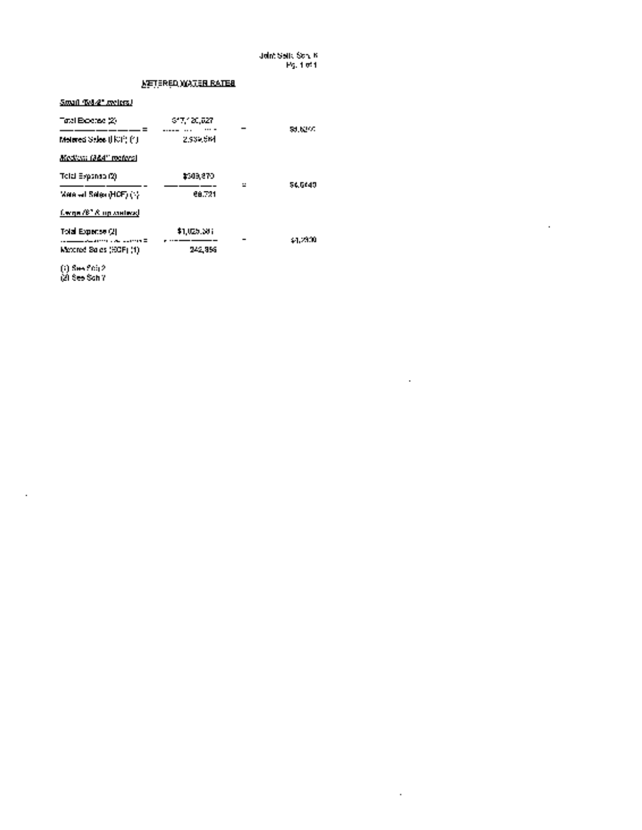Joint Setti. Sch. B Pg. I of <sup>I</sup>

 $\hat{\theta}$ 

 $\mathcal{L}^{\mathcal{L}}$ 

 $\sim 10^{11}$  km  $^{-1}$ 

### METERED WATER RATES

#### Small (5/82" meters)

| 617.120.027 | <b>SULLEY:</b> |
|-------------|----------------|
| 2,939,5M    |                |
|             |                |
| \$309,870   | 560149         |
| ea.721      |                |
|             |                |
| \$1,025,501 | 24.2900        |
| 242, 956    |                |
|             | $\mathbf{r}$   |

(1) See Sch 2

(2) See Sch 7

 $\hat{\mathbf{r}}$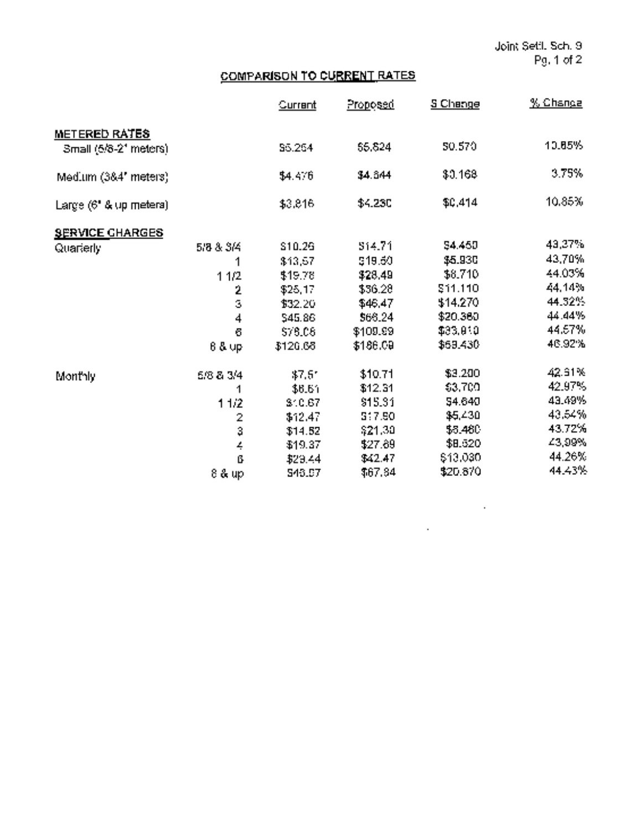$\label{eq:2.1} \frac{1}{\sqrt{2}}\int_{\mathbb{R}^3}\frac{1}{\sqrt{2}}\left(\frac{1}{\sqrt{2}}\right)^2\frac{1}{\sqrt{2}}\left(\frac{1}{\sqrt{2}}\right)^2\frac{1}{\sqrt{2}}\left(\frac{1}{\sqrt{2}}\right)^2.$ 

 $\mathcal{L}^{\text{max}}_{\text{max}}$ 

# COMPARISON TO CURRENT RATES

|                        |                | Current        | Proposed       | <b>S</b> Change | <u>% Chance</u> |
|------------------------|----------------|----------------|----------------|-----------------|-----------------|
| METERED RATES          |                |                |                |                 |                 |
| Small (5/8-21 meters)  |                | \$5,264        | 65.824         | 50.570          | 10.85%          |
| Med.um (384' meters)   |                | \$4.476        | \$4.844        | \$0,168         | 3.75%           |
| Large (6" & up metera) |                | \$3,816        | <b>\$4,230</b> | \$0,414         | 10.85%          |
| <b>SERVICE CHARGES</b> |                |                |                |                 |                 |
| Quarterly              | 5/8 & 3/4      | \$10.26        | 514.71         | 54.450          | 43,37%          |
|                        |                | \$13,57        | \$19.60        | \$5.930         | 43,70%          |
|                        | 11/2           | \$19.78        | \$28,49        | \$8,710         | 44.03%          |
|                        | 2              | \$25,17        | \$36.28        | 511.110         | 44.14%          |
|                        | Ś              | \$32.20        | \$46.47        | \$14.270        | 44.32%          |
|                        | 4              | \$45.86        | \$68.24        | \$20.360        | 44.44%          |
|                        | G              | 578.08         | \$109.99       | \$33,910        | 44.67%          |
|                        | 8 & up         | \$126.68       | \$186.09       | \$69,430        | 46.92%          |
| Monthly                | 5/8 & 3/4      | $47.5^{\circ}$ | \$10.71        | \$3,200         | 42.61%          |
|                        | 1              | \$6.61         | \$12.31        | \$3,700         | 42.97%          |
|                        | 11/2           | 810.67         | \$15.31        | S4.640          | 43.49%          |
|                        | $\overline{2}$ | \$12.47        | 3:7.50         | \$5,430         | 43.54%          |
|                        | 3              | \$14.52        | \$21.30        | \$5,480         | 43.72%          |
|                        | $\frac{1}{2}$  | \$19.37        | \$27.89        | \$8.520         | 43,99%          |
|                        | ß              | \$29.44        | \$42.47        | \$13,030        | 44.26%          |
|                        | 8 & up         | 543.67         | \$67.84        | \$20.870        | 44.43%          |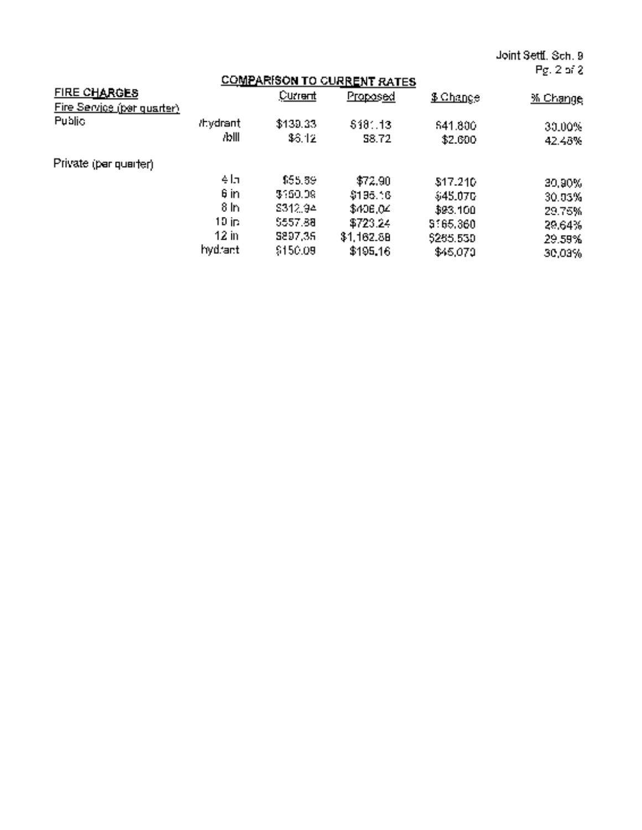Joint Settl. Sch. 9 Pg. 2 of 2

|                                                   | .                 |                    |                                                       |                    |                  |
|---------------------------------------------------|-------------------|--------------------|-------------------------------------------------------|--------------------|------------------|
| <b>FIRE CHARGES</b><br>Fire Service (per quarter) |                   | Current            | <b>COMPARISON TO CURRENT RATES</b><br><u>Proposed</u> | <u> S.Change</u>   | <u>% Change</u>  |
| Public                                            | /hydrant<br>7blll | \$139.33<br>\$3.12 | 518:13<br><b>S8.72</b>                                | 541,800<br>\$2,600 | 30.00%<br>42.48% |
| Private (par quarter).                            |                   |                    |                                                       |                    |                  |
|                                                   | 411               | \$55.39            | \$72,90                                               | \$17.210           | 30,90%           |
|                                                   | 6 in              | 3160.09            | \$195.16                                              | \$45,070           | 30.03%           |
|                                                   | 8 <sub>h</sub>    | 8312.94            | \$40E,04                                              | \$93.100           | 29.76%           |
|                                                   | 10 in.            | \$557.88           | \$723.24                                              | \$165,360          | 29.64%           |
|                                                   | <u>12 in</u>      | 5897,36            | \$1,162.88                                            | \$265,530          | 29.59%           |
|                                                   | hydraet           | \$150.09           | \$195.16                                              | \$45,070           | 30,03%           |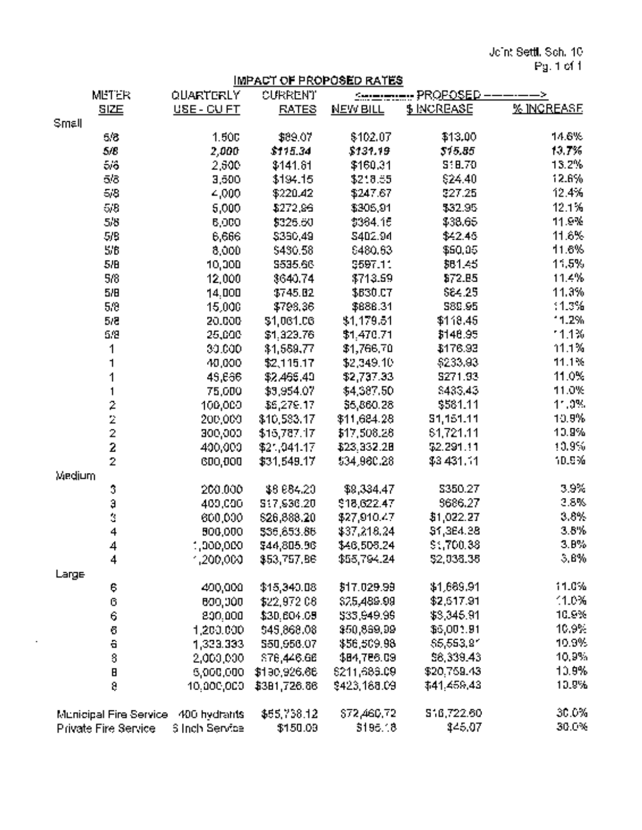Joint Settl. Sch. 10 Pg. <sup>1</sup> of I

# IMPACT OF PROPOSED RATES

| <b>METER</b>                        | QUARTERLY             | CURRENT      | PROPOSED -<br>$\sim$<br><b>Construction</b> |             |                   |
|-------------------------------------|-----------------------|--------------|---------------------------------------------|-------------|-------------------|
| SIZE                                | USE - CU FT           | <b>RATES</b> | <b>NEW BILL</b>                             | \$ INCREASE | <b>% INGREASE</b> |
| Small                               |                       |              |                                             |             |                   |
| 5/8                                 | 1,500                 | \$89.07      | \$102.07                                    | \$13.00     | 14.6%             |
| 5/8                                 | 2,000                 | \$115.34     | \$131.19                                    | 515.85      | 13.7%             |
| ခ်းခံ                               | 2,500                 | \$141.61     | \$160.31                                    | S: B.70     | 13.2%             |
| 5/8                                 | 3,500                 | \$194.15     | \$218.55                                    | \$24.40     | 12.6%             |
| 5/8                                 | 4,000                 | \$220.42     | \$247.67                                    | \$27.25     | 12.4%             |
| 5/8                                 | 5,000                 | \$272,96     | \$305,91                                    | \$32.95     | 12.1%             |
| 5/8                                 | 6,000                 | \$326.60     | \$384.15                                    | \$38.65     | 11.9%             |
| 5/9                                 | 6,666                 | \$360,49     | 5402.94                                     | \$42.45     | 11.6%             |
| 5/6                                 | 8,000                 | \$480.58     | 8480.63                                     | \$50.05     | 11.6%             |
| 5/B                                 | 10,000                | 5535.66      | \$597.11                                    | 381.45      | 11.5%             |
| 5/8                                 | 12,000                | 8640.74      | \$713.59                                    | \$72.85     | 11.4%             |
| 5/B                                 | 14.000                | \$745.82     | \$630.07                                    | \$64.25     | 11.3%             |
| 5/8                                 | 15,000                | \$798.36     | \$686.31                                    | S82.95      | 11.3%             |
| 5/8                                 | 20.000                | \$1,061.06   | \$1,179.51                                  | \$118.45    | 11.2%             |
| 5/2                                 | 25,000                | \$1,323.76   | \$1,470.71                                  | \$148.95    | 11.1%             |
| 1                                   | 30.000                | \$1,559,77   | \$1,766.70                                  | \$176.93    | 11.1%             |
| 1                                   | 40,000                | \$2,115.17   | \$2,349.10                                  | \$233,93    | 11.1%             |
| 1                                   | 45.666                | \$2,466,40   | \$2,737.33                                  | 5271.93     | 11.0%             |
|                                     | 75,000                | \$3,954.07   | \$4,587.50                                  | \$435,43    | 11.0%             |
| $\ddot{ }$                          | 100,000               | \$6,279.17   | \$5,860.28                                  | \$581.11    | $11.0\%$          |
|                                     | 200,000               | \$10,583.17  | \$11,684.28                                 | 51,151.11   | 10.9%             |
| $\frac{2}{2}$                       | 300,000               | \$15,787.17  | \$17,508.28                                 | 51,721.11   | 10.9%             |
|                                     | 400,000               | \$21,041.17  | \$23.332.28                                 | \$2.291.11  | 10.9%             |
| $\bar{z}$                           | 600,000               | \$31,549.17  | \$34,980.28                                 | \$3,431.11  | 10.9%             |
| Medium                              |                       |              |                                             |             |                   |
| 3                                   | 200.000               | \$6,684.20   | \$9,334.47                                  | \$350.27    | 3.9%              |
| ą                                   | 400,000               | 517,936.20   | \$18,622.47                                 | 9686.27     | 2.8%              |
| Ċ,                                  | 600,000               | \$26,888.20  | \$27,910.47                                 | \$1,022.27  | 3.8%              |
| 4                                   | 500,000               | 535,653.86   | \$37,218.24                                 | \$1,364.28  | 3.8%              |
| $\overline{\mathbf{4}}$             | 1,000,000             | \$44,805.96  | \$46,506.24                                 | \$1,700.38  | 3.8%              |
| 4                                   | ,200,000,             | \$53,757.86  | \$55,794.24                                 | \$2,036.36  | 5.8%              |
| Large                               |                       |              |                                             |             |                   |
| ę.                                  | 400,000               | \$15,340.08  | \$17.029.99                                 | \$1,689.91  | 11.0%             |
| $\mathbb G$                         | B00,000               | \$22,972.08  | \$25,489.99                                 | \$2,517.91  | 1.0%              |
| Ģ                                   | 800.000               | \$30,604.09  | \$33,949.99                                 | \$3,346.91  | 10.9%             |
| ō                                   | 1,200,000             | \$45,868,08  | \$50,869,99                                 | \$5,001.91  | 10.9%             |
| $\blacksquare$                      | 1,323.333             | 550,956.07   | \$56,509.98                                 | \$5,553.81  | 10.9%             |
| $\mathbf S$                         | 2,000,000             | S76,446.66   | \$84,786.09                                 | \$6,339.43  | 10,9%             |
| $\blacksquare$                      | 5,000,000             | \$190,926.66 | 6211,689.09                                 | \$20,759.43 | 10.9%             |
| ą                                   | 10.000,000            | \$381,726.66 | \$423,168.09                                | \$41,459,43 | 10.9%             |
|                                     |                       |              |                                             |             |                   |
| Municipal Fire Service 400 hydrants |                       | \$55,738.12  | \$72,460,72                                 | 516,722.60  | 30.0%             |
| Private Fire Service                | <b>Silnch Service</b> | \$150.09     | \$195.18                                    | \$45.07     | 30.0%             |

 $\ddot{\phantom{a}}$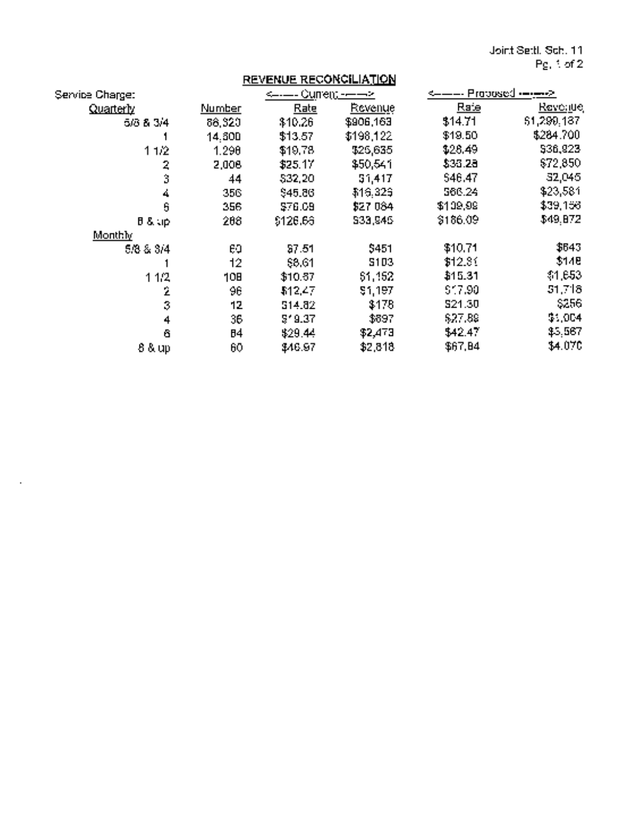Joint Setti. Sch. 11 Pg. <sup>1</sup> of2

|                         |        | <b>REVENUE RECONCILIATION</b> |           |                                             |                 |  |
|-------------------------|--------|-------------------------------|-----------|---------------------------------------------|-----------------|--|
| Service Charge:         |        | <——-- Сuпе <u>n; -——&gt;</u>  |           | <———- Proposed • <del>—•<u>—•</u>&gt;</del> |                 |  |
| <u>Quarterly</u>        | Number | Rate                          | Revenue   | Raie                                        | <u>Revoluej</u> |  |
| 5/3 & 3/4               | 88,320 | \$10.26                       | \$906,163 | \$14.71                                     | 51,299,187      |  |
|                         | 14.600 | \$13.57                       | \$198,122 | \$19.50                                     | \$284.700       |  |
| 11/2                    | 1.290  | \$19,78                       | \$25,635  | \$28,49                                     | \$36,923        |  |
| $\overline{\mathbf{z}}$ | 2,006  | \$25.17                       | \$50,541  | \$33.28                                     | \$72,850        |  |
| ă                       | 44     | \$32,20                       | 51,417    | 546,47                                      | 32,045          |  |
| 4                       | 356    | \$45.86                       | \$16,329  | 566.24                                      | \$23,581        |  |
| 6                       | 356    | \$76.09                       | \$27 084  | \$109,99                                    | \$39,156        |  |
| $B = 3$ , $\Delta$      | 268    | \$126.66                      | S33,945   | \$186.09                                    | \$49.872        |  |
| Monthly                 |        |                               |           |                                             |                 |  |
| 5/3 & 3/4               | E0     | \$7.51                        | \$451     | \$10.71                                     | \$643           |  |
|                         | 12     | 88.61                         | 5103      | \$12.81                                     | \$148           |  |
| 1.1/2                   | 10B    | \$10.37                       | 51,152    | \$15.31                                     | \$1,653         |  |
| Ż                       | 96     | \$12,47                       | 51,197    | \$17.90                                     | 51.718          |  |
| $\bar{3}$               | 12     | 514.82                        | \$178     | 521.30                                      | \$256           |  |
| $\ddot{\phantom{1}}$    | 36     | 5'9.37                        | \$897     | \$27.89                                     | \$1,004         |  |
| 6                       | 84     | \$29.44                       | \$2,473   | \$42.47                                     | \$5,567         |  |
| 8 & up                  | 60     | \$46.97                       | \$2,818   | \$67,84                                     | \$4.070         |  |

 $\sim$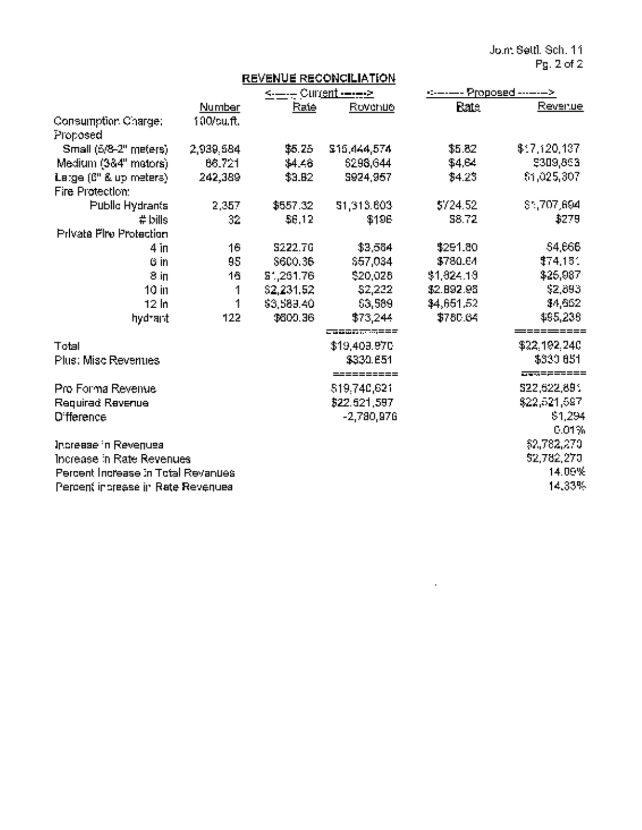Joint Setti. Sch. 11 Pg. 2of2

|                                            |            |                                      | REVENUE RECONCILIATION |              |                          |
|--------------------------------------------|------------|--------------------------------------|------------------------|--------------|--------------------------|
|                                            |            | <------ Curr <u>ent --------&gt;</u> |                        |              | ------ Proposed -------> |
|                                            | Number     | Rate                                 | Rovenue                | <b>Eate</b>  | Revenue                  |
| Consumption Charge:<br>Proposed            | 100/cu.ft. |                                      |                        |              |                          |
| Small (5/8-2" meters)                      | 2,939,584  | \$5.25                               | \$15,444,574           | \$5.82       | \$17,120,137             |
| Medium (384" mators).                      | 68.721     | $$4 - 8$                             | \$298,644              | \$4.64       | \$309,863                |
| Large (6" & up meters)<br>Fire Protection: | 242,389    | \$3.B2                               | S924,957               | 34.23        | 61.025.307               |
| Public Hydrants                            | 2,357      | \$557.32                             | 51,313,603             | \$724.52     | \$1,707,694              |
| $#$ bills                                  | 32         | \$6,12                               | \$196                  | <b>S8.72</b> | \$279                    |
| <b>Privata Fire Protection</b>             |            |                                      |                        |              |                          |
| 4 <sub>in</sub>                            | 16         | S222.70                              | \$3,564                | \$291.80     | 54.666                   |
| 6 <sub>in</sub>                            | 95         | \$600.36                             | \$57,034               | \$780.64     | \$74,181                 |
| 8 іп                                       | 16         | 51,251.76                            | \$20,028               | \$1,824.13   | \$25,987                 |
| 10 in                                      | 1          | \$2,231.52                           | \$2,222                | \$2.892.98   | \$2,893                  |
| 12 <sub>h</sub>                            | 1          | \$3,589.40                           | 63,589                 | \$4,651.52   | \$4,652                  |
| hydrant                                    | 122        | \$600.36                             | \$73,244               | \$780.64     | 495,238                  |
|                                            |            |                                      | 200005733222           |              | =========                |
| Total                                      |            |                                      | \$19,409.97C           |              | \$22,192,240             |
| Plus: Misc Revenues                        |            |                                      | \$330.651              |              | \$330,651                |
|                                            |            |                                      | =========              |              | <del>899</del> ======    |
| Pro Forma Revenue                          |            |                                      | 519.740,621            |              | 522,622,891              |
| Requirad Revenue                           |            |                                      | \$22,521,597           |              | \$22,521,597             |
| <b>D'fference</b>                          |            |                                      | $-2,780,976$           |              | \$1,294                  |
|                                            |            |                                      |                        |              | 0.01%                    |
| Increase in Revenues                       |            |                                      |                        |              | \$2,782,270              |
| Increase in Rate Revenues                  |            |                                      |                        |              | 52,782,270               |
| Percent Increase in Total Revanues         |            |                                      |                        | 14.09%       |                          |
| Percent increase in Rate Revenues          |            |                                      |                        |              | 14.33%                   |

 $\sim 10^{11}$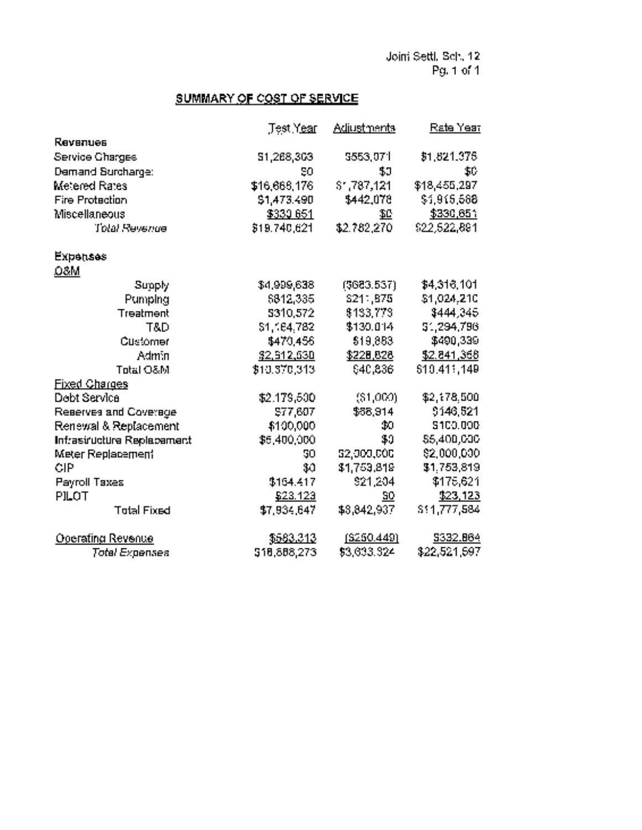# SUMMARY OF COST OF SERVICE

|                            | Test Year    | <b>Adjustments</b>     | Rate Year       |
|----------------------------|--------------|------------------------|-----------------|
| <b>Revenues</b>            |              |                        |                 |
| Service Charges            | 51,268,303   | 5553,071               | \$1,821,376     |
| Demand Surcharge:          | SΩ           | 50                     | E               |
| Metered Rates              | \$16,668.176 | $$^{\circ}$ , 787, 121 | \$18,455,297    |
| <b>Fire Protection</b>     | \$1,473.490  | \$442.078              | \$1,915,588     |
| Miscellaneous              | \$330,651    | 10                     | \$330,651       |
| <b>Total Revenue</b>       | 319.740.621  | \$2,782.270            | 922.522.891     |
| <b>Expenses</b>            |              |                        |                 |
| 08M                        |              |                        |                 |
| Supply                     | \$4,999,638  | (5683.537)             | \$4,316,101     |
| Pumping                    | 6812.335     | S211.B75               | \$1,024.210     |
| Treatment                  | 5310.572     | 8133.773               | \$444,345       |
| T&D                        | \$1,164.782  | \$130.014              | 51,294,796      |
| Customer                   | \$470.456    | \$19,883               | \$490,339       |
| <b>Admin</b>               | \$2,512,530  | \$228,828              | \$2,841,368     |
| Total O&M                  | \$10,370,313 | \$40,836               | 510.411.149     |
| <b>Fixed Charges</b>       |              |                        |                 |
| Dobt Service               | \$2,179,500  | (31,000)               | \$2,178.500     |
| Reserves and Coverage      | \$77,607     | \$68,914               | \$146,521       |
| Renewal & Replacement      | \$100,000    | <b>b</b>               | <b>S100.000</b> |
| Infrasiructura Replacement | \$5,400,000  | \$0                    | 55,400,000      |
| <b>Meter Replacement</b>   | 50           | 52,000,000             | 82,000,000      |
| CIP                        | \$0          | \$1,753,819            | \$1,753,819     |
| Payroll Taxes              | \$164.417    | \$21,204               | \$176,621       |
| PILOT                      | \$23.123     | 90                     | \$23,123        |
| <b>Total Fixed</b>         | \$7,934.647  | \$3,842.937            | \$11,777,584    |
| Operating Revenue          | \$583.313    | (S250.449)             | S332.864        |
| <b>Total Expenses</b>      | 518,888,273  | \$3,633,324            | \$22,521,597    |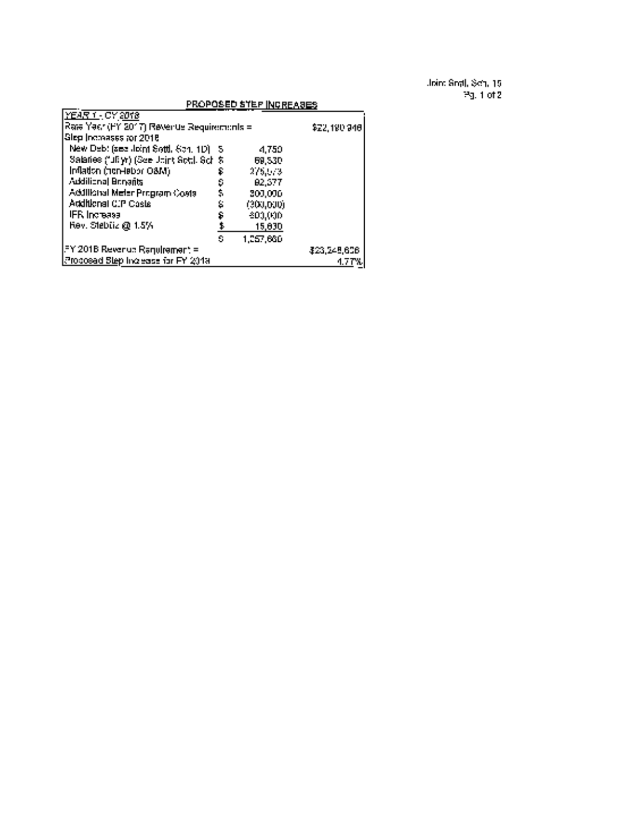Joint Settl. Sch. 15 Pg. <sup>1</sup> of 2

|                                            |     | PROPOSED STEP INCREASES |              |
|--------------------------------------------|-----|-------------------------|--------------|
| <u>YEAR 1 - CY 2018</u>                    |     |                         |              |
| Rate Year (FY 2017) Revenue Requirements = |     |                         | \$22,190,940 |
| Slep Incoases for 2018                     |     |                         |              |
| New Debt (see Joint Sett), Sch. 1D) 5.     |     | -1.750                  |              |
| Salaries ("JEyr) (See Utint Sot), Sch \$   |     | 69.S30                  |              |
| Inflation (non-lebbr O&M)                  | s   | 275.573                 |              |
| Additional Bergarits                       | 9   | 82.377                  |              |
| Addilibitei Meler Program Costs            | \$, | 309.096                 |              |
| Additional CIP Costs                       | s,  | (300,000)               |              |
| <b>IFR</b> Increase                        | ۶   | 600,000                 |              |
| Rev. Stebiiz @ 1.5%                        |     | 15,030                  |              |
|                                            | £.  | 1.257.660               |              |
| IFY 2018 Revenue Ragulrement =             |     |                         | \$23,245,606 |
| Procesad Step Increase for FY 2019         |     |                         | 1.7 TX       |